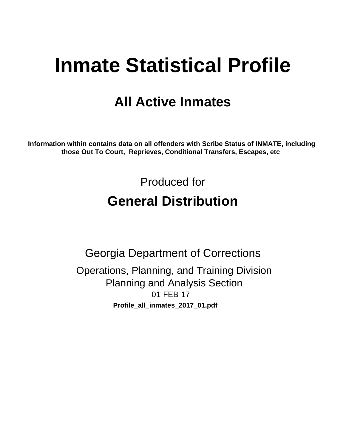# **Inmate Statistical Profile**

## **All Active Inmates**

Information within contains data on all offenders with Scribe Status of INMATE, including those Out To Court, Reprieves, Conditional Transfers, Escapes, etc

> Produced for **General Distribution**

**Georgia Department of Corrections** Operations, Planning, and Training Division **Planning and Analysis Section** 01-FEB-17 Profile\_all\_inmates\_2017\_01.pdf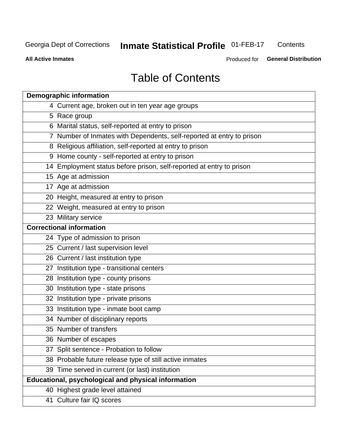#### **Inmate Statistical Profile 01-FEB-17** Contents

**All Active Inmates** 

Produced for General Distribution

## **Table of Contents**

| <b>Demographic information</b>                                        |
|-----------------------------------------------------------------------|
| 4 Current age, broken out in ten year age groups                      |
| 5 Race group                                                          |
| 6 Marital status, self-reported at entry to prison                    |
| 7 Number of Inmates with Dependents, self-reported at entry to prison |
| 8 Religious affiliation, self-reported at entry to prison             |
| 9 Home county - self-reported at entry to prison                      |
| 14 Employment status before prison, self-reported at entry to prison  |
| 15 Age at admission                                                   |
| 17 Age at admission                                                   |
| 20 Height, measured at entry to prison                                |
| 22 Weight, measured at entry to prison                                |
| 23 Military service                                                   |
| <b>Correctional information</b>                                       |
| 24 Type of admission to prison                                        |
| 25 Current / last supervision level                                   |
| 26 Current / last institution type                                    |
| 27 Institution type - transitional centers                            |
| 28 Institution type - county prisons                                  |
| 30 Institution type - state prisons                                   |
| 32 Institution type - private prisons                                 |
| 33 Institution type - inmate boot camp                                |
| 34 Number of disciplinary reports                                     |
| 35 Number of transfers                                                |
| 36 Number of escapes                                                  |
| 37 Split sentence - Probation to follow                               |
| 38 Probable future release type of still active inmates               |
| 39 Time served in current (or last) institution                       |
| Educational, psychological and physical information                   |
| 40 Highest grade level attained                                       |
| 41 Culture fair IQ scores                                             |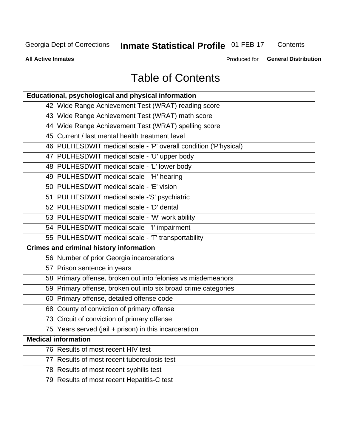## **Inmate Statistical Profile 01-FEB-17**

Contents

**All Active Inmates** 

Produced for General Distribution

## **Table of Contents**

| Educational, psychological and physical information              |
|------------------------------------------------------------------|
| 42 Wide Range Achievement Test (WRAT) reading score              |
| 43 Wide Range Achievement Test (WRAT) math score                 |
| 44 Wide Range Achievement Test (WRAT) spelling score             |
| 45 Current / last mental health treatment level                  |
| 46 PULHESDWIT medical scale - 'P' overall condition ('P'hysical) |
| 47 PULHESDWIT medical scale - 'U' upper body                     |
| 48 PULHESDWIT medical scale - 'L' lower body                     |
| 49 PULHESDWIT medical scale - 'H' hearing                        |
| 50 PULHESDWIT medical scale - 'E' vision                         |
| 51 PULHESDWIT medical scale -'S' psychiatric                     |
| 52 PULHESDWIT medical scale - 'D' dental                         |
| 53 PULHESDWIT medical scale - 'W' work ability                   |
| 54 PULHESDWIT medical scale - 'I' impairment                     |
| 55 PULHESDWIT medical scale - 'T' transportability               |
| <b>Crimes and criminal history information</b>                   |
| 56 Number of prior Georgia incarcerations                        |
| 57 Prison sentence in years                                      |
| 58 Primary offense, broken out into felonies vs misdemeanors     |
| 59 Primary offense, broken out into six broad crime categories   |
| 60 Primary offense, detailed offense code                        |
| 68 County of conviction of primary offense                       |
| 73 Circuit of conviction of primary offense                      |
| 75 Years served (jail + prison) in this incarceration            |
| <b>Medical information</b>                                       |
| 76 Results of most recent HIV test                               |
| 77 Results of most recent tuberculosis test                      |
| 78 Results of most recent syphilis test                          |
| 79 Results of most recent Hepatitis-C test                       |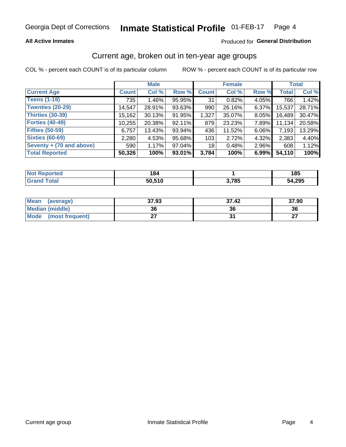#### **All Active Inmates**

#### Produced for General Distribution

## Current age, broken out in ten-year age groups

COL % - percent each COUNT is of its particular column

|                          |              | <b>Male</b> |           |              | <b>Female</b> |          |              | <b>Total</b> |  |
|--------------------------|--------------|-------------|-----------|--------------|---------------|----------|--------------|--------------|--|
| <b>Current Age</b>       | <b>Count</b> | Col %       | Row %     | <b>Count</b> | Col %         | Row %    | <b>Total</b> | Col %        |  |
| <b>Teens (1-19)</b>      | 735          | 1.46%       | 95.95%    | 31           | 0.82%         | 4.05%    | 766          | 1.42%        |  |
| <b>Twenties (20-29)</b>  | 14,547       | 28.91%      | 93.63%    | 990          | 26.16%        | $6.37\%$ | 15,537       | 28.71%       |  |
| <b>Thirties (30-39)</b>  | 15,162       | 30.13%      | 91.95%    | 1,327        | 35.07%        | 8.05%    | 16,489       | 30.47%       |  |
| <b>Forties (40-49)</b>   | 10,255       | 20.38%      | 92.11%    | 879          | 23.23%        | 7.89%    | 11,134       | 20.58%       |  |
| <b>Fifties (50-59)</b>   | 6,757        | 13.43%      | 93.94%    | 436          | 11.52%        | 6.06%    | 7,193        | 13.29%       |  |
| <b>Sixties (60-69)</b>   | 2,280        | 4.53%       | 95.68%    | 103          | 2.72%         | 4.32%    | 2,383        | 4.40%        |  |
| Seventy + (70 and above) | 590          | 1.17%       | 97.04%    | 18           | 0.48%         | 2.96%    | 608          | 1.12%        |  |
| <b>Total Reported</b>    | 50,326       | 100%        | $93.01\%$ | 3,784        | 100%          | 6.99%    | 54,110       | 100%         |  |

| Not F<br><b>Enorted</b> | 184    |             | 185    |
|-------------------------|--------|-------------|--------|
| Total                   | EN E4N | 2 70E<br>v. | 54,295 |

| <b>Mean</b><br>(average) | 37.93     | 37.42 | 37.90     |
|--------------------------|-----------|-------|-----------|
| <b>Median (middle)</b>   | 36        | 36    | 36        |
| Mode<br>(most frequent)  | ^-<br>. . |       | ^7<br>. . |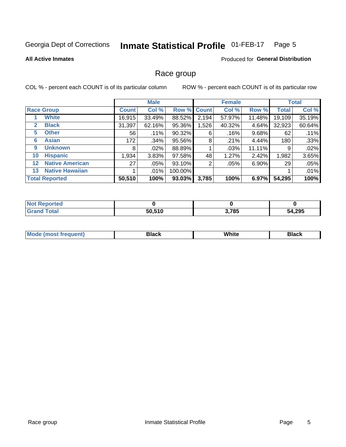#### Inmate Statistical Profile 01-FEB-17 Page 5

#### **All Active Inmates**

#### **Produced for General Distribution**

### Race group

COL % - percent each COUNT is of its particular column

|                   |                        |              | <b>Male</b> |           |             | <b>Female</b> |        |              | <b>Total</b> |  |
|-------------------|------------------------|--------------|-------------|-----------|-------------|---------------|--------|--------------|--------------|--|
|                   | <b>Race Group</b>      | <b>Count</b> | Col %       |           | Row % Count | Col %         | Row %  | <b>Total</b> | Col %        |  |
|                   | <b>White</b>           | 16,915       | 33.49%      | 88.52%    | 2,194       | 57.97%        | 11.48% | 19,109       | 35.19%       |  |
| $\mathbf{2}$      | <b>Black</b>           | 31,397       | 62.16%      | 95.36%    | 1,526       | 40.32%        | 4.64%  | 32,923       | 60.64%       |  |
| 5.                | <b>Other</b>           | 56           | .11%        | 90.32%    | 6           | $.16\%$       | 9.68%  | 62           | .11%         |  |
| 6                 | <b>Asian</b>           | 172          | $.34\%$     | 95.56%    | 8           | .21%          | 4.44%  | 180          | .33%         |  |
| 9                 | <b>Unknown</b>         | 8            | $.02\%$     | 88.89%    |             | .03%          | 11.11% | 9            | .02%         |  |
| 10                | <b>Hispanic</b>        | 1,934        | 3.83%       | 97.58%    | 48          | 1.27%         | 2.42%  | 1,982        | 3.65%        |  |
| $12 \overline{ }$ | <b>Native American</b> | 27           | $.05\%$     | 93.10%    | 2           | .05%          | 6.90%  | 29           | .05%         |  |
| 13                | <b>Native Hawaiian</b> |              | .01%        | 100.00%   |             |               |        |              | .01%         |  |
|                   | <b>Total Reported</b>  | 50,510       | 100%        | $93.03\%$ | 3,785       | 100%          | 6.97%  | 54,295       | 100%         |  |

| <b>Not Reported</b>     |        |       |        |
|-------------------------|--------|-------|--------|
| ' Total<br><b>Grand</b> | 50,510 | 3,785 | 54,295 |

| <b>Mode</b><br>---<br>most frequent) | Black | White | <b>Black</b> |
|--------------------------------------|-------|-------|--------------|
|                                      |       |       |              |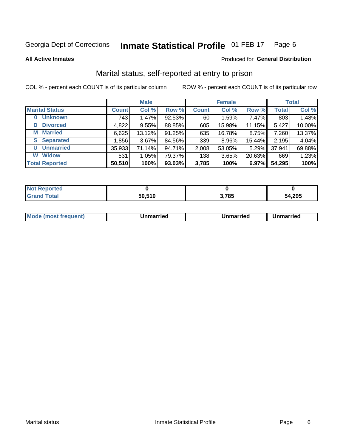#### Inmate Statistical Profile 01-FEB-17 Page 6

**All Active Inmates** 

#### **Produced for General Distribution**

## Marital status, self-reported at entry to prison

COL % - percent each COUNT is of its particular column

|                            | <b>Male</b>  |        |        |              | <b>Female</b> | <b>Total</b> |              |        |
|----------------------------|--------------|--------|--------|--------------|---------------|--------------|--------------|--------|
| <b>Marital Status</b>      | <b>Count</b> | Col %  | Row %  | <b>Count</b> | Col %         | Row %        | <b>Total</b> | Col %  |
| <b>Unknown</b><br>$\bf{0}$ | 743          | 1.47%  | 92.53% | 60           | 1.59%         | 7.47%        | 803          | 1.48%  |
| <b>Divorced</b><br>D       | 4,822        | 9.55%  | 88.85% | 605          | 15.98%        | 11.15%       | 5,427        | 10.00% |
| <b>Married</b><br>М        | 6,625        | 13.12% | 91.25% | 635          | 16.78%        | 8.75%        | 7,260        | 13.37% |
| <b>Separated</b><br>S.     | 1,856        | 3.67%  | 84.56% | 339          | 8.96%         | 15.44%       | 2,195        | 4.04%  |
| <b>Unmarried</b><br>U      | 35,933       | 71.14% | 94.71% | 2,008        | 53.05%        | 5.29%        | 37,941       | 69.88% |
| <b>Widow</b><br>W          | 531          | 1.05%  | 79.37% | 138          | 3.65%         | 20.63%       | 669          | 1.23%  |
| <b>Total Reported</b>      | 50,510       | 100%   | 93.03% | 3,785        | 100%          | 6.97%        | 54,295       | 100%   |

| N <sub>of</sub><br>morted in |        |       |        |
|------------------------------|--------|-------|--------|
| <b>Total</b>                 | EN E4N | 3,785 | 54,295 |

|--|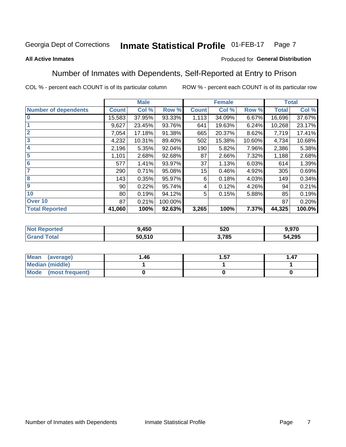#### **Inmate Statistical Profile 01-FEB-17** Page 7

#### **All Active Inmates**

#### Produced for General Distribution

## Number of Inmates with Dependents, Self-Reported at Entry to Prison

COL % - percent each COUNT is of its particular column

|                             |                 | <b>Male</b> |         |              | <b>Female</b> |        |              | <b>Total</b> |
|-----------------------------|-----------------|-------------|---------|--------------|---------------|--------|--------------|--------------|
| <b>Number of dependents</b> | <b>Count</b>    | Col %       | Row %   | <b>Count</b> | Col %         | Row %  | <b>Total</b> | Col %        |
| $\overline{0}$              | 15,583          | 37.95%      | 93.33%  | 1,113        | 34.09%        | 6.67%  | 16,696       | 37.67%       |
|                             | 9,627           | 23.45%      | 93.76%  | 641          | 19.63%        | 6.24%  | 10,268       | 23.17%       |
| $\overline{2}$              | 7,054           | 17.18%      | 91.38%  | 665          | 20.37%        | 8.62%  | 7,719        | 17.41%       |
| $\overline{\mathbf{3}}$     | 4,232           | 10.31%      | 89.40%  | 502          | 15.38%        | 10.60% | 4,734        | 10.68%       |
| 4                           | 2,196           | 5.35%       | 92.04%  | 190          | 5.82%         | 7.96%  | 2,386        | 5.38%        |
| $\overline{5}$              | 1,101           | 2.68%       | 92.68%  | 87           | 2.66%         | 7.32%  | 1,188        | 2.68%        |
| 6                           | 577             | 1.41%       | 93.97%  | 37           | 1.13%         | 6.03%  | 614          | 1.39%        |
| 7                           | 290             | 0.71%       | 95.08%  | 15           | 0.46%         | 4.92%  | 305          | 0.69%        |
| 8                           | 143             | 0.35%       | 95.97%  | 6            | 0.18%         | 4.03%  | 149          | 0.34%        |
| $\boldsymbol{9}$            | 90 <sub>1</sub> | 0.22%       | 95.74%  | 4            | 0.12%         | 4.26%  | 94           | 0.21%        |
| 10                          | 80              | 0.19%       | 94.12%  | 5            | 0.15%         | 5.88%  | 85           | 0.19%        |
| Over 10                     | 87              | 0.21%       | 100.00% |              |               |        | 87           | 0.20%        |
| <b>Total Reported</b>       | 41,060          | 100%        | 92.63%  | 3,265        | 100%          | 7.37%  | 44,325       | 100.0%       |

| 9,450  | הרב<br>JŁU | .970   |
|--------|------------|--------|
| 50.510 | ,785       | 54,295 |

| Mean (average)         | 1.46 | 1.57 | 1.47 |
|------------------------|------|------|------|
| <b>Median (middle)</b> |      |      |      |
| Mode (most frequent)   |      |      |      |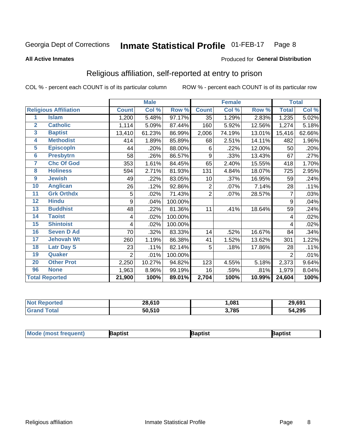#### Inmate Statistical Profile 01-FEB-17 Page 8

#### **All Active Inmates**

#### Produced for General Distribution

## Religious affiliation, self-reported at entry to prison

COL % - percent each COUNT is of its particular column

|                |                              |                | <b>Male</b> |         |                | <b>Female</b> |        |                     | <b>Total</b> |
|----------------|------------------------------|----------------|-------------|---------|----------------|---------------|--------|---------------------|--------------|
|                | <b>Religious Affiliation</b> | <b>Count</b>   | Col %       | Row %   | <b>Count</b>   | Col %         | Row %  | <b>Total</b>        | Col %        |
| 1              | <b>Islam</b>                 | 1,200          | 5.48%       | 97.17%  | 35             | 1.29%         | 2.83%  | 1,235               | 5.02%        |
| $\overline{2}$ | <b>Catholic</b>              | 1,114          | 5.09%       | 87.44%  | 160            | 5.92%         | 12.56% | 1,274               | 5.18%        |
| 3              | <b>Baptist</b>               | 13,410         | 61.23%      | 86.99%  | 2,006          | 74.19%        | 13.01% | 15,416              | 62.66%       |
| 4              | <b>Methodist</b>             | 414            | 1.89%       | 85.89%  | 68             | 2.51%         | 14.11% | 482                 | 1.96%        |
| 5              | <b>EpiscopIn</b>             | 44             | .20%        | 88.00%  | 6              | .22%          | 12.00% | 50                  | .20%         |
| $6\phantom{a}$ | <b>Presbytrn</b>             | 58             | .26%        | 86.57%  | 9              | .33%          | 13.43% | 67                  | .27%         |
| 7              | <b>Chc Of God</b>            | 353            | 1.61%       | 84.45%  | 65             | 2.40%         | 15.55% | 418                 | 1.70%        |
| 8              | <b>Holiness</b>              | 594            | 2.71%       | 81.93%  | 131            | 4.84%         | 18.07% | 725                 | 2.95%        |
| 9              | <b>Jewish</b>                | 49             | .22%        | 83.05%  | 10             | .37%          | 16.95% | 59                  | .24%         |
| 10             | <b>Anglican</b>              | 26             | .12%        | 92.86%  | $\overline{2}$ | .07%          | 7.14%  | 28                  | .11%         |
| 11             | <b>Grk Orthdx</b>            | 5              | .02%        | 71.43%  | $\overline{2}$ | .07%          | 28.57% | 7                   | .03%         |
| 12             | <b>Hindu</b>                 | 9              | .04%        | 100.00% |                |               |        | 9                   | .04%         |
| 13             | <b>Buddhist</b>              | 48             | .22%        | 81.36%  | 11             | .41%          | 18.64% | 59                  | .24%         |
| 14             | <b>Taoist</b>                | 4              | .02%        | 100.00% |                |               |        | 4                   | .02%         |
| 15             | <b>Shintoist</b>             | 4              | .02%        | 100.00% |                |               |        | 4                   | .02%         |
| 16             | <b>Seven D Ad</b>            | 70             | .32%        | 83.33%  | 14             | .52%          | 16.67% | 84                  | .34%         |
| 17             | <b>Jehovah Wt</b>            | 260            | 1.19%       | 86.38%  | 41             | 1.52%         | 13.62% | 301                 | 1.22%        |
| 18             | <b>Latr Day S</b>            | 23             | .11%        | 82.14%  | 5              | .18%          | 17.86% | 28                  | .11%         |
| 19             | Quaker                       | $\overline{2}$ | .01%        | 100.00% |                |               |        | $\overline{2}$      | .01%         |
| 20             | <b>Other Prot</b>            | 2,250          | 10.27%      | 94.82%  | 123            | 4.55%         | 5.18%  | 2,373               | 9.64%        |
| 96             | <b>None</b>                  | 1,963          | 8.96%       | 99.19%  | 16             | .59%          | .81%   | 1,979               | 8.04%        |
|                | <b>Total Reported</b>        | 21,900         | 100%        | 89.01%  | 2,704          | 100%          | 10.99% | $\overline{24,}604$ | 100%         |

| 'tec<br>N | 28,610 | ,081  | 29,691 |
|-----------|--------|-------|--------|
|           | 50,510 | 3,785 | 54,295 |

|  | <b>Mode (most frequent)</b> | ıntist<br>ິ | <b>'a</b> ptist | aptist |
|--|-----------------------------|-------------|-----------------|--------|
|--|-----------------------------|-------------|-----------------|--------|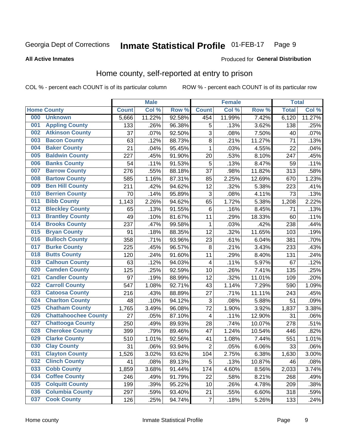#### Inmate Statistical Profile 01-FEB-17 Page 9

#### **All Active Inmates**

#### **Produced for General Distribution**

## Home county, self-reported at entry to prison

COL % - percent each COUNT is of its particular column

|     |                             |              | <b>Male</b> |                  |                         | <b>Female</b> |        | <b>Total</b> |        |
|-----|-----------------------------|--------------|-------------|------------------|-------------------------|---------------|--------|--------------|--------|
|     | <b>Home County</b>          | <b>Count</b> | Col %       | Row <sup>%</sup> | <b>Count</b>            | Col %         | Row %  | <b>Total</b> | Col %  |
| 000 | <b>Unknown</b>              | 5,666        | 11.22%      | 92.58%           | 454                     | 11.99%        | 7.42%  | 6,120        | 11.27% |
| 001 | <b>Appling County</b>       | 133          | .26%        | 96.38%           | 5                       | .13%          | 3.62%  | 138          | .25%   |
| 002 | <b>Atkinson County</b>      | 37           | .07%        | 92.50%           | 3                       | .08%          | 7.50%  | 40           | .07%   |
| 003 | <b>Bacon County</b>         | 63           | .12%        | 88.73%           | 8                       | .21%          | 11.27% | 71           | .13%   |
| 004 | <b>Baker County</b>         | 21           | .04%        | 95.45%           | 1                       | .03%          | 4.55%  | 22           | .04%   |
| 005 | <b>Baldwin County</b>       | 227          | .45%        | 91.90%           | 20                      | .53%          | 8.10%  | 247          | .45%   |
| 006 | <b>Banks County</b>         | 54           | .11%        | 91.53%           | 5                       | .13%          | 8.47%  | 59           | .11%   |
| 007 | <b>Barrow County</b>        | 276          | .55%        | 88.18%           | 37                      | .98%          | 11.82% | 313          | .58%   |
| 008 | <b>Bartow County</b>        | 585          | 1.16%       | 87.31%           | 85                      | 2.25%         | 12.69% | 670          | 1.23%  |
| 009 | <b>Ben Hill County</b>      | 211          | .42%        | 94.62%           | 12                      | .32%          | 5.38%  | 223          | .41%   |
| 010 | <b>Berrien County</b>       | 70           | .14%        | 95.89%           | 3                       | .08%          | 4.11%  | 73           | .13%   |
| 011 | <b>Bibb County</b>          | 1,143        | 2.26%       | 94.62%           | 65                      | 1.72%         | 5.38%  | 1,208        | 2.22%  |
| 012 | <b>Bleckley County</b>      | 65           | .13%        | 91.55%           | 6                       | .16%          | 8.45%  | 71           | .13%   |
| 013 | <b>Brantley County</b>      | 49           | .10%        | 81.67%           | 11                      | .29%          | 18.33% | 60           | .11%   |
| 014 | <b>Brooks County</b>        | 237          | .47%        | 99.58%           | 1                       | .03%          | .42%   | 238          | .44%   |
| 015 | <b>Bryan County</b>         | 91           | .18%        | 88.35%           | 12                      | .32%          | 11.65% | 103          | .19%   |
| 016 | <b>Bulloch County</b>       | 358          | .71%        | 93.96%           | 23                      | .61%          | 6.04%  | 381          | .70%   |
| 017 | <b>Burke County</b>         | 225          | .45%        | 96.57%           | 8                       | .21%          | 3.43%  | 233          | .43%   |
| 018 | <b>Butts County</b>         | 120          | .24%        | 91.60%           | 11                      | .29%          | 8.40%  | 131          | .24%   |
| 019 | <b>Calhoun County</b>       | 63           | .12%        | 94.03%           | $\overline{\mathbf{4}}$ | .11%          | 5.97%  | 67           | .12%   |
| 020 | <b>Camden County</b>        | 125          | .25%        | 92.59%           | 10                      | .26%          | 7.41%  | 135          | .25%   |
| 021 | <b>Candler County</b>       | 97           | .19%        | 88.99%           | 12                      | .32%          | 11.01% | 109          | .20%   |
| 022 | <b>Carroll County</b>       | 547          | 1.08%       | 92.71%           | 43                      | 1.14%         | 7.29%  | 590          | 1.09%  |
| 023 | <b>Catoosa County</b>       | 216          | .43%        | 88.89%           | 27                      | .71%          | 11.11% | 243          | .45%   |
| 024 | <b>Charlton County</b>      | 48           | .10%        | 94.12%           | 3                       | .08%          | 5.88%  | 51           | .09%   |
| 025 | <b>Chatham County</b>       | 1,765        | 3.49%       | 96.08%           | $\overline{72}$         | 1.90%         | 3.92%  | 1,837        | 3.38%  |
| 026 | <b>Chattahoochee County</b> | 27           | .05%        | 87.10%           | 4                       | .11%          | 12.90% | 31           | .06%   |
| 027 | <b>Chattooga County</b>     | 250          | .49%        | 89.93%           | 28                      | .74%          | 10.07% | 278          | .51%   |
| 028 | <b>Cherokee County</b>      | 399          | .79%        | 89.46%           | 47                      | 1.24%         | 10.54% | 446          | .82%   |
| 029 | <b>Clarke County</b>        | 510          | 1.01%       | 92.56%           | 41                      | 1.08%         | 7.44%  | 551          | 1.01%  |
| 030 | <b>Clay County</b>          | 31           | .06%        | 93.94%           | $\mathbf 2$             | .05%          | 6.06%  | 33           | .06%   |
| 031 | <b>Clayton County</b>       | 1,526        | 3.02%       | 93.62%           | 104                     | 2.75%         | 6.38%  | 1,630        | 3.00%  |
| 032 | <b>Clinch County</b>        | 41           | .08%        | 89.13%           | 5                       | .13%          | 10.87% | 46           | .08%   |
| 033 | <b>Cobb County</b>          | 1,859        | 3.68%       | 91.44%           | 174                     | 4.60%         | 8.56%  | 2,033        | 3.74%  |
| 034 | <b>Coffee County</b>        | 246          | .49%        | 91.79%           | 22                      | .58%          | 8.21%  | 268          | .49%   |
| 035 | <b>Colquitt County</b>      | 199          | .39%        | 95.22%           | 10                      | .26%          | 4.78%  | 209          | .38%   |
| 036 | <b>Columbia County</b>      | 297          | .59%        | 93.40%           | 21                      | .55%          | 6.60%  | 318          | .59%   |
| 037 | <b>Cook County</b>          | 126          | .25%        | 94.74%           | $\boldsymbol{7}$        | .18%          | 5.26%  | 133          | .24%   |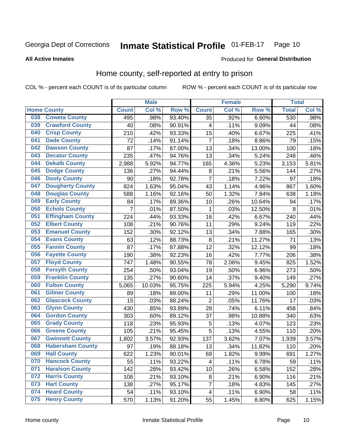#### **Inmate Statistical Profile 01-FEB-17** Page 10

**All Active Inmates** 

#### **Produced for General Distribution**

## Home county, self-reported at entry to prison

COL % - percent each COUNT is of its particular column

|     |                         |                | <b>Male</b> |        |                         | <b>Female</b> |                  | <b>Total</b> |       |
|-----|-------------------------|----------------|-------------|--------|-------------------------|---------------|------------------|--------------|-------|
|     | <b>Home County</b>      | <b>Count</b>   | Col %       | Row %  | <b>Count</b>            | Col %         | Row <sup>%</sup> | <b>Total</b> | Col % |
| 038 | <b>Coweta County</b>    | 495            | .98%        | 93.40% | 35                      | .92%          | 6.60%            | 530          | .98%  |
| 039 | <b>Crawford County</b>  | 40             | .08%        | 90.91% | 4                       | .11%          | 9.09%            | 44           | .08%  |
| 040 | <b>Crisp County</b>     | 210            | .42%        | 93.33% | 15                      | .40%          | 6.67%            | 225          | .41%  |
| 041 | <b>Dade County</b>      | 72             | .14%        | 91.14% | $\overline{7}$          | .18%          | 8.86%            | 79           | .15%  |
| 042 | <b>Dawson County</b>    | 87             | .17%        | 87.00% | 13                      | .34%          | 13.00%           | 100          | .18%  |
| 043 | <b>Decatur County</b>   | 235            | .47%        | 94.76% | 13                      | .34%          | 5.24%            | 248          | .46%  |
| 044 | <b>Dekalb County</b>    | 2,988          | 5.92%       | 94.77% | 165                     | 4.36%         | 5.23%            | 3,153        | 5.81% |
| 045 | <b>Dodge County</b>     | 136            | .27%        | 94.44% | 8                       | .21%          | 5.56%            | 144          | .27%  |
| 046 | <b>Dooly County</b>     | 90             | .18%        | 92.78% | $\overline{7}$          | .18%          | 7.22%            | 97           | .18%  |
| 047 | <b>Dougherty County</b> | 824            | 1.63%       | 95.04% | 43                      | 1.14%         | 4.96%            | 867          | 1.60% |
| 048 | <b>Douglas County</b>   | 588            | 1.16%       | 92.16% | 50                      | 1.32%         | 7.84%            | 638          | 1.18% |
| 049 | <b>Early County</b>     | 84             | .17%        | 89.36% | 10                      | .26%          | 10.64%           | 94           | .17%  |
| 050 | <b>Echols County</b>    | $\overline{7}$ | .01%        | 87.50% | 1                       | .03%          | 12.50%           | 8            | .01%  |
| 051 | <b>Effingham County</b> | 224            | .44%        | 93.33% | 16                      | .42%          | 6.67%            | 240          | .44%  |
| 052 | <b>Elbert County</b>    | 108            | .21%        | 90.76% | 11                      | .29%          | 9.24%            | 119          | .22%  |
| 053 | <b>Emanuel County</b>   | 152            | .30%        | 92.12% | 13                      | .34%          | 7.88%            | 165          | .30%  |
| 054 | <b>Evans County</b>     | 63             | .12%        | 88.73% | 8                       | .21%          | 11.27%           | 71           | .13%  |
| 055 | <b>Fannin County</b>    | 87             | .17%        | 87.88% | 12                      | .32%          | 12.12%           | 99           | .18%  |
| 056 | <b>Fayette County</b>   | 190            | .38%        | 92.23% | 16                      | .42%          | 7.77%            | 206          | .38%  |
| 057 | <b>Floyd County</b>     | 747            | 1.48%       | 90.55% | 78                      | 2.06%         | 9.45%            | 825          | 1.52% |
| 058 | <b>Forsyth County</b>   | 254            | .50%        | 93.04% | 19                      | .50%          | 6.96%            | 273          | .50%  |
| 059 | <b>Franklin County</b>  | 135            | .27%        | 90.60% | 14                      | .37%          | 9.40%            | 149          | .27%  |
| 060 | <b>Fulton County</b>    | 5,065          | 10.03%      | 95.75% | 225                     | 5.94%         | 4.25%            | 5,290        | 9.74% |
| 061 | <b>Gilmer County</b>    | 89             | .18%        | 89.00% | 11                      | .29%          | 11.00%           | 100          | .18%  |
| 062 | <b>Glascock County</b>  | 15             | .03%        | 88.24% | $\overline{2}$          | .05%          | 11.76%           | 17           | .03%  |
| 063 | <b>Glynn County</b>     | 430            | .85%        | 93.89% | 28                      | .74%          | 6.11%            | 458          | .84%  |
| 064 | <b>Gordon County</b>    | 303            | .60%        | 89.12% | 37                      | .98%          | 10.88%           | 340          | .63%  |
| 065 | <b>Grady County</b>     | 118            | .23%        | 95.93% | 5                       | .13%          | 4.07%            | 123          | .23%  |
| 066 | <b>Greene County</b>    | 105            | .21%        | 95.45% | 5                       | .13%          | 4.55%            | 110          | .20%  |
| 067 | <b>Gwinnett County</b>  | 1,802          | 3.57%       | 92.93% | 137                     | 3.62%         | 7.07%            | 1,939        | 3.57% |
| 068 | <b>Habersham County</b> | 97             | .19%        | 88.18% | 13                      | .34%          | 11.82%           | 110          | .20%  |
| 069 | <b>Hall County</b>      | 622            | 1.23%       | 90.01% | 69                      | 1.82%         | 9.99%            | 691          | 1.27% |
| 070 | <b>Hancock County</b>   | 55             | .11%        | 93.22% | 4                       | .11%          | 6.78%            | 59           | .11%  |
| 071 | <b>Haralson County</b>  | 142            | .28%        | 93.42% | 10                      | .26%          | 6.58%            | 152          | .28%  |
| 072 | <b>Harris County</b>    | 108            | .21%        | 93.10% | 8                       | .21%          | 6.90%            | 116          | .21%  |
| 073 | <b>Hart County</b>      | 138            | .27%        | 95.17% | $\overline{7}$          | .18%          | 4.83%            | 145          | .27%  |
| 074 | <b>Heard County</b>     | 54             | .11%        | 93.10% | $\overline{\mathbf{4}}$ | .11%          | 6.90%            | 58           | .11%  |
| 075 | <b>Henry County</b>     | 570            | 1.13%       | 91.20% | 55                      | 1.45%         | 8.80%            | 625          | 1.15% |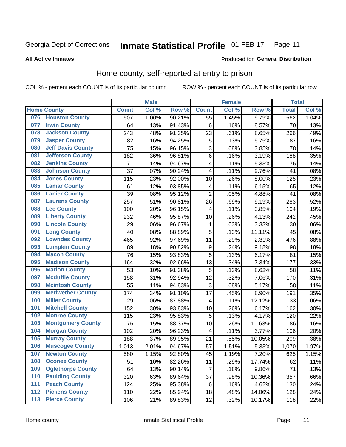#### **Inmate Statistical Profile 01-FEB-17** Page 11

#### **All Active Inmates**

## Produced for General Distribution

## Home county, self-reported at entry to prison

COL % - percent each COUNT is of its particular column

|     |                          |              | <b>Male</b> |        |                         | <b>Female</b> |        | <b>Total</b> |       |
|-----|--------------------------|--------------|-------------|--------|-------------------------|---------------|--------|--------------|-------|
|     | <b>Home County</b>       | <b>Count</b> | Col %       | Row %  | <b>Count</b>            | Col %         | Row %  | <b>Total</b> | Col % |
| 076 | <b>Houston County</b>    | 507          | 1.00%       | 90.21% | $\overline{55}$         | 1.45%         | 9.79%  | 562          | 1.04% |
| 077 | <b>Irwin County</b>      | 64           | .13%        | 91.43% | 6                       | .16%          | 8.57%  | 70           | .13%  |
| 078 | <b>Jackson County</b>    | 243          | .48%        | 91.35% | 23                      | .61%          | 8.65%  | 266          | .49%  |
| 079 | <b>Jasper County</b>     | 82           | .16%        | 94.25% | 5                       | .13%          | 5.75%  | 87           | .16%  |
| 080 | <b>Jeff Davis County</b> | 75           | .15%        | 96.15% | 3                       | .08%          | 3.85%  | 78           | .14%  |
| 081 | <b>Jefferson County</b>  | 182          | .36%        | 96.81% | 6                       | .16%          | 3.19%  | 188          | .35%  |
| 082 | <b>Jenkins County</b>    | 71           | .14%        | 94.67% | $\overline{\mathbf{4}}$ | .11%          | 5.33%  | 75           | .14%  |
| 083 | <b>Johnson County</b>    | 37           | .07%        | 90.24% | 4                       | .11%          | 9.76%  | 41           | .08%  |
| 084 | <b>Jones County</b>      | 115          | .23%        | 92.00% | 10                      | .26%          | 8.00%  | 125          | .23%  |
| 085 | <b>Lamar County</b>      | 61           | .12%        | 93.85% | 4                       | .11%          | 6.15%  | 65           | .12%  |
| 086 | <b>Lanier County</b>     | 39           | .08%        | 95.12% | $\overline{2}$          | .05%          | 4.88%  | 41           | .08%  |
| 087 | <b>Laurens County</b>    | 257          | .51%        | 90.81% | 26                      | .69%          | 9.19%  | 283          | .52%  |
| 088 | <b>Lee County</b>        | 100          | .20%        | 96.15% | $\overline{\mathbf{4}}$ | .11%          | 3.85%  | 104          | .19%  |
| 089 | <b>Liberty County</b>    | 232          | .46%        | 95.87% | 10                      | .26%          | 4.13%  | 242          | .45%  |
| 090 | <b>Lincoln County</b>    | 29           | .06%        | 96.67% | 1                       | .03%          | 3.33%  | 30           | .06%  |
| 091 | <b>Long County</b>       | 40           | .08%        | 88.89% | 5                       | .13%          | 11.11% | 45           | .08%  |
| 092 | <b>Lowndes County</b>    | 465          | .92%        | 97.69% | 11                      | .29%          | 2.31%  | 476          | .88%  |
| 093 | <b>Lumpkin County</b>    | 89           | .18%        | 90.82% | 9                       | .24%          | 9.18%  | 98           | .18%  |
| 094 | <b>Macon County</b>      | 76           | .15%        | 93.83% | $\overline{5}$          | .13%          | 6.17%  | 81           | .15%  |
| 095 | <b>Madison County</b>    | 164          | .32%        | 92.66% | 13                      | .34%          | 7.34%  | 177          | .33%  |
| 096 | <b>Marion County</b>     | 53           | .10%        | 91.38% | 5                       | .13%          | 8.62%  | 58           | .11%  |
| 097 | <b>Mcduffie County</b>   | 158          | .31%        | 92.94% | 12                      | .32%          | 7.06%  | 170          | .31%  |
| 098 | <b>Mcintosh County</b>   | 55           | .11%        | 94.83% | $\overline{3}$          | .08%          | 5.17%  | 58           | .11%  |
| 099 | <b>Meriwether County</b> | 174          | .34%        | 91.10% | 17                      | .45%          | 8.90%  | 191          | .35%  |
| 100 | <b>Miller County</b>     | 29           | .06%        | 87.88% | 4                       | .11%          | 12.12% | 33           | .06%  |
| 101 | <b>Mitchell County</b>   | 152          | .30%        | 93.83% | 10                      | .26%          | 6.17%  | 162          | .30%  |
| 102 | <b>Monroe County</b>     | 115          | .23%        | 95.83% | 5                       | .13%          | 4.17%  | 120          | .22%  |
| 103 | <b>Montgomery County</b> | 76           | .15%        | 88.37% | 10                      | .26%          | 11.63% | 86           | .16%  |
| 104 | <b>Morgan County</b>     | 102          | .20%        | 96.23% | $\overline{4}$          | .11%          | 3.77%  | 106          | .20%  |
| 105 | <b>Murray County</b>     | 188          | .37%        | 89.95% | 21                      | .55%          | 10.05% | 209          | .38%  |
| 106 | <b>Muscogee County</b>   | 1,013        | 2.01%       | 94.67% | 57                      | 1.51%         | 5.33%  | 1,070        | 1.97% |
| 107 | <b>Newton County</b>     | 580          | 1.15%       | 92.80% | 45                      | 1.19%         | 7.20%  | 625          | 1.15% |
| 108 | <b>Oconee County</b>     | 51           | .10%        | 82.26% | 11                      | .29%          | 17.74% | 62           | .11%  |
| 109 | <b>Oglethorpe County</b> | 64           | .13%        | 90.14% | 7                       | .18%          | 9.86%  | 71           | .13%  |
| 110 | <b>Paulding County</b>   | 320          | .63%        | 89.64% | 37                      | .98%          | 10.36% | 357          | .66%  |
| 111 | <b>Peach County</b>      | 124          | .25%        | 95.38% | 6                       | .16%          | 4.62%  | 130          | .24%  |
| 112 | <b>Pickens County</b>    | 110          | .22%        | 85.94% | 18                      | .48%          | 14.06% | 128          | .24%  |
| 113 | <b>Pierce County</b>     | 106          | .21%        | 89.83% | 12                      | .32%          | 10.17% | 118          | .22%  |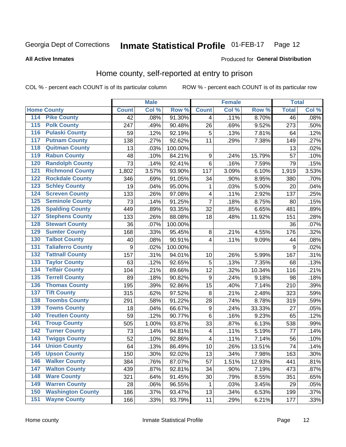#### Inmate Statistical Profile 01-FEB-17 Page 12

#### **All Active Inmates**

#### Produced for General Distribution

## Home county, self-reported at entry to prison

COL % - percent each COUNT is of its particular column

|                                          |                          |              | <b>Male</b> |                  |                  | <b>Female</b> |        | <b>Total</b>    |       |
|------------------------------------------|--------------------------|--------------|-------------|------------------|------------------|---------------|--------|-----------------|-------|
| <b>Home County</b>                       |                          | <b>Count</b> | Col %       | Row <sup>%</sup> | <b>Count</b>     | Col %         | Row %  | <b>Total</b>    | Col % |
| 114<br><b>Pike County</b>                |                          | 42           | .08%        | 91.30%           | 4                | .11%          | 8.70%  | $\overline{46}$ | .08%  |
| <b>Polk County</b><br>115                |                          | 247          | .49%        | 90.48%           | 26               | .69%          | 9.52%  | 273             | .50%  |
| <b>Pulaski County</b><br>116             |                          | 59           | .12%        | 92.19%           | 5                | .13%          | 7.81%  | 64              | .12%  |
| <b>Putnam County</b><br>117              |                          | 138          | .27%        | 92.62%           | 11               | .29%          | 7.38%  | 149             | .27%  |
| 118                                      | <b>Quitman County</b>    | 13           | .03%        | 100.00%          |                  |               |        | 13              | .02%  |
| <b>Rabun County</b><br>119               |                          | 48           | .10%        | 84.21%           | $\boldsymbol{9}$ | .24%          | 15.79% | 57              | .10%  |
| 120                                      | <b>Randolph County</b>   | 73           | .14%        | 92.41%           | $\,6$            | .16%          | 7.59%  | 79              | .15%  |
| 121                                      | <b>Richmond County</b>   | 1,802        | 3.57%       | 93.90%           | 117              | 3.09%         | 6.10%  | 1,919           | 3.53% |
| 122                                      | <b>Rockdale County</b>   | 346          | .69%        | 91.05%           | 34               | .90%          | 8.95%  | 380             | .70%  |
| <b>Schley County</b><br>123              |                          | 19           | .04%        | 95.00%           | 1                | .03%          | 5.00%  | 20              | .04%  |
| 124                                      | <b>Screven County</b>    | 133          | .26%        | 97.08%           | $\overline{4}$   | .11%          | 2.92%  | 137             | .25%  |
| 125                                      | <b>Seminole County</b>   | 73           | .14%        | 91.25%           | $\overline{7}$   | .18%          | 8.75%  | 80              | .15%  |
| 126                                      | <b>Spalding County</b>   | 449          | .89%        | 93.35%           | 32               | .85%          | 6.65%  | 481             | .89%  |
| 127                                      | <b>Stephens County</b>   | 133          | .26%        | 88.08%           | 18               | .48%          | 11.92% | 151             | .28%  |
| <b>Stewart County</b><br>128             |                          | 36           | .07%        | 100.00%          |                  |               |        | 36              | .07%  |
| <b>Sumter County</b><br>129              |                          | 168          | .33%        | 95.45%           | 8                | .21%          | 4.55%  | 176             | .32%  |
| <b>Talbot County</b><br>130              |                          | 40           | .08%        | 90.91%           | 4                | .11%          | 9.09%  | 44              | .08%  |
| 131                                      | <b>Taliaferro County</b> | 9            | .02%        | 100.00%          |                  |               |        | 9               | .02%  |
| <b>Tattnall County</b><br>132            |                          | 157          | .31%        | 94.01%           | 10               | .26%          | 5.99%  | 167             | .31%  |
| <b>Taylor County</b><br>133              |                          | 63           | .12%        | 92.65%           | 5                | .13%          | 7.35%  | 68              | .13%  |
| <b>Telfair County</b><br>134             |                          | 104          | .21%        | 89.66%           | 12               | .32%          | 10.34% | 116             | .21%  |
| <b>Terrell County</b><br>135             |                          | 89           | .18%        | 90.82%           | 9                | .24%          | 9.18%  | 98              | .18%  |
| 136                                      | <b>Thomas County</b>     | 195          | .39%        | 92.86%           | 15               | .40%          | 7.14%  | 210             | .39%  |
| <b>Tift County</b><br>137                |                          | 315          | .62%        | 97.52%           | 8                | .21%          | 2.48%  | 323             | .59%  |
| 138                                      | <b>Toombs County</b>     | 291          | .58%        | 91.22%           | 28               | .74%          | 8.78%  | 319             | .59%  |
| <b>Towns County</b><br>139               |                          | 18           | .04%        | 66.67%           | $\boldsymbol{9}$ | .24%          | 33.33% | 27              | .05%  |
| 140                                      | <b>Treutlen County</b>   | 59           | .12%        | 90.77%           | $\,6$            | .16%          | 9.23%  | 65              | .12%  |
| <b>Troup County</b><br>141               |                          | 505          | 1.00%       | 93.87%           | 33               | .87%          | 6.13%  | 538             | .99%  |
| <b>Turner County</b><br>$\overline{142}$ |                          | 73           | .14%        | 94.81%           | 4                | .11%          | 5.19%  | 77              | .14%  |
| <b>Twiggs County</b><br>143              |                          | 52           | .10%        | 92.86%           | 4                | .11%          | 7.14%  | 56              | .10%  |
| <b>Union County</b><br>144               |                          | 64           | .13%        | 86.49%           | 10               | .26%          | 13.51% | 74              | .14%  |
| 145<br><b>Upson County</b>               |                          | 150          | .30%        | 92.02%           | 13               | .34%          | 7.98%  | 163             | .30%  |
| <b>Walker County</b><br>146              |                          | 384          | .76%        | 87.07%           | 57               | 1.51%         | 12.93% | 441             | .81%  |
| <b>Walton County</b><br>147              |                          | 439          | .87%        | 92.81%           | 34               | .90%          | 7.19%  | 473             | .87%  |
| <b>Ware County</b><br>148                |                          | 321          | .64%        | 91.45%           | 30               | .79%          | 8.55%  | 351             | .65%  |
| <b>Warren County</b><br>149              |                          | 28           | .06%        | 96.55%           | 1                | .03%          | 3.45%  | 29              | .05%  |
| 150                                      | <b>Washington County</b> | 186          | .37%        | 93.47%           | 13               | .34%          | 6.53%  | 199             | .37%  |
| <b>Wayne County</b><br>151               |                          | 166          | .33%        | 93.79%           | 11               | .29%          | 6.21%  | 177             | .33%  |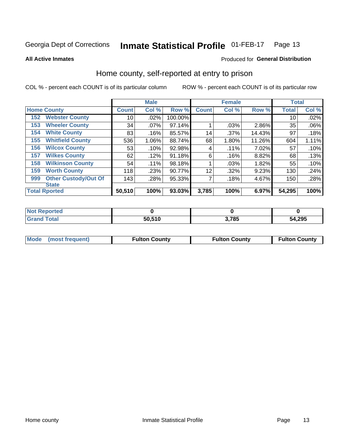#### **Inmate Statistical Profile 01-FEB-17** Page 13

#### **All Active Inmates**

## Produced for General Distribution

### Home county, self-reported at entry to prison

COL % - percent each COUNT is of its particular column

|     |                             |              | <b>Male</b> |         |                 | <b>Female</b> |          | <b>Total</b> |       |
|-----|-----------------------------|--------------|-------------|---------|-----------------|---------------|----------|--------------|-------|
|     | <b>Home County</b>          | <b>Count</b> | Col %       | Row %   | <b>Count</b>    | Col %         | Row %    | <b>Total</b> | Col % |
| 152 | <b>Webster County</b>       | 10           | .02%        | 100.00% |                 |               |          | 10           | .02%  |
| 153 | <b>Wheeler County</b>       | 34           | $.07\%$     | 97.14%  |                 | .03%          | $2.86\%$ | 35           | .06%  |
| 154 | <b>White County</b>         | 83           | .16%        | 85.57%  | 14 <sub>1</sub> | .37%          | 14.43%   | 97           | .18%  |
| 155 | <b>Whitfield County</b>     | 536          | 1.06%       | 88.74%  | 68              | 1.80%         | 11.26%   | 604          | 1.11% |
| 156 | <b>Wilcox County</b>        | 53           | .10%        | 92.98%  | 4               | .11%          | 7.02%    | 57           | .10%  |
| 157 | <b>Wilkes County</b>        | 62           | .12%        | 91.18%  | 6               | .16%          | 8.82%    | 68           | .13%  |
| 158 | <b>Wilkinson County</b>     | 54           | .11%        | 98.18%  |                 | .03%          | 1.82%    | 55           | .10%  |
| 159 | <b>Worth County</b>         | 118          | .23%        | 90.77%  | 12              | .32%          | 9.23%    | 130          | .24%  |
| 999 | <b>Other Custody/Out Of</b> | 143          | .28%        | 95.33%  | 7               | .18%          | 4.67%    | 150          | .28%  |
|     | <b>State</b>                |              |             |         |                 |               |          |              |       |
|     | <b>Total Rported</b>        | 50,510       | 100%        | 93.03%  | 3,785           | 100%          | 6.97%    | 54,295       | 100%  |

| Reported<br>NO1 |        |       |        |
|-----------------|--------|-------|--------|
| <b>Total</b>    | 50.510 | 3,785 | 54,295 |

|  | Mode (most frequent) | <b>Fulton County</b> | <b>Fulton County</b> | <b>Fulton County</b> |
|--|----------------------|----------------------|----------------------|----------------------|
|--|----------------------|----------------------|----------------------|----------------------|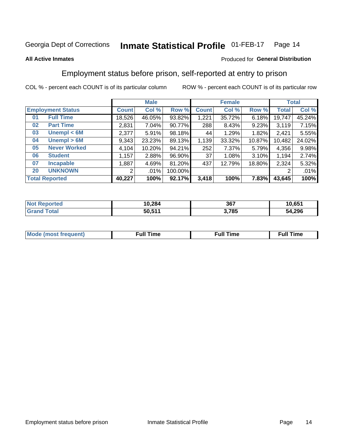#### **Inmate Statistical Profile 01-FEB-17** Page 14

#### **All Active Inmates**

#### Produced for General Distribution

## Employment status before prison, self-reported at entry to prison

COL % - percent each COUNT is of its particular column

|                           |              | <b>Male</b> |         |                 | <b>Female</b> |        |        | <b>Total</b> |
|---------------------------|--------------|-------------|---------|-----------------|---------------|--------|--------|--------------|
| <b>Employment Status</b>  | <b>Count</b> | Col %       | Row %   | <b>Count</b>    | Col %         | Row %  | Total  | Col %        |
| <b>Full Time</b><br>01    | 18,526       | 46.05%      | 93.82%  | 1,221           | 35.72%        | 6.18%  | 19,747 | 45.24%       |
| <b>Part Time</b><br>02    | 2,831        | 7.04%       | 90.77%  | 288             | 8.43%         | 9.23%  | 3,119  | 7.15%        |
| Unempl $<$ 6M<br>03       | 2,377        | 5.91%       | 98.18%  | 44              | 1.29%         | 1.82%  | 2,421  | 5.55%        |
| Unempl > 6M<br>04         | 9,343        | 23.23%      | 89.13%  | 1,139           | 33.32%        | 10.87% | 10,482 | 24.02%       |
| <b>Never Worked</b><br>05 | 4,104        | 10.20%      | 94.21%  | 252             | 7.37%         | 5.79%  | 4,356  | 9.98%        |
| <b>Student</b><br>06      | ,157         | 2.88%       | 96.90%  | 37 <sub>1</sub> | 1.08%         | 3.10%  | 1,194  | 2.74%        |
| 07<br><b>Incapable</b>    | .887         | 4.69%       | 81.20%  | 437             | 12.79%        | 18.80% | 2,324  | 5.32%        |
| <b>UNKNOWN</b><br>20      | 2            | .01%        | 100.00% |                 |               |        | 2      | .01%         |
| <b>Total Reported</b>     | 40,227       | 100%        | 92.17%  | 3,418           | 100%          | 7.83%  | 43,645 | 100%         |

| <b>Not Reported</b> | 10,284 | 367   | 10,651 |
|---------------------|--------|-------|--------|
| <b>Grand Total</b>  | 50,511 | 3,785 | 54,296 |

| <b>Mode (most frequent)</b> | $^{\prime\prime}$ Time | <b>Time</b><br>rull i |
|-----------------------------|------------------------|-----------------------|
|                             |                        |                       |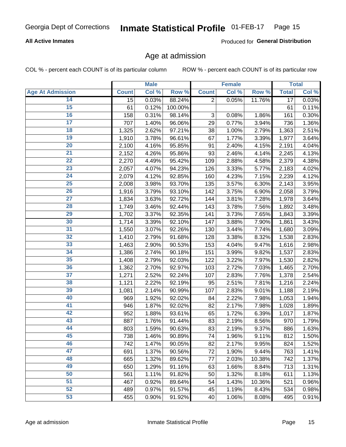#### **All Active Inmates**

Produced for General Distribution

## Age at admission

COL % - percent each COUNT is of its particular column

|                         |                 | <b>Male</b> |         |                           | <b>Female</b> |        |                 | <b>Total</b> |
|-------------------------|-----------------|-------------|---------|---------------------------|---------------|--------|-----------------|--------------|
| <b>Age At Admission</b> | <b>Count</b>    | Col %       | Row %   | <b>Count</b>              | Col %         | Row %  | <b>Total</b>    | Col %        |
| 14                      | $\overline{15}$ | 0.03%       | 88.24%  | $\overline{2}$            | 0.05%         | 11.76% | $\overline{17}$ | 0.03%        |
| $\overline{15}$         | 61              | 0.12%       | 100.00% |                           |               |        | 61              | 0.11%        |
| 16                      | 158             | 0.31%       | 98.14%  | $\ensuremath{\mathsf{3}}$ | 0.08%         | 1.86%  | 161             | 0.30%        |
| $\overline{17}$         | 707             | 1.40%       | 96.06%  | 29                        | 0.77%         | 3.94%  | 736             | 1.36%        |
| $\overline{18}$         | 1,325           | 2.62%       | 97.21%  | 38                        | 1.00%         | 2.79%  | 1,363           | 2.51%        |
| 19                      | 1,910           | 3.78%       | 96.61%  | 67                        | 1.77%         | 3.39%  | 1,977           | 3.64%        |
| 20                      | 2,100           | 4.16%       | 95.85%  | 91                        | 2.40%         | 4.15%  | 2,191           | 4.04%        |
| $\overline{21}$         | 2,152           | 4.26%       | 95.86%  | 93                        | 2.46%         | 4.14%  | 2,245           | 4.13%        |
| $\overline{22}$         | 2,270           | 4.49%       | 95.42%  | 109                       | 2.88%         | 4.58%  | 2,379           | 4.38%        |
| 23                      | 2,057           | 4.07%       | 94.23%  | 126                       | 3.33%         | 5.77%  | 2,183           | 4.02%        |
| 24                      | 2,079           | 4.12%       | 92.85%  | 160                       | 4.23%         | 7.15%  | 2,239           | 4.12%        |
| $\overline{25}$         | 2,008           | 3.98%       | 93.70%  | 135                       | 3.57%         | 6.30%  | 2,143           | 3.95%        |
| $\overline{26}$         | 1,916           | 3.79%       | 93.10%  | 142                       | 3.75%         | 6.90%  | 2,058           | 3.79%        |
| $\overline{27}$         | 1,834           | 3.63%       | 92.72%  | 144                       | 3.81%         | 7.28%  | 1,978           | 3.64%        |
| 28                      | 1,749           | 3.46%       | 92.44%  | 143                       | 3.78%         | 7.56%  | 1,892           | 3.48%        |
| 29                      | 1,702           | 3.37%       | 92.35%  | 141                       | 3.73%         | 7.65%  | 1,843           | 3.39%        |
| 30                      | 1,714           | 3.39%       | 92.10%  | 147                       | 3.88%         | 7.90%  | 1,861           | 3.43%        |
| 31                      | 1,550           | 3.07%       | 92.26%  | 130                       | 3.44%         | 7.74%  | 1,680           | 3.09%        |
| 32                      | 1,410           | 2.79%       | 91.68%  | 128                       | 3.38%         | 8.32%  | 1,538           | 2.83%        |
| 33                      | 1,463           | 2.90%       | 90.53%  | 153                       | 4.04%         | 9.47%  | 1,616           | 2.98%        |
| 34                      | 1,386           | 2.74%       | 90.18%  | 151                       | 3.99%         | 9.82%  | 1,537           | 2.83%        |
| 35                      | 1,408           | 2.79%       | 92.03%  | 122                       | 3.22%         | 7.97%  | 1,530           | 2.82%        |
| 36                      | 1,362           | 2.70%       | 92.97%  | 103                       | 2.72%         | 7.03%  | 1,465           | 2.70%        |
| 37                      | 1,271           | 2.52%       | 92.24%  | 107                       | 2.83%         | 7.76%  | 1,378           | 2.54%        |
| 38                      | 1,121           | 2.22%       | 92.19%  | 95                        | 2.51%         | 7.81%  | 1,216           | 2.24%        |
| 39                      | 1,081           | 2.14%       | 90.99%  | 107                       | 2.83%         | 9.01%  | 1,188           | 2.19%        |
| 40                      | 969             | 1.92%       | 92.02%  | 84                        | 2.22%         | 7.98%  | 1,053           | 1.94%        |
| 41                      | 946             | 1.87%       | 92.02%  | 82                        | 2.17%         | 7.98%  | 1,028           | 1.89%        |
| 42                      | 952             | 1.88%       | 93.61%  | 65                        | 1.72%         | 6.39%  | 1,017           | 1.87%        |
| 43                      | 887             | 1.76%       | 91.44%  | 83                        | 2.19%         | 8.56%  | 970             | 1.79%        |
| 44                      | 803             | 1.59%       | 90.63%  | 83                        | 2.19%         | 9.37%  | 886             | 1.63%        |
| 45                      | 738             | 1.46%       | 90.89%  | 74                        | 1.96%         | 9.11%  | 812             | 1.50%        |
| 46                      | 742             | 1.47%       | 90.05%  | 82                        | 2.17%         | 9.95%  | 824             | 1.52%        |
| 47                      | 691             | 1.37%       | 90.56%  | 72                        | 1.90%         | 9.44%  | 763             | 1.41%        |
| 48                      | 665             | 1.32%       | 89.62%  | 77                        | 2.03%         | 10.38% | 742             | 1.37%        |
| 49                      | 650             | 1.29%       | 91.16%  | 63                        | 1.66%         | 8.84%  | 713             | 1.31%        |
| 50                      | 561             | 1.11%       | 91.82%  | 50                        | 1.32%         | 8.18%  | 611             | 1.13%        |
| 51                      | 467             | 0.92%       | 89.64%  | 54                        | 1.43%         | 10.36% | 521             | 0.96%        |
| 52                      | 489             | 0.97%       | 91.57%  | 45                        | 1.19%         | 8.43%  | 534             | 0.98%        |
| 53                      | 455             | 0.90%       | 91.92%  | 40                        | 1.06%         | 8.08%  | 495             | 0.91%        |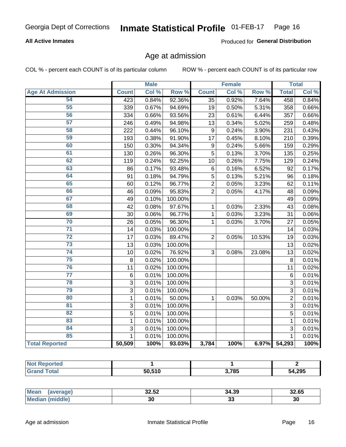#### **All Active Inmates**

Produced for General Distribution

## Age at admission

COL % - percent each COUNT is of its particular column

|                         |                | <b>Male</b> |         |                  | <b>Female</b> |                  |                | <b>Total</b> |
|-------------------------|----------------|-------------|---------|------------------|---------------|------------------|----------------|--------------|
| <b>Age At Admission</b> | <b>Count</b>   | Col %       | Row %   | <b>Count</b>     | Col %         | Row <sup>%</sup> | <b>Total</b>   | Col %        |
| 54                      | 423            | 0.84%       | 92.36%  | $\overline{35}$  | 0.92%         | 7.64%            | 458            | 0.84%        |
| 55                      | 339            | 0.67%       | 94.69%  | 19               | 0.50%         | 5.31%            | 358            | 0.66%        |
| 56                      | 334            | 0.66%       | 93.56%  | 23               | 0.61%         | 6.44%            | 357            | 0.66%        |
| 57                      | 246            | 0.49%       | 94.98%  | 13               | 0.34%         | 5.02%            | 259            | 0.48%        |
| 58                      | 222            | 0.44%       | 96.10%  | $\overline{9}$   | 0.24%         | 3.90%            | 231            | 0.43%        |
| 59                      | 193            | 0.38%       | 91.90%  | 17               | 0.45%         | 8.10%            | 210            | 0.39%        |
| 60                      | 150            | 0.30%       | 94.34%  | $\boldsymbol{9}$ | 0.24%         | 5.66%            | 159            | 0.29%        |
| 61                      | 130            | 0.26%       | 96.30%  | $\overline{5}$   | 0.13%         | 3.70%            | 135            | 0.25%        |
| 62                      | 119            | 0.24%       | 92.25%  | 10               | 0.26%         | 7.75%            | 129            | 0.24%        |
| 63                      | 86             | 0.17%       | 93.48%  | 6                | 0.16%         | 6.52%            | 92             | 0.17%        |
| 64                      | 91             | 0.18%       | 94.79%  | 5                | 0.13%         | 5.21%            | 96             | 0.18%        |
| 65                      | 60             | 0.12%       | 96.77%  | $\overline{2}$   | 0.05%         | 3.23%            | 62             | 0.11%        |
| 66                      | 46             | 0.09%       | 95.83%  | $\overline{2}$   | 0.05%         | 4.17%            | 48             | 0.09%        |
| 67                      | 49             | 0.10%       | 100.00% |                  |               |                  | 49             | 0.09%        |
| 68                      | 42             | 0.08%       | 97.67%  | 1                | 0.03%         | 2.33%            | 43             | 0.08%        |
| 69                      | 30             | 0.06%       | 96.77%  | 1                | 0.03%         | 3.23%            | 31             | 0.06%        |
| 70                      | 26             | 0.05%       | 96.30%  | 1                | 0.03%         | 3.70%            | 27             | 0.05%        |
| $\overline{71}$         | 14             | 0.03%       | 100.00% |                  |               |                  | 14             | 0.03%        |
| $\overline{72}$         | 17             | 0.03%       | 89.47%  | $\overline{2}$   | 0.05%         | 10.53%           | 19             | 0.03%        |
| $\overline{73}$         | 13             | 0.03%       | 100.00% |                  |               |                  | 13             | 0.02%        |
| 74                      | 10             | 0.02%       | 76.92%  | 3                | 0.08%         | 23.08%           | 13             | 0.02%        |
| 75                      | 8              | 0.02%       | 100.00% |                  |               |                  | 8              | 0.01%        |
| 76                      | 11             | 0.02%       | 100.00% |                  |               |                  | 11             | 0.02%        |
| $\overline{77}$         | $\,6$          | 0.01%       | 100.00% |                  |               |                  | 6              | 0.01%        |
| 78                      | 3              | 0.01%       | 100.00% |                  |               |                  | 3              | 0.01%        |
| 79                      | $\overline{3}$ | 0.01%       | 100.00% |                  |               |                  | $\overline{3}$ | 0.01%        |
| 80                      | $\mathbf{1}$   | 0.01%       | 50.00%  | 1                | 0.03%         | 50.00%           | $\overline{2}$ | 0.01%        |
| 81                      | $\overline{3}$ | 0.01%       | 100.00% |                  |               |                  | $\overline{3}$ | 0.01%        |
| $\overline{82}$         | $\overline{5}$ | 0.01%       | 100.00% |                  |               |                  | 5              | 0.01%        |
| 83                      | $\mathbf{1}$   | 0.01%       | 100.00% |                  |               |                  | 1              | 0.01%        |
| 84                      | 3              | 0.01%       | 100.00% |                  |               |                  | 3              | 0.01%        |
| 85                      | 1              | 0.01%       | 100.00% |                  |               |                  | 1              | 0.01%        |
| <b>Total Reported</b>   | 50,509         | 100%        | 93.03%  | 3,784            | 100%          | 6.97%            | 54,293         | 100%         |

| Reported<br>NOT. |        |       |        |
|------------------|--------|-------|--------|
| $T$ otol $T$     | 50.510 | 3,785 | 54,295 |

| <b>Mean</b> | oo ro | 34.39    | 00. QP |
|-------------|-------|----------|--------|
| raoer       | 32.JZ |          | 32.65  |
| `Me.        | 30    | ~<br>ึงง | 30     |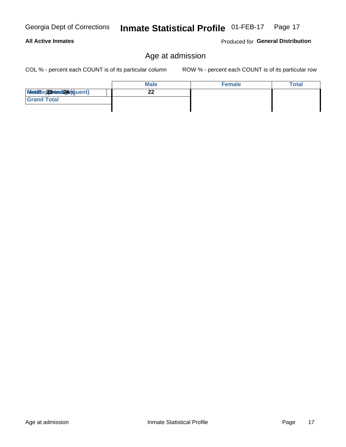#### **All Active Inmates**

Produced for General Distribution

## Age at admission

COL % - percent each COUNT is of its particular column

|                          | <b>Male</b> | <b>Female</b> | Total |
|--------------------------|-------------|---------------|-------|
| Modiae 22 Mest24e)quent) | n n         |               |       |
| <b>Grand Total</b>       |             |               |       |
|                          |             |               |       |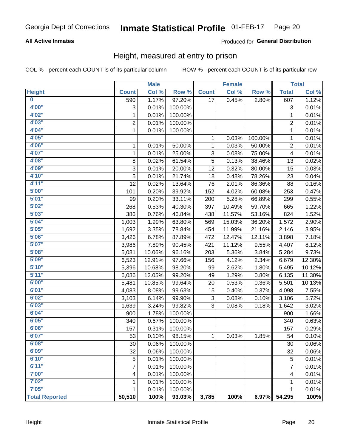#### **All Active Inmates**

#### Produced for General Distribution

## Height, measured at entry to prison

COL % - percent each COUNT is of its particular column

|                         |                | <b>Male</b> |         |              | <b>Female</b> |         |                | <b>Total</b> |
|-------------------------|----------------|-------------|---------|--------------|---------------|---------|----------------|--------------|
| <b>Height</b>           | <b>Count</b>   | Col %       | Row %   | <b>Count</b> | Col %         | Row %   | <b>Total</b>   | Col %        |
| $\overline{\mathbf{0}}$ | 590            | 1.17%       | 97.20%  | 17           | 0.45%         | 2.80%   | 607            | 1.12%        |
| 4'00"                   | 3              | 0.01%       | 100.00% |              |               |         | 3              | 0.01%        |
| 4'02"                   | $\mathbf{1}$   | 0.01%       | 100.00% |              |               |         | 1              | 0.01%        |
| 4'03''                  | $\overline{2}$ | 0.01%       | 100.00% |              |               |         | 2              | 0.01%        |
| 4'04"                   | $\mathbf{1}$   | 0.01%       | 100.00% |              |               |         | 1              | 0.01%        |
| 4'05"                   |                |             |         | 1            | 0.03%         | 100.00% | $\mathbf{1}$   | 0.01%        |
| 4'06"                   | 1              | 0.01%       | 50.00%  | 1            | 0.03%         | 50.00%  | $\overline{c}$ | 0.01%        |
| 4'07"                   | $\mathbf{1}$   | 0.01%       | 25.00%  | 3            | 0.08%         | 75.00%  | 4              | 0.01%        |
| 4'08"                   | 8              | 0.02%       | 61.54%  | 5            | 0.13%         | 38.46%  | 13             | 0.02%        |
| 4'09"                   | 3              | 0.01%       | 20.00%  | 12           | 0.32%         | 80.00%  | 15             | 0.03%        |
| 4'10"                   | 5              | 0.01%       | 21.74%  | 18           | 0.48%         | 78.26%  | 23             | 0.04%        |
| 4'11''                  | 12             | 0.02%       | 13.64%  | 76           | 2.01%         | 86.36%  | 88             | 0.16%        |
| 5'00''                  | 101            | 0.20%       | 39.92%  | 152          | 4.02%         | 60.08%  | 253            | 0.47%        |
| 5'01"                   | 99             | 0.20%       | 33.11%  | 200          | 5.28%         | 66.89%  | 299            | 0.55%        |
| 5'02"                   | 268            | 0.53%       | 40.30%  | 397          | 10.49%        | 59.70%  | 665            | 1.22%        |
| 5'03"                   | 386            | 0.76%       | 46.84%  | 438          | 11.57%        | 53.16%  | 824            | 1.52%        |
| 5'04"                   | 1,003          | 1.99%       | 63.80%  | 569          | 15.03%        | 36.20%  | 1,572          | 2.90%        |
| 5'05"                   | 1,692          | 3.35%       | 78.84%  | 454          | 11.99%        | 21.16%  | 2,146          | 3.95%        |
| 5'06''                  | 3,426          | 6.78%       | 87.89%  | 472          | 12.47%        | 12.11%  | 3,898          | 7.18%        |
| 5'07''                  | 3,986          | 7.89%       | 90.45%  | 421          | 11.12%        | 9.55%   | 4,407          | 8.12%        |
| 5'08''                  | 5,081          | 10.06%      | 96.16%  | 203          | 5.36%         | 3.84%   | 5,284          | 9.73%        |
| 5'09''                  | 6,523          | 12.91%      | 97.66%  | 156          | 4.12%         | 2.34%   | 6,679          | 12.30%       |
| 5'10''                  | 5,396          | 10.68%      | 98.20%  | 99           | 2.62%         | 1.80%   | 5,495          | 10.12%       |
| 5'11"                   | 6,086          | 12.05%      | 99.20%  | 49           | 1.29%         | 0.80%   | 6,135          | 11.30%       |
| 6'00''                  | 5,481          | 10.85%      | 99.64%  | 20           | 0.53%         | 0.36%   | 5,501          | 10.13%       |
| 6'01''                  | 4,083          | 8.08%       | 99.63%  | 15           | 0.40%         | 0.37%   | 4,098          | 7.55%        |
| 6'02"                   | 3,103          | 6.14%       | 99.90%  | 3            | 0.08%         | 0.10%   | 3,106          | 5.72%        |
| 6'03''                  | 1,639          | 3.24%       | 99.82%  | 3            | 0.08%         | 0.18%   | 1,642          | 3.02%        |
| 6'04"                   | 900            | 1.78%       | 100.00% |              |               |         | 900            | 1.66%        |
| 6'05"                   | 340            | 0.67%       | 100.00% |              |               |         | 340            | 0.63%        |
| 6'06"                   | 157            | 0.31%       | 100.00% |              |               |         | 157            | 0.29%        |
| 6'07"                   | 53             | 0.10%       | 98.15%  | 1            | 0.03%         | 1.85%   | 54             | 0.10%        |
| 6'08"                   | 30             | 0.06%       | 100.00% |              |               |         | 30             | 0.06%        |
| 6'09''                  | 32             | 0.06%       | 100.00% |              |               |         | 32             | 0.06%        |
| 6'10''                  | 5              | 0.01%       | 100.00% |              |               |         | 5              | 0.01%        |
| 6'11''                  | 7              | 0.01%       | 100.00% |              |               |         | 7              | 0.01%        |
| 7'00"                   | 4              | 0.01%       | 100.00% |              |               |         | 4              | 0.01%        |
| 7'02"                   | 1              | 0.01%       | 100.00% |              |               |         | 1              | 0.01%        |
| 7'05"                   | $\mathbf{1}$   | 0.01%       | 100.00% |              |               |         | $\mathbf{1}$   | 0.01%        |
| <b>Total Reported</b>   | 50,510         | 100%        | 93.03%  | 3,785        | 100%          | 6.97%   | 54,295         | 100%         |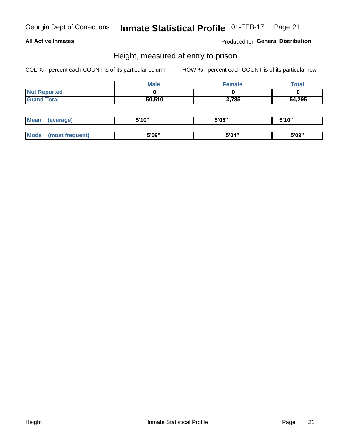#### **All Active Inmates**

Produced for General Distribution

## Height, measured at entry to prison

COL % - percent each COUNT is of its particular column

|                     | <b>Male</b> | Female | Total  |
|---------------------|-------------|--------|--------|
| <b>Not Reported</b> |             |        |        |
| <b>Grand Total</b>  | 50,510      | 3,785  | 54,295 |

| <b>Mean</b> | erage) | 5'10" | 5'05" | <b>CIA AIL</b><br>. . |
|-------------|--------|-------|-------|-----------------------|
|             |        |       |       |                       |
| <b>Mode</b> |        | 5'09" | 5'04" | 5'09"                 |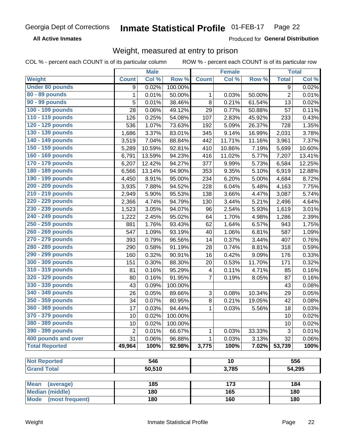**All Active Inmates** 

Produced for General Distribution

## Weight, measured at entry to prison

COL % - percent each COUNT is of its particular column

| Col %<br>Col %<br>Row %<br>Row %<br><b>Total</b><br>Col %<br>Weight<br><b>Count</b><br><b>Count</b><br><b>Under 80 pounds</b><br>0.02%<br>100.00%<br>0.02%<br>9<br>9<br>80 - 89 pounds<br>1<br>$\overline{c}$<br>0.01%<br>50.00%<br>0.01%<br>1<br>0.03%<br>50.00%<br>90 - 99 pounds<br>5<br>8<br>61.54%<br>0.01%<br>38.46%<br>0.21%<br>13<br>0.02%<br>100 - 109 pounds<br>28<br>0.06%<br>49.12%<br>29<br>0.77%<br>50.88%<br>57<br>0.11%<br>110 - 119 pounds<br>233<br>126<br>0.25%<br>54.08%<br>107<br>2.83%<br>45.92%<br>0.43%<br>120 - 129 pounds<br>1.07%<br>73.63%<br>5.09%<br>26.37%<br>728<br>1.35%<br>536<br>192<br>130 - 139 pounds<br>3.37%<br>9.14%<br>3.78%<br>1,686<br>83.01%<br>345<br>16.99%<br>2,031<br>140 - 149 pounds<br>7.37%<br>7.04%<br>88.84%<br>442<br>11.71%<br>11.16%<br>3,519<br>3,961<br>150 - 159 pounds |
|--------------------------------------------------------------------------------------------------------------------------------------------------------------------------------------------------------------------------------------------------------------------------------------------------------------------------------------------------------------------------------------------------------------------------------------------------------------------------------------------------------------------------------------------------------------------------------------------------------------------------------------------------------------------------------------------------------------------------------------------------------------------------------------------------------------------------------------|
|                                                                                                                                                                                                                                                                                                                                                                                                                                                                                                                                                                                                                                                                                                                                                                                                                                      |
|                                                                                                                                                                                                                                                                                                                                                                                                                                                                                                                                                                                                                                                                                                                                                                                                                                      |
|                                                                                                                                                                                                                                                                                                                                                                                                                                                                                                                                                                                                                                                                                                                                                                                                                                      |
|                                                                                                                                                                                                                                                                                                                                                                                                                                                                                                                                                                                                                                                                                                                                                                                                                                      |
|                                                                                                                                                                                                                                                                                                                                                                                                                                                                                                                                                                                                                                                                                                                                                                                                                                      |
|                                                                                                                                                                                                                                                                                                                                                                                                                                                                                                                                                                                                                                                                                                                                                                                                                                      |
|                                                                                                                                                                                                                                                                                                                                                                                                                                                                                                                                                                                                                                                                                                                                                                                                                                      |
|                                                                                                                                                                                                                                                                                                                                                                                                                                                                                                                                                                                                                                                                                                                                                                                                                                      |
|                                                                                                                                                                                                                                                                                                                                                                                                                                                                                                                                                                                                                                                                                                                                                                                                                                      |
| 92.81%<br>10.86%<br>7.19%<br>5,699<br>10.60%<br>5,289<br>10.59%<br>410                                                                                                                                                                                                                                                                                                                                                                                                                                                                                                                                                                                                                                                                                                                                                               |
| 160 - 169 pounds<br>13.59%<br>11.02%<br>5.77%<br>13.41%<br>6,791<br>94.23%<br>416<br>7,207                                                                                                                                                                                                                                                                                                                                                                                                                                                                                                                                                                                                                                                                                                                                           |
| 170 - 179 pounds<br>6,207<br>12.42%<br>94.27%<br>377<br>9.99%<br>5.73%<br>6,584<br>12.25%                                                                                                                                                                                                                                                                                                                                                                                                                                                                                                                                                                                                                                                                                                                                            |
| 180 - 189 pounds<br>13.14%<br>94.90%<br>9.35%<br>5.10%<br>6,919<br>12.88%<br>6,566<br>353                                                                                                                                                                                                                                                                                                                                                                                                                                                                                                                                                                                                                                                                                                                                            |
| 190 - 199 pounds<br>8.91%<br>95.00%<br>234<br>6.20%<br>5.00%<br>4,684<br>8.72%<br>4,450                                                                                                                                                                                                                                                                                                                                                                                                                                                                                                                                                                                                                                                                                                                                              |
| 200 - 209 pounds<br>94.52%<br>6.04%<br>5.48%<br>4,163<br>7.75%<br>3,935<br>7.88%<br>228                                                                                                                                                                                                                                                                                                                                                                                                                                                                                                                                                                                                                                                                                                                                              |
| 210 - 219 pounds<br>138<br>3.66%<br>4.47%<br>5.74%<br>2,949<br>5.90%<br>95.53%<br>3,087                                                                                                                                                                                                                                                                                                                                                                                                                                                                                                                                                                                                                                                                                                                                              |
| 220 - 229 pounds<br>5.21%<br>4.74%<br>94.79%<br>130<br>3.44%<br>2,496<br>4.64%<br>2,366                                                                                                                                                                                                                                                                                                                                                                                                                                                                                                                                                                                                                                                                                                                                              |
| 230 - 239 pounds<br>3.05%<br>2.54%<br>5.93%<br>3.01%<br>1,523<br>94.07%<br>96<br>1,619                                                                                                                                                                                                                                                                                                                                                                                                                                                                                                                                                                                                                                                                                                                                               |
| 240 - 249 pounds<br>2.45%<br>64<br>1.70%<br>4.98%<br>2.39%<br>1,222<br>95.02%<br>1,286                                                                                                                                                                                                                                                                                                                                                                                                                                                                                                                                                                                                                                                                                                                                               |
| 250 - 259 pounds<br>62<br>6.57%<br>1.75%<br>1.76%<br>93.43%<br>1.64%<br>943<br>881                                                                                                                                                                                                                                                                                                                                                                                                                                                                                                                                                                                                                                                                                                                                                   |
| 260 - 269 pounds<br>547<br>1.09%<br>93.19%<br>1.06%<br>6.81%<br>587<br>1.09%<br>40                                                                                                                                                                                                                                                                                                                                                                                                                                                                                                                                                                                                                                                                                                                                                   |
| 270 - 279 pounds<br>0.79%<br>96.56%<br>14<br>0.37%<br>3.44%<br>393<br>407<br>0.76%                                                                                                                                                                                                                                                                                                                                                                                                                                                                                                                                                                                                                                                                                                                                                   |
| 280 - 289 pounds<br>0.58%<br>28<br>0.74%<br>8.81%<br>318<br>0.59%<br>290<br>91.19%                                                                                                                                                                                                                                                                                                                                                                                                                                                                                                                                                                                                                                                                                                                                                   |
| 290 - 299 pounds<br>0.32%<br>16<br>0.42%<br>9.09%<br>176<br>0.33%<br>160<br>90.91%                                                                                                                                                                                                                                                                                                                                                                                                                                                                                                                                                                                                                                                                                                                                                   |
| 300 - 309 pounds<br>0.32%<br>0.30%<br>88.30%<br>0.53%<br>11.70%<br>171<br>151<br>20                                                                                                                                                                                                                                                                                                                                                                                                                                                                                                                                                                                                                                                                                                                                                  |
| 310 - 319 pounds<br>0.16%<br>95.29%<br>0.11%<br>81<br>4<br>4.71%<br>0.16%<br>85                                                                                                                                                                                                                                                                                                                                                                                                                                                                                                                                                                                                                                                                                                                                                      |
| 320 - 329 pounds<br>$\overline{7}$<br>0.16%<br>91.95%<br>87<br>0.16%<br>80<br>0.19%<br>8.05%                                                                                                                                                                                                                                                                                                                                                                                                                                                                                                                                                                                                                                                                                                                                         |
| 330 - 339 pounds<br>43<br>0.09%<br>100.00%<br>43<br>0.08%                                                                                                                                                                                                                                                                                                                                                                                                                                                                                                                                                                                                                                                                                                                                                                            |
| 340 - 349 pounds<br>3<br>26<br>0.05%<br>89.66%<br>0.08%<br>10.34%<br>29<br>0.05%                                                                                                                                                                                                                                                                                                                                                                                                                                                                                                                                                                                                                                                                                                                                                     |
| 350 - 359 pounds<br>8<br>34<br>0.07%<br>80.95%<br>0.21%<br>19.05%<br>42<br>0.08%                                                                                                                                                                                                                                                                                                                                                                                                                                                                                                                                                                                                                                                                                                                                                     |
| 360 - 369 pounds<br>17<br>94.44%<br>$\mathbf{1}$<br>5.56%<br>0.03%<br>0.03%<br>0.03%<br>18                                                                                                                                                                                                                                                                                                                                                                                                                                                                                                                                                                                                                                                                                                                                           |
| 370 - 379 pounds<br>10<br>10<br>0.02%<br>100.00%<br>0.02%                                                                                                                                                                                                                                                                                                                                                                                                                                                                                                                                                                                                                                                                                                                                                                            |
| 380 - 389 pounds<br>0.02%<br>0.02%<br>100.00%<br>10<br>10                                                                                                                                                                                                                                                                                                                                                                                                                                                                                                                                                                                                                                                                                                                                                                            |
| 390 - 399 pounds<br>$\overline{2}$<br>3<br>1<br>0.03%<br>33.33%<br>0.01%<br>66.67%<br>0.01%                                                                                                                                                                                                                                                                                                                                                                                                                                                                                                                                                                                                                                                                                                                                          |
| 400 pounds and over<br>31<br>0.03%<br>3.13%<br>32<br>0.06%<br>96.88%<br>1<br>0.06%                                                                                                                                                                                                                                                                                                                                                                                                                                                                                                                                                                                                                                                                                                                                                   |
| <b>Total Reported</b><br>100%<br>100%<br>7.02%<br>100%<br>49,964<br>92.98%<br>3,775<br>53,739                                                                                                                                                                                                                                                                                                                                                                                                                                                                                                                                                                                                                                                                                                                                        |
|                                                                                                                                                                                                                                                                                                                                                                                                                                                                                                                                                                                                                                                                                                                                                                                                                                      |
| <b>Not Reported</b><br>546<br>$\overline{10}$<br>556                                                                                                                                                                                                                                                                                                                                                                                                                                                                                                                                                                                                                                                                                                                                                                                 |
| 3,785<br><b>Grand Total</b><br>50,510<br>54,295                                                                                                                                                                                                                                                                                                                                                                                                                                                                                                                                                                                                                                                                                                                                                                                      |
|                                                                                                                                                                                                                                                                                                                                                                                                                                                                                                                                                                                                                                                                                                                                                                                                                                      |
| 185<br><b>Mean</b><br>173<br>184<br>(average)<br>165<br><b>Median (middle)</b><br>180<br>180                                                                                                                                                                                                                                                                                                                                                                                                                                                                                                                                                                                                                                                                                                                                         |
| Mode (most frequent)<br>180<br>160<br>180                                                                                                                                                                                                                                                                                                                                                                                                                                                                                                                                                                                                                                                                                                                                                                                            |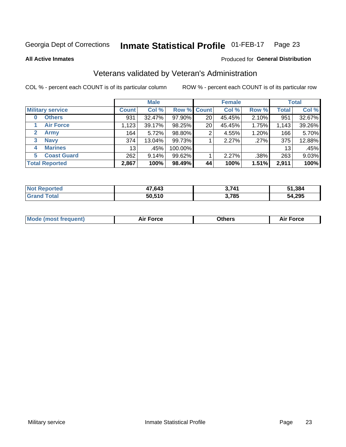#### **Inmate Statistical Profile 01-FEB-17** Page 23

**All Active Inmates** 

#### Produced for General Distribution

## Veterans validated by Veteran's Administration

COL % - percent each COUNT is of its particular column

|                             |                 | <b>Male</b> |                    |    | <b>Female</b> |       |              | <b>Total</b> |
|-----------------------------|-----------------|-------------|--------------------|----|---------------|-------|--------------|--------------|
| <b>Military service</b>     | <b>Count</b>    | Col %       | <b>Row % Count</b> |    | Col %         | Row % | <b>Total</b> | Col %        |
| <b>Others</b><br>0          | 931             | 32.47%      | 97.90%             | 20 | 45.45%        | 2.10% | 951          | 32.67%       |
| <b>Air Force</b>            | 1,123           | 39.17%      | 98.25%             | 20 | 45.45%        | 1.75% | 1,143        | 39.26%       |
| <b>Army</b><br>$\mathbf{2}$ | 164             | 5.72%       | 98.80%             | 2  | 4.55%         | 1.20% | 166          | 5.70%        |
| <b>Navy</b><br>3            | 374             | 13.04%      | 99.73%             |    | 2.27%         | .27%  | 375          | 12.88%       |
| <b>Marines</b><br>4         | 13 <sub>1</sub> | .45%        | 100.00%            |    |               |       | 13           | .45%         |
| <b>Coast Guard</b><br>5.    | 262             | 9.14%       | 99.62%             |    | 2.27%         | .38%  | 263          | 9.03%        |
| <b>Total Reported</b>       | 2,867           | 100%        | 98.49%             | 44 | 100%          | 1.51% | 2,911        | 100%         |

| <b>Not</b><br><b>Reported</b> | 17,643 | 3 741 | 51,384 |
|-------------------------------|--------|-------|--------|
| 'otal                         | 50,510 | 3,785 | 54,295 |

|  |  | <b>Mode (most frequent)</b> | <b>Force</b><br>Aır | วthers | orce |
|--|--|-----------------------------|---------------------|--------|------|
|--|--|-----------------------------|---------------------|--------|------|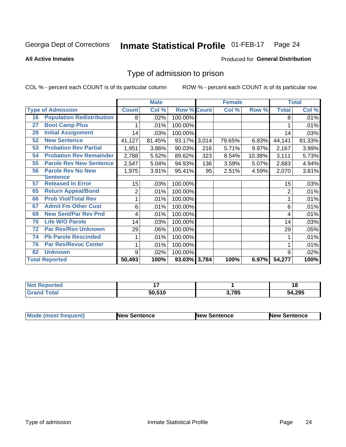#### **Inmate Statistical Profile 01-FEB-17** Page 24

**All Active Inmates** 

#### Produced for General Distribution

## Type of admission to prison

COL % - percent each COUNT is of its particular column

|    |                                  |              | <b>Male</b> |                    |     | <b>Female</b> |        |                | <b>Total</b> |
|----|----------------------------------|--------------|-------------|--------------------|-----|---------------|--------|----------------|--------------|
|    | <b>Type of Admission</b>         | <b>Count</b> | Col %       | <b>Row % Count</b> |     | Col %         | Row %  | <b>Total</b>   | Col %        |
| 16 | <b>Population Redistribution</b> | 8            | .02%        | 100.00%            |     |               |        | 8              | .01%         |
| 27 | <b>Boot Camp Plus</b>            |              | .01%        | 100.00%            |     |               |        |                | .01%         |
| 28 | <b>Initial Assignment</b>        | 14           | .03%        | 100.00%            |     |               |        | 14             | .03%         |
| 52 | <b>New Sentence</b>              | 41,127       | 81.45%      | 93.17% 3,014       |     | 79.65%        | 6.83%  | 44,141         | 81.33%       |
| 53 | <b>Probation Rev Partial</b>     | 1,951        | 3.86%       | 90.03%             | 216 | 5.71%         | 9.97%  | 2,167          | 3.99%        |
| 54 | <b>Probation Rev Remainder</b>   | 2,788        | 5.52%       | 89.62%             | 323 | 8.54%         | 10.38% | 3,111          | 5.73%        |
| 55 | <b>Parole Rev New Sentence</b>   | 2,547        | 5.04%       | 94.93%             | 136 | 3.59%         | 5.07%  | 2,683          | 4.94%        |
| 56 | <b>Parole Rev No New</b>         | 1,975        | 3.91%       | 95.41%             | 95  | 2.51%         | 4.59%  | 2,070          | 3.81%        |
|    | <b>Sentence</b>                  |              |             |                    |     |               |        |                |              |
| 57 | <b>Released In Error</b>         | 15           | .03%        | 100.00%            |     |               |        | 15             | .03%         |
| 65 | <b>Return Appeal/Bond</b>        | 2            | .01%        | 100.00%            |     |               |        | $\overline{2}$ | .01%         |
| 66 | <b>Prob Viol/Total Rev</b>       | 1            | .01%        | 100.00%            |     |               |        |                | .01%         |
| 67 | <b>Admit Fm Other Cust</b>       | 6            | .01%        | 100.00%            |     |               |        | 6              | .01%         |
| 69 | <b>New Sent/Par Rev Pnd</b>      | 4            | .01%        | 100.00%            |     |               |        | 4              | .01%         |
| 70 | <b>Life W/O Parole</b>           | 14           | .03%        | 100.00%            |     |               |        | 14             | .03%         |
| 72 | <b>Par Rev/Rsn Unknown</b>       | 29           | .06%        | 100.00%            |     |               |        | 29             | .05%         |
| 74 | <b>Pb Parole Rescinded</b>       |              | .01%        | 100.00%            |     |               |        |                | .01%         |
| 76 | <b>Par Rev/Revoc Center</b>      | 1            | .01%        | 100.00%            |     |               |        |                | .01%         |
| 82 | <b>Unknown</b>                   | 9            | .02%        | 100.00%            |     |               |        | 9              | .02%         |
|    | <b>Total Reported</b>            | 50,493       | 100%        | 93.03% 3,784       |     | 100%          | 6.97%  | 54,277         | 100%         |

| A CO<br>N0            |        |       | . .<br>1 O  |
|-----------------------|--------|-------|-------------|
| $f \wedge f \wedge f$ | 50,510 | 3,785 | 4,295<br>54 |

| Mode (most frequent) | <b>New Sentence</b> | <b>New Sentence</b> | <b>New Sentence</b> |
|----------------------|---------------------|---------------------|---------------------|
|                      |                     |                     |                     |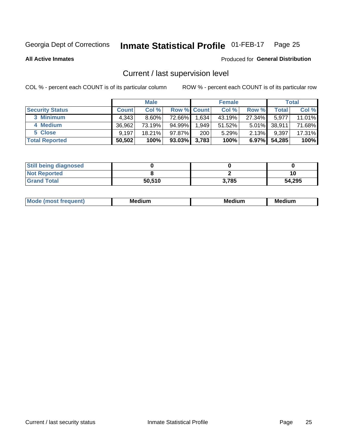#### Inmate Statistical Profile 01-FEB-17 Page 25

**All Active Inmates** 

#### Produced for General Distribution

## Current / last supervision level

COL % - percent each COUNT is of its particular column

|                        |              | <b>Male</b> |                    |       | <b>Female</b> |          |        | <b>Total</b> |
|------------------------|--------------|-------------|--------------------|-------|---------------|----------|--------|--------------|
| <b>Security Status</b> | <b>Count</b> | Col %       | <b>Row % Count</b> |       | Col %         | Row %    | Total  | Col %        |
| 3 Minimum              | 4.343        | $8.60\%$    | 72.66%             | 1,634 | 43.19%        | 27.34%   | 5,977  | 11.01%       |
| 4 Medium               | 36,962       | 73.19%      | 94.99%             | 1,949 | 51.52%        | $5.01\%$ | 38,911 | 71.68%       |
| 5 Close                | 9.197        | $18.21\%$   | 97.87%             | 200   | 5.29%         | $2.13\%$ | 9,397  | 17.31%       |
| <b>Total Reported</b>  | 50,502       | 100%        | $93.03\%$          | 3,783 | 100%          | $6.97\%$ | 54,285 | 100%         |

| <b>Still being diagnosed</b> |        |       |        |
|------------------------------|--------|-------|--------|
| <b>Not Reported</b>          |        |       |        |
| <b>Grand Total</b>           | 50,510 | 3,785 | 54,295 |

| M | M | . . |
|---|---|-----|
|   |   |     |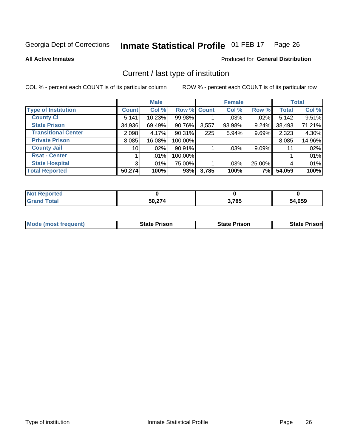#### Inmate Statistical Profile 01-FEB-17 Page 26

**All Active Inmates** 

#### Produced for General Distribution

## Current / last type of institution

COL % - percent each COUNT is of its particular column

|                            |                 | <b>Male</b> |             |       | <b>Female</b> |          |              | <b>Total</b> |
|----------------------------|-----------------|-------------|-------------|-------|---------------|----------|--------------|--------------|
| <b>Type of Institution</b> | <b>Count</b>    | Col %       | Row % Count |       | Col %         | Row %    | <b>Total</b> | Col %        |
| <b>County Ci</b>           | 5,141           | 10.23%      | 99.98%      |       | .03%          | .02%     | 5,142        | 9.51%        |
| <b>State Prison</b>        | 34,936          | 69.49%      | 90.76%      | 3,557 | 93.98%        | 9.24%    | 38,493       | 71.21%       |
| <b>Transitional Center</b> | 2,098           | 4.17%       | 90.31%      | 225   | 5.94%         | 9.69%    | 2,323        | 4.30%        |
| <b>Private Prison</b>      | 8,085           | 16.08%      | 100.00%     |       |               |          | 8,085        | 14.96%       |
| <b>County Jail</b>         | 10 <sup>1</sup> | .02%        | 90.91%      |       | .03%          | $9.09\%$ | 11           | .02%         |
| <b>Rsat - Center</b>       |                 | $.01\%$     | 100.00%     |       |               |          |              | .01%         |
| <b>State Hospital</b>      | 3 <sup>1</sup>  | $.01\%$     | 75.00%      |       | .03%          | 25.00%   |              | .01%         |
| <b>Total Reported</b>      | 50,274          | 100%        | 93%         | 3,785 | 100%          | 7%       | 54,059       | 100%         |

| oorted<br>NG |        |       |              |
|--------------|--------|-------|--------------|
| <b>otal</b>  | 50.274 | 3,785 | 54,059<br>54 |

| <b>Mode (most frequent)</b> | <b>State Prison</b> | <b>State Prison</b> | <b>State Prison</b> |
|-----------------------------|---------------------|---------------------|---------------------|
|                             |                     |                     |                     |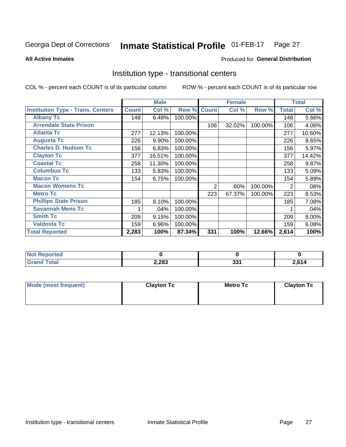#### **Inmate Statistical Profile 01-FEB-17** Page 27

Produced for General Distribution

#### **All Active Inmates**

## Institution type - transitional centers

COL % - percent each COUNT is of its particular column

|                                          |              | <b>Male</b> |         |              | <b>Female</b> |         |              | <b>Total</b> |
|------------------------------------------|--------------|-------------|---------|--------------|---------------|---------|--------------|--------------|
| <b>Institution Type - Trans. Centers</b> | <b>Count</b> | Col %       | Row %   | <b>Count</b> | Col %         | Row %   | <b>Total</b> | Col %        |
| <b>Albany Tc</b>                         | 148          | 6.48%       | 100.00% |              |               |         | 148          | 5.66%        |
| <b>Arrendale State Prison</b>            |              |             |         | 106          | 32.02%        | 100.00% | 106          | 4.06%        |
| <b>Atlanta Tc</b>                        | 277          | 12.13%      | 100.00% |              |               |         | 277          | 10.60%       |
| <b>Augusta Tc</b>                        | 226          | 9.90%       | 100.00% |              |               |         | 226          | 8.65%        |
| <b>Charles D. Hudson Tc</b>              | 156          | 6.83%       | 100.00% |              |               |         | 156          | 5.97%        |
| <b>Clayton Tc</b>                        | 377          | 16.51%      | 100.00% |              |               |         | 377          | 14.42%       |
| <b>Coastal Tc</b>                        | 258          | 11.30%      | 100.00% |              |               |         | 258          | 9.87%        |
| <b>Columbus Tc</b>                       | 133          | 5.83%       | 100.00% |              |               |         | 133          | 5.09%        |
| <b>Macon Tc</b>                          | 154          | 6.75%       | 100.00% |              |               |         | 154          | 5.89%        |
| <b>Macon Womens Tc</b>                   |              |             |         | 2            | .60%          | 100.00% | 2            | .08%         |
| <b>Metro Tc</b>                          |              |             |         | 223          | 67.37%        | 100.00% | 223          | 8.53%        |
| <b>Phillips State Prison</b>             | 185          | 8.10%       | 100.00% |              |               |         | 185          | 7.08%        |
| <b>Savannah Mens Tc</b>                  |              | .04%        | 100.00% |              |               |         |              | .04%         |
| <b>Smith Tc</b>                          | 209          | 9.15%       | 100.00% |              |               |         | 209          | 8.00%        |
| <b>Valdosta Tc</b>                       | 159          | 6.96%       | 100.00% |              |               |         | 159          | 6.08%        |
| <b>Total Reported</b>                    | 2,283        | 100%        | 87.34%  | 331          | 100%          | 12.66%  | 2,614        | 100%         |

| <b>Not Reported</b> |       |              |       |
|---------------------|-------|--------------|-------|
| <b>ota</b>          | 2,283 | י פי<br>ີບບ⊥ | 2,614 |

| Mode (most frequent) | <b>Clayton Tc</b> | <b>Metro Tc</b> | <b>Clayton Tc</b> |
|----------------------|-------------------|-----------------|-------------------|
|                      |                   |                 |                   |
|                      |                   |                 |                   |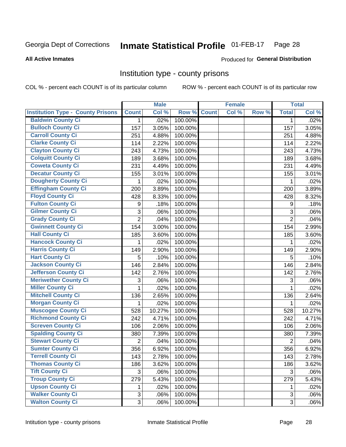#### Inmate Statistical Profile 01-FEB-17 Page 28

#### **All Active Inmates**

#### Produced for General Distribution

#### Institution type - county prisons

COL % - percent each COUNT is of its particular column

|                                          |                | <b>Male</b> |         |              | <b>Female</b> |       |                | <b>Total</b> |
|------------------------------------------|----------------|-------------|---------|--------------|---------------|-------|----------------|--------------|
| <b>Institution Type - County Prisons</b> | <b>Count</b>   | Col %       | Row %   | <b>Count</b> | Col %         | Row % | <b>Total</b>   | Col %        |
| <b>Baldwin County Ci</b>                 | $\mathbf{1}$   | .02%        | 100.00% |              |               |       | $\mathbf{1}$   | .02%         |
| <b>Bulloch County Ci</b>                 | 157            | 3.05%       | 100.00% |              |               |       | 157            | 3.05%        |
| <b>Carroll County Ci</b>                 | 251            | 4.88%       | 100.00% |              |               |       | 251            | 4.88%        |
| <b>Clarke County Ci</b>                  | 114            | 2.22%       | 100.00% |              |               |       | 114            | 2.22%        |
| <b>Clayton County Ci</b>                 | 243            | 4.73%       | 100.00% |              |               |       | 243            | 4.73%        |
| <b>Colquitt County Ci</b>                | 189            | 3.68%       | 100.00% |              |               |       | 189            | 3.68%        |
| <b>Coweta County Ci</b>                  | 231            | 4.49%       | 100.00% |              |               |       | 231            | 4.49%        |
| <b>Decatur County Ci</b>                 | 155            | 3.01%       | 100.00% |              |               |       | 155            | 3.01%        |
| <b>Dougherty County Ci</b>               | 1              | .02%        | 100.00% |              |               |       | 1              | .02%         |
| <b>Effingham County Ci</b>               | 200            | 3.89%       | 100.00% |              |               |       | 200            | 3.89%        |
| <b>Floyd County Ci</b>                   | 428            | 8.33%       | 100.00% |              |               |       | 428            | 8.32%        |
| <b>Fulton County Ci</b>                  | 9              | .18%        | 100.00% |              |               |       | 9              | .18%         |
| <b>Gilmer County Ci</b>                  | 3              | .06%        | 100.00% |              |               |       | 3              | .06%         |
| <b>Grady County Ci</b>                   | $\overline{2}$ | .04%        | 100.00% |              |               |       | $\overline{2}$ | .04%         |
| <b>Gwinnett County Ci</b>                | 154            | 3.00%       | 100.00% |              |               |       | 154            | 2.99%        |
| <b>Hall County Ci</b>                    | 185            | 3.60%       | 100.00% |              |               |       | 185            | 3.60%        |
| <b>Hancock County Ci</b>                 | 1              | .02%        | 100.00% |              |               |       | 1              | .02%         |
| <b>Harris County Ci</b>                  | 149            | 2.90%       | 100.00% |              |               |       | 149            | 2.90%        |
| <b>Hart County Ci</b>                    | 5              | .10%        | 100.00% |              |               |       | 5              | .10%         |
| <b>Jackson County Ci</b>                 | 146            | 2.84%       | 100.00% |              |               |       | 146            | 2.84%        |
| <b>Jefferson County Ci</b>               | 142            | 2.76%       | 100.00% |              |               |       | 142            | 2.76%        |
| <b>Meriwether County Ci</b>              | 3              | .06%        | 100.00% |              |               |       | 3              | .06%         |
| <b>Miller County Ci</b>                  | 1              | .02%        | 100.00% |              |               |       | 1              | .02%         |
| <b>Mitchell County Ci</b>                | 136            | 2.65%       | 100.00% |              |               |       | 136            | 2.64%        |
| <b>Morgan County Ci</b>                  | 1              | .02%        | 100.00% |              |               |       | 1              | .02%         |
| <b>Muscogee County Ci</b>                | 528            | 10.27%      | 100.00% |              |               |       | 528            | 10.27%       |
| <b>Richmond County Ci</b>                | 242            | 4.71%       | 100.00% |              |               |       | 242            | 4.71%        |
| <b>Screven County Ci</b>                 | 106            | 2.06%       | 100.00% |              |               |       | 106            | 2.06%        |
| <b>Spalding County Ci</b>                | 380            | 7.39%       | 100.00% |              |               |       | 380            | 7.39%        |
| <b>Stewart County Ci</b>                 | $\overline{2}$ | .04%        | 100.00% |              |               |       | $\overline{2}$ | .04%         |
| <b>Sumter County Ci</b>                  | 356            | 6.92%       | 100.00% |              |               |       | 356            | 6.92%        |
| <b>Terrell County Ci</b>                 | 143            | 2.78%       | 100.00% |              |               |       | 143            | 2.78%        |
| <b>Thomas County Ci</b>                  | 186            | 3.62%       | 100.00% |              |               |       | 186            | 3.62%        |
| <b>Tift County Ci</b>                    | 3              | .06%        | 100.00% |              |               |       | 3              | .06%         |
| <b>Troup County Ci</b>                   | 279            | 5.43%       | 100.00% |              |               |       | 279            | 5.43%        |
| <b>Upson County Ci</b>                   | 1.             | .02%        | 100.00% |              |               |       | 1              | .02%         |
| <b>Walker County Ci</b>                  | 3              | .06%        | 100.00% |              |               |       | 3              | .06%         |
| <b>Walton County Ci</b>                  | 3              | .06%        | 100.00% |              |               |       | 3 <sup>1</sup> | .06%         |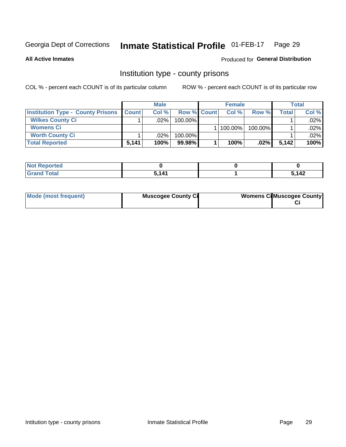#### Inmate Statistical Profile 01-FEB-17 Page 29

**All Active Inmates** 

#### Produced for General Distribution

#### Institution type - county prisons

COL % - percent each COUNT is of its particular column

|                                          |              | <b>Male</b> |                    | <b>Female</b> |         |         | <b>Total</b> |
|------------------------------------------|--------------|-------------|--------------------|---------------|---------|---------|--------------|
| <b>Institution Type - County Prisons</b> | <b>Count</b> | Col%        | <b>Row % Count</b> | Col%          | Row %   | Total i | Col %        |
| <b>Wilkes County Ci</b>                  |              | .02%        | $100.00\%$         |               |         |         | $.02\%$      |
| <b>Womens Ci</b>                         |              |             |                    | 100.00%       | 100.00% |         | $.02\%$      |
| <b>Worth County Ci</b>                   |              | $.02\%$     | 100.00%            |               |         |         | $.02\%$      |
| <b>Total Reported</b>                    | 5,141        | 100%        | 99.98%             | 100%          | .02%    | 5.142   | 100%         |

| portea |       |                  |
|--------|-------|------------------|
| $\sim$ | - 141 | 112<br><u>тс</u> |

| Mode (most frequent)<br><b>Muscogee County Ci</b> |  | <b>Womens CilMuscogee County</b> |
|---------------------------------------------------|--|----------------------------------|
|---------------------------------------------------|--|----------------------------------|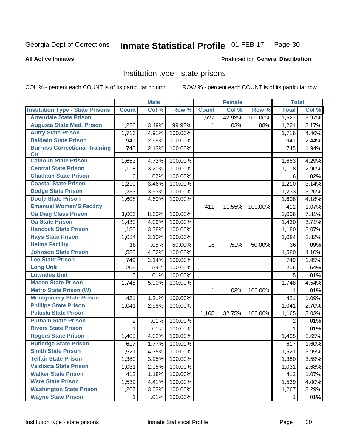#### Inmate Statistical Profile 01-FEB-17 Page 30

#### **All Active Inmates**

#### Produced for General Distribution

## Institution type - state prisons

COL % - percent each COUNT is of its particular column

|                                         |              | <b>Male</b> |         |              | <b>Female</b> |         | <b>Total</b> |       |
|-----------------------------------------|--------------|-------------|---------|--------------|---------------|---------|--------------|-------|
| <b>Institution Type - State Prisons</b> | <b>Count</b> | Col %       | Row %   | <b>Count</b> | Col %         | Row %   | <b>Total</b> | Col % |
| <b>Arrendale State Prison</b>           |              |             |         | 1,527        | 42.93%        | 100.00% | 1,527        | 3.97% |
| <b>Augusta State Med. Prison</b>        | 1,220        | 3.49%       | 99.92%  | 1.           | .03%          | .08%    | 1,221        | 3.17% |
| <b>Autry State Prison</b>               | 1,716        | 4.91%       | 100.00% |              |               |         | 1,716        | 4.46% |
| <b>Baldwin State Prison</b>             | 941          | 2.69%       | 100.00% |              |               |         | 941          | 2.44% |
| <b>Burruss Correctional Training</b>    | 745          | 2.13%       | 100.00% |              |               |         | 745          | 1.94% |
| <b>Ctr</b>                              |              |             |         |              |               |         |              |       |
| <b>Calhoun State Prison</b>             | 1,653        | 4.73%       | 100.00% |              |               |         | 1,653        | 4.29% |
| <b>Central State Prison</b>             | 1,118        | 3.20%       | 100.00% |              |               |         | 1,118        | 2.90% |
| <b>Chatham State Prison</b>             | 6            | .02%        | 100.00% |              |               |         | 6            | .02%  |
| <b>Coastal State Prison</b>             | 1,210        | 3.46%       | 100.00% |              |               |         | 1,210        | 3.14% |
| <b>Dodge State Prison</b>               | 1,233        | 3.53%       | 100.00% |              |               |         | 1,233        | 3.20% |
| <b>Dooly State Prison</b>               | 1,608        | 4.60%       | 100.00% |              |               |         | 1,608        | 4.18% |
| <b>Emanuel Women'S Facility</b>         |              |             |         | 411          | 11.55%        | 100.00% | 411          | 1.07% |
| <b>Ga Diag Class Prison</b>             | 3,006        | 8.60%       | 100.00% |              |               |         | 3,006        | 7.81% |
| <b>Ga State Prison</b>                  | 1,430        | 4.09%       | 100.00% |              |               |         | 1,430        | 3.71% |
| <b>Hancock State Prison</b>             | 1,180        | 3.38%       | 100.00% |              |               |         | 1,180        | 3.07% |
| <b>Hays State Prison</b>                | 1,084        | 3.10%       | 100.00% |              |               |         | 1,084        | 2.82% |
| <b>Helms Facility</b>                   | 18           | .05%        | 50.00%  | 18           | .51%          | 50.00%  | 36           | .09%  |
| <b>Johnson State Prison</b>             | 1,580        | 4.52%       | 100.00% |              |               |         | 1,580        | 4.10% |
| <b>Lee State Prison</b>                 | 749          | 2.14%       | 100.00% |              |               |         | 749          | 1.95% |
| <b>Long Unit</b>                        | 206          | .59%        | 100.00% |              |               |         | 206          | .54%  |
| <b>Lowndes Unit</b>                     | 5            | .01%        | 100.00% |              |               |         | 5            | .01%  |
| <b>Macon State Prison</b>               | 1,748        | 5.00%       | 100.00% |              |               |         | 1,748        | 4.54% |
| <b>Metro State Prison (W)</b>           |              |             |         | 1            | .03%          | 100.00% | 1            | .01%  |
| <b>Montgomery State Prison</b>          | 421          | 1.21%       | 100.00% |              |               |         | 421          | 1.09% |
| <b>Phillips State Prison</b>            | 1,041        | 2.98%       | 100.00% |              |               |         | 1,041        | 2.70% |
| <b>Pulaski State Prison</b>             |              |             |         | 1,165        | 32.75%        | 100.00% | 1,165        | 3.03% |
| <b>Putnam State Prison</b>              | 2            | .01%        | 100.00% |              |               |         | 2            | .01%  |
| <b>Rivers State Prison</b>              | $\mathbf{1}$ | .01%        | 100.00% |              |               |         | 1            | .01%  |
| <b>Rogers State Prison</b>              | 1,405        | 4.02%       | 100.00% |              |               |         | 1,405        | 3.65% |
| <b>Rutledge State Prison</b>            | 617          | 1.77%       | 100.00% |              |               |         | 617          | 1.60% |
| <b>Smith State Prison</b>               | 1,521        | 4.35%       | 100.00% |              |               |         | 1,521        | 3.95% |
| <b>Telfair State Prison</b>             | 1,380        | 3.95%       | 100.00% |              |               |         | 1,380        | 3.59% |
| <b>Valdosta State Prison</b>            | 1,031        | 2.95%       | 100.00% |              |               |         | 1,031        | 2.68% |
| <b>Walker State Prison</b>              | 412          | 1.18%       | 100.00% |              |               |         | 412          | 1.07% |
| <b>Ware State Prison</b>                | 1,539        | 4.41%       | 100.00% |              |               |         | 1,539        | 4.00% |
| <b>Washington State Prison</b>          | 1,267        | 3.63%       | 100.00% |              |               |         | 1,267        | 3.29% |
| <b>Wayne State Prison</b>               | 1            | .01%        | 100.00% |              |               |         | 1            | .01%  |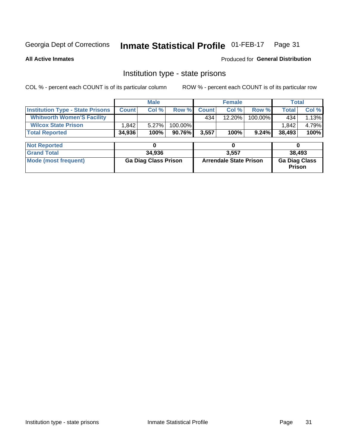#### Inmate Statistical Profile 01-FEB-17 Page 31

**All Active Inmates** 

Produced for General Distribution

## Institution type - state prisons

COL % - percent each COUNT is of its particular column

|                                         |              | <b>Male</b>                 |         |              | <b>Female</b>                 |         | <b>Total</b>                   |        |
|-----------------------------------------|--------------|-----------------------------|---------|--------------|-------------------------------|---------|--------------------------------|--------|
| <b>Institution Type - State Prisons</b> | <b>Count</b> | Col %                       | Row %   | <b>Count</b> | Col %                         | Row %   | <b>Total</b>                   | Col %  |
| <b>Whitworth Women'S Facility</b>       |              |                             |         | 434          | $12.20\%$                     | 100.00% | 434                            | 1.13%  |
| <b>Wilcox State Prison</b>              | .842         | 5.27%                       | 100.00% |              |                               |         | 1,842                          | 4.79%  |
| <b>Total Reported</b>                   | 34,936       | 100%                        | 90.76%  | 3,557        | 100%                          | 9.24%   | 38,493                         | 100%   |
|                                         |              |                             |         |              |                               |         |                                |        |
| <b>Not Reported</b>                     |              | 0                           |         |              | 0                             |         | 0                              |        |
| <b>Grand Total</b>                      |              | 34,936                      |         |              | 3,557                         |         |                                | 38,493 |
| <b>Mode (most frequent)</b>             |              | <b>Ga Diag Class Prison</b> |         |              | <b>Arrendale State Prison</b> |         | <b>Ga Diag Class</b><br>Prison |        |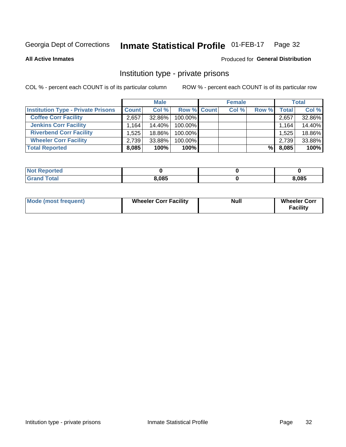#### Inmate Statistical Profile 01-FEB-17 Page 32

**All Active Inmates** 

#### Produced for General Distribution

## Institution type - private prisons

COL % - percent each COUNT is of its particular column

|                                           |                      | <b>Male</b> |                    | <b>Female</b> |       |       | <b>Total</b> |
|-------------------------------------------|----------------------|-------------|--------------------|---------------|-------|-------|--------------|
| <b>Institution Type - Private Prisons</b> | <b>Count</b>         | Col %       | <b>Row % Count</b> | Col %         | Row % | Total | Col %        |
| <b>Coffee Corr Facility</b>               | 2,657                | 32.86%      | 100.00%            |               |       | 2,657 | 32.86%       |
| <b>Jenkins Corr Facility</b>              | $1,164$ <sup>1</sup> | 14.40%      | 100.00%            |               |       | 1,164 | 14.40%       |
| <b>Riverbend Corr Facility</b>            | 1.525                | 18.86%      | 100.00%            |               |       | 1,525 | 18.86%       |
| <b>Wheeler Corr Facility</b>              | 2,739                | 33.88%      | 100.00%            |               |       | 2,739 | 33.88%       |
| <b>Total Reported</b>                     | 8,085                | 100%        | $100\%$            |               | %     | 8,085 | 100%         |

| <b>Not Reported</b> |       |       |
|---------------------|-------|-------|
| <b>Total</b>        | 8,085 | 8,085 |

| <b>Mode (most frequent)</b> | <b>Wheeler Corr Facility</b> | <b>Null</b> | <b>Wheeler Corr</b><br><b>Facility</b> |
|-----------------------------|------------------------------|-------------|----------------------------------------|
|-----------------------------|------------------------------|-------------|----------------------------------------|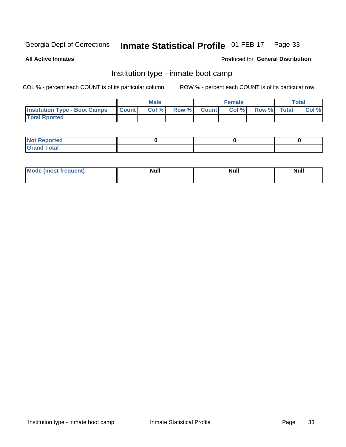#### Inmate Statistical Profile 01-FEB-17 Page 33

**All Active Inmates** 

#### Produced for General Distribution

## Institution type - inmate boot camp

COL % - percent each COUNT is of its particular column

|                                      |                  | <b>Male</b> |              |              | <b>Female</b> |             | <b>Total</b> |
|--------------------------------------|------------------|-------------|--------------|--------------|---------------|-------------|--------------|
| <b>Institution Type - Boot Camps</b> | <b>I</b> Count I | Col %       | <b>Row %</b> | <b>Count</b> | Col %         | Row % Total | Col %        |
| <b>Total Rported</b>                 |                  |             |              |              |               |             |              |

| <b>Not Reported</b>            |  |  |
|--------------------------------|--|--|
| <b>Total</b><br>C <sub>r</sub> |  |  |

| Mod<br>uamo | Nul.<br>$- - - - - -$ | <b>Null</b> | . .<br>uu.<br>------ |
|-------------|-----------------------|-------------|----------------------|
|             |                       |             |                      |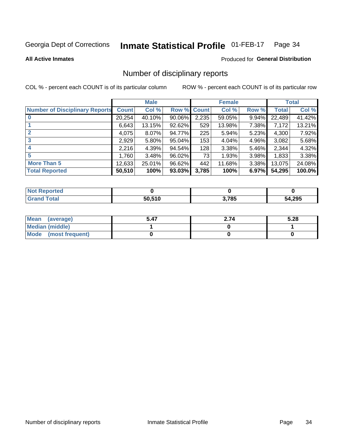#### Inmate Statistical Profile 01-FEB-17 Page 34

#### **All Active Inmates**

#### **Produced for General Distribution**

## Number of disciplinary reports

COL % - percent each COUNT is of its particular column

|                                       |              | <b>Male</b> |        |              | <b>Female</b> |          |              | <b>Total</b> |
|---------------------------------------|--------------|-------------|--------|--------------|---------------|----------|--------------|--------------|
| <b>Number of Disciplinary Reports</b> | <b>Count</b> | Col %       | Row %  | <b>Count</b> | Col %         | Row %    | <b>Total</b> | Col %        |
|                                       | 20,254       | 40.10%      | 90.06% | 2,235        | 59.05%        | 9.94%    | 22,489       | 41.42%       |
|                                       | 6,643        | 13.15%      | 92.62% | 529          | 13.98%        | 7.38%    | 7,172        | 13.21%       |
| $\mathbf{2}$                          | 4,075        | $8.07\%$    | 94.77% | 225          | 5.94%         | $5.23\%$ | 4,300        | 7.92%        |
| 3                                     | 2,929        | $5.80\%$    | 95.04% | 153          | 4.04%         | 4.96%    | 3,082        | 5.68%        |
|                                       | 2,216        | 4.39%       | 94.54% | 128          | 3.38%         | 5.46%    | 2,344        | 4.32%        |
| 5                                     | 1,760        | 3.48%       | 96.02% | 73           | 1.93%         | $3.98\%$ | 1,833        | 3.38%        |
| <b>More Than 5</b>                    | 12,633       | 25.01%      | 96.62% | 442          | 11.68%        | 3.38%    | 13,075       | 24.08%       |
| <b>Total Reported</b>                 | 50,510       | 100%        | 93.03% | 3,785        | 100%          | 6.97%    | 54,295       | 100.0%       |

| วrted<br>NO1 |        |       |        |
|--------------|--------|-------|--------|
| Total        | 50.510 | 3,785 | 54,295 |

| Mean (average)         | 5.47 | 2.74 | 5.28 |
|------------------------|------|------|------|
| <b>Median (middle)</b> |      |      |      |
| Mode (most frequent)   |      |      |      |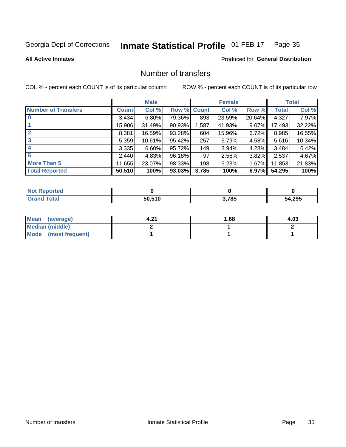#### Inmate Statistical Profile 01-FEB-17 Page 35

**All Active Inmates** 

#### **Produced for General Distribution**

## Number of transfers

COL % - percent each COUNT is of its particular column

|                            |         | <b>Male</b> |             |       | <b>Female</b> |          |              | <b>Total</b> |
|----------------------------|---------|-------------|-------------|-------|---------------|----------|--------------|--------------|
| <b>Number of Transfers</b> | Count l | Col %       | Row % Count |       | Col %         | Row %    | <b>Total</b> | Col %        |
|                            | 3,434   | $6.80\%$    | 79.36%      | 893   | 23.59%        | 20.64%   | 4,327        | 7.97%        |
|                            | 15,906  | 31.49%      | 90.93%      | .587  | 41.93%        | $9.07\%$ | 17,493       | 32.22%       |
| $\mathbf{2}$               | 8,381   | 16.59%      | 93.28%      | 604   | 15.96%        | 6.72%    | 8,985        | 16.55%       |
| 3                          | 5,359   | 10.61%      | 95.42%      | 257   | 6.79%         | 4.58%    | 5,616        | 10.34%       |
|                            | 3,335   | 6.60%       | 95.72%      | 149   | 3.94%         | 4.28%    | 3,484        | 6.42%        |
| 5                          | 2,440   | 4.83%       | 96.18%      | 97    | 2.56%         | $3.82\%$ | 2,537        | 4.67%        |
| <b>More Than 5</b>         | 11,655  | 23.07%      | 98.33%      | 198   | 5.23%         | $1.67\%$ | 11,853       | 21.83%       |
| <b>Total Reported</b>      | 50,510  | 100%        | 93.03%      | 3,785 | 100%          | 6.97%    | 54,295       | 100%         |

| orted<br>NOT. |        |       |        |
|---------------|--------|-------|--------|
| <b>Total</b>  | 50.510 | 3,785 | 54,295 |

| Mean (average)       | -94 | l.68 | 4.03 |
|----------------------|-----|------|------|
| Median (middle)      |     |      |      |
| Mode (most frequent) |     |      |      |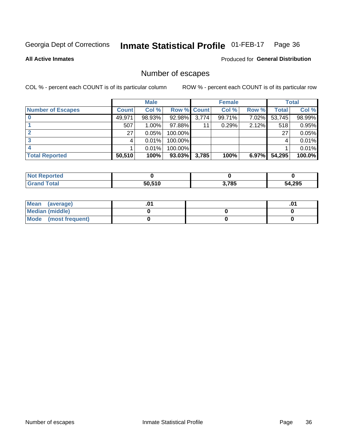#### Inmate Statistical Profile 01-FEB-17 Page 36

**All Active Inmates** 

Produced for General Distribution

## Number of escapes

COL % - percent each COUNT is of its particular column

|                          |              | <b>Male</b> |             |       | <b>Female</b> |       |        | <b>Total</b> |
|--------------------------|--------------|-------------|-------------|-------|---------------|-------|--------|--------------|
| <b>Number of Escapes</b> | <b>Count</b> | Col %       | Row % Count |       | Col %         | Row % | Total  | Col %        |
|                          | 49,971       | 98.93%      | $92.98\%$   | 3,774 | 99.71%        | 7.02% | 53,745 | 98.99%       |
|                          | 507          | $1.00\%$    | 97.88%      | 11    | 0.29%         | 2.12% | 518    | 0.95%        |
|                          | 27           | 0.05%       | 100.00%     |       |               |       | 27     | 0.05%        |
|                          |              | 0.01%       | 100.00%     |       |               |       |        | 0.01%        |
|                          |              | 0.01%       | 100.00%     |       |               |       |        | 0.01%        |
| <b>Total Reported</b>    | 50,510       | 100%        | 93.03%      | 3,785 | 100%          | 6.97% | 54,295 | 100.0%       |

| <b>Not Reported</b> |        |       |        |
|---------------------|--------|-------|--------|
| <b>Grand Total</b>  | 50.510 | 3,785 | 54,295 |

| Mean (average)         |  | .ט |
|------------------------|--|----|
| <b>Median (middle)</b> |  |    |
| Mode (most frequent)   |  |    |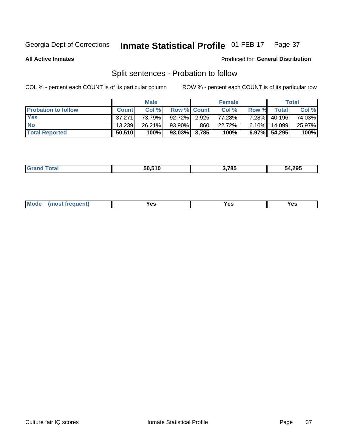#### Inmate Statistical Profile 01-FEB-17 Page 37

**All Active Inmates** 

#### Produced for General Distribution

## Split sentences - Probation to follow

COL % - percent each COUNT is of its particular column

|                            |              | <b>Male</b> |                    |     | <b>Female</b> |          |                 | <b>Total</b> |
|----------------------------|--------------|-------------|--------------------|-----|---------------|----------|-----------------|--------------|
| <b>Probation to follow</b> | <b>Count</b> | Col%        | <b>Row % Count</b> |     | Col %         | Row %    | Total           | Col %        |
| <b>Yes</b>                 | 37.271       | 73.79%      | 92.72% 2.925       |     | 77.28%        | $7.28\%$ | 40,196          | 74.03%       |
| <b>No</b>                  | 13.239       | 26.21%      | 93.90%             | 860 | 22.72%        | $6.10\%$ | 14.099          | 25.97%       |
| <b>Total Reported</b>      | 50,510       | 100%        | $93.03\%$ 3,785    |     | 100%          |          | $6.97\%$ 54,295 | 100%         |

| _______ | FA FIA<br>50.S | חמד י<br>85'<br>- - | 54.295 |
|---------|----------------|---------------------|--------|
|         |                |                     |        |

| <b>Mode</b><br>reauent)<br>Yes<br>v.c<br>0٥<br>.<br>. .<br>$\sim$ |
|-------------------------------------------------------------------|
|-------------------------------------------------------------------|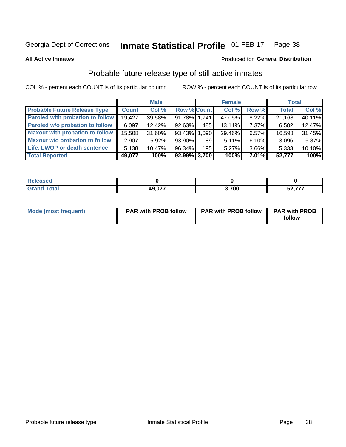#### Inmate Statistical Profile 01-FEB-17 Page 38

**All Active Inmates** 

#### Produced for General Distribution

## Probable future release type of still active inmates

COL % - percent each COUNT is of its particular column

|                                         |              | <b>Male</b> |                 |                  | <b>Female</b> |          | <b>Total</b> |        |
|-----------------------------------------|--------------|-------------|-----------------|------------------|---------------|----------|--------------|--------|
| <b>Probable Future Release Type</b>     | <b>Count</b> | Col %       | Row % Count     |                  | Col %         | Row %    | <b>Total</b> | Col %  |
| <b>Paroled with probation to follow</b> | 19,427       | 39.58%      | 91.78% 1,741    |                  | 47.05%        | 8.22%    | 21,168       | 40.11% |
| Paroled w/o probation to follow         | 6,097        | 12.42%      | 92.63%          | 485              | 13.11%        | $7.37\%$ | 6,582        | 12.47% |
| <b>Maxout with probation to follow</b>  | 15,508       | 31.60%      | 93.43% 1.090    |                  | 29.46%        | 6.57%    | 16,598       | 31.45% |
| <b>Maxout w/o probation to follow</b>   | 2,907        | $5.92\%$    | 93.90%          | 189 <sup>1</sup> | 5.11%         | 6.10%    | 3,096        | 5.87%  |
| Life, LWOP or death sentence            | 5,138        | 10.47%      | 96.34%          | 195              | 5.27%         | 3.66%    | 5,333        | 10.10% |
| <b>Total Reported</b>                   | 49,077       | 100%        | $92.99\%$ 3,700 |                  | 100%          | $7.01\%$ | 52,777       | 100%   |

| <b>cotal</b> | <b>10 077</b> | .700 | ----<br>cΛ<br>JZ,1 |
|--------------|---------------|------|--------------------|

| <b>Mode (most frequent)</b> | <b>PAR with PROB follow</b> | <b>PAR with PROB follow</b> | <b>PAR with PROB</b> |
|-----------------------------|-----------------------------|-----------------------------|----------------------|
|                             |                             |                             | follow               |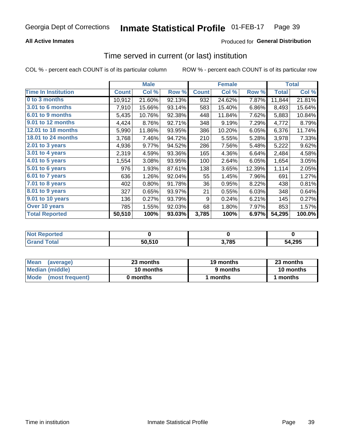## **All Active Inmates**

## Produced for General Distribution

## Time served in current (or last) institution

COL % - percent each COUNT is of its particular column

|                            |              | <b>Male</b> |        |              | <b>Female</b> |        |              | <b>Total</b> |
|----------------------------|--------------|-------------|--------|--------------|---------------|--------|--------------|--------------|
| <b>Time In Institution</b> | <b>Count</b> | Col %       | Row %  | <b>Count</b> | Col %         | Row %  | <b>Total</b> | Col %        |
| 0 to 3 months              | 10,912       | 21.60%      | 92.13% | 932          | 24.62%        | 7.87%  | 11,844       | 21.81%       |
| <b>3.01 to 6 months</b>    | 7,910        | 15.66%      | 93.14% | 583          | 15.40%        | 6.86%  | 8,493        | 15.64%       |
| 6.01 to 9 months           | 5,435        | 10.76%      | 92.38% | 448          | 11.84%        | 7.62%  | 5,883        | 10.84%       |
| 9.01 to 12 months          | 4,424        | 8.76%       | 92.71% | 348          | 9.19%         | 7.29%  | 4,772        | 8.79%        |
| 12.01 to 18 months         | 5,990        | 11.86%      | 93.95% | 386          | 10.20%        | 6.05%  | 6,376        | 11.74%       |
| <b>18.01 to 24 months</b>  | 3,768        | 7.46%       | 94.72% | 210          | 5.55%         | 5.28%  | 3,978        | 7.33%        |
| $2.01$ to 3 years          | 4,936        | 9.77%       | 94.52% | 286          | 7.56%         | 5.48%  | 5,222        | 9.62%        |
| $3.01$ to 4 years          | 2,319        | 4.59%       | 93.36% | 165          | 4.36%         | 6.64%  | 2,484        | 4.58%        |
| 4.01 to 5 years            | 1,554        | 3.08%       | 93.95% | 100          | 2.64%         | 6.05%  | 1,654        | 3.05%        |
| 5.01 to 6 years            | 976          | 1.93%       | 87.61% | 138          | 3.65%         | 12.39% | 1,114        | 2.05%        |
| 6.01 to 7 years            | 636          | 1.26%       | 92.04% | 55           | 1.45%         | 7.96%  | 691          | 1.27%        |
| 7.01 to 8 years            | 402          | 0.80%       | 91.78% | 36           | 0.95%         | 8.22%  | 438          | 0.81%        |
| $8.01$ to 9 years          | 327          | 0.65%       | 93.97% | 21           | 0.55%         | 6.03%  | 348          | 0.64%        |
| 9.01 to 10 years           | 136          | 0.27%       | 93.79% | 9            | 0.24%         | 6.21%  | 145          | 0.27%        |
| Over 10 years              | 785          | 1.55%       | 92.03% | 68           | 1.80%         | 7.97%  | 853          | 1.57%        |
| <b>Total Reported</b>      | 50,510       | 100%        | 93.03% | 3,785        | 100%          | 6.97%  | 54,295       | 100.0%       |

| neo<br><b>NOT</b> |        |       |        |
|-------------------|--------|-------|--------|
|                   | 50,510 | 3,785 | 54,295 |

| <b>Mean</b><br>(average) | 23 months | 19 months | 23 months |
|--------------------------|-----------|-----------|-----------|
| Median (middle)          | 10 months | 9 months  | 10 months |
| Mode (most frequent)     | 0 months  | months    | 1 months  |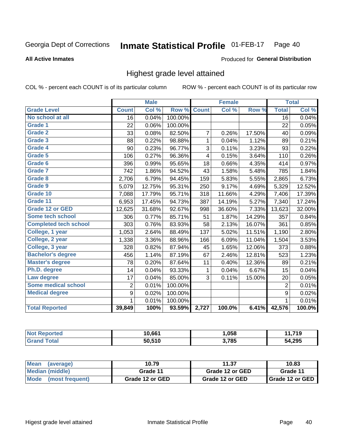### **All Active Inmates**

### Produced for General Distribution

# Highest grade level attained

COL % - percent each COUNT is of its particular column

|                              |                 | <b>Male</b> |         |                | <b>Female</b> |        |                 | <b>Total</b> |
|------------------------------|-----------------|-------------|---------|----------------|---------------|--------|-----------------|--------------|
| <b>Grade Level</b>           | <b>Count</b>    | Col %       | Row %   | <b>Count</b>   | Col %         | Row %  | <b>Total</b>    | Col %        |
| No school at all             | $\overline{16}$ | 0.04%       | 100.00% |                |               |        | $\overline{16}$ | 0.04%        |
| <b>Grade 1</b>               | 22              | 0.06%       | 100.00% |                |               |        | 22              | 0.05%        |
| <b>Grade 2</b>               | 33              | 0.08%       | 82.50%  | $\overline{7}$ | 0.26%         | 17.50% | 40              | 0.09%        |
| Grade 3                      | 88              | 0.22%       | 98.88%  | 1              | 0.04%         | 1.12%  | 89              | 0.21%        |
| Grade 4                      | 90              | 0.23%       | 96.77%  | 3              | 0.11%         | 3.23%  | 93              | 0.22%        |
| Grade 5                      | 106             | 0.27%       | 96.36%  | 4              | 0.15%         | 3.64%  | 110             | 0.26%        |
| Grade 6                      | 396             | 0.99%       | 95.65%  | 18             | 0.66%         | 4.35%  | 414             | 0.97%        |
| <b>Grade 7</b>               | 742             | 1.86%       | 94.52%  | 43             | 1.58%         | 5.48%  | 785             | 1.84%        |
| Grade 8                      | 2,706           | 6.79%       | 94.45%  | 159            | 5.83%         | 5.55%  | 2,865           | 6.73%        |
| Grade 9                      | 5,079           | 12.75%      | 95.31%  | 250            | 9.17%         | 4.69%  | 5,329           | 12.52%       |
| Grade 10                     | 7,088           | 17.79%      | 95.71%  | 318            | 11.66%        | 4.29%  | 7,406           | 17.39%       |
| Grade 11                     | 6,953           | 17.45%      | 94.73%  | 387            | 14.19%        | 5.27%  | 7,340           | 17.24%       |
| <b>Grade 12 or GED</b>       | 12,625          | 31.68%      | 92.67%  | 998            | 36.60%        | 7.33%  | 13,623          | 32.00%       |
| <b>Some tech school</b>      | 306             | 0.77%       | 85.71%  | 51             | 1.87%         | 14.29% | 357             | 0.84%        |
| <b>Completed tech school</b> | 303             | 0.76%       | 83.93%  | 58             | 2.13%         | 16.07% | 361             | 0.85%        |
| College, 1 year              | 1,053           | 2.64%       | 88.49%  | 137            | 5.02%         | 11.51% | 1,190           | 2.80%        |
| College, 2 year              | 1,338           | 3.36%       | 88.96%  | 166            | 6.09%         | 11.04% | 1,504           | 3.53%        |
| College, 3 year              | 328             | 0.82%       | 87.94%  | 45             | 1.65%         | 12.06% | 373             | 0.88%        |
| <b>Bachelor's degree</b>     | 456             | 1.14%       | 87.19%  | 67             | 2.46%         | 12.81% | 523             | 1.23%        |
| <b>Master's degree</b>       | 78              | 0.20%       | 87.64%  | 11             | 0.40%         | 12.36% | 89              | 0.21%        |
| Ph.D. degree                 | 14              | 0.04%       | 93.33%  | 1              | 0.04%         | 6.67%  | 15              | 0.04%        |
| Law degree                   | 17              | 0.04%       | 85.00%  | 3              | 0.11%         | 15.00% | 20              | 0.05%        |
| <b>Some medical school</b>   | $\overline{2}$  | 0.01%       | 100.00% |                |               |        | 2               | 0.01%        |
| <b>Medical degree</b>        | 9               | 0.02%       | 100.00% |                |               |        | 9               | 0.02%        |
|                              | 1               | 0.01%       | 100.00% |                |               |        | 1               | 0.01%        |
| <b>Total Reported</b>        | 39,849          | 100%        | 93.59%  | 2,727          | 100.0%        | 6.41%  | 42,576          | 100.0%       |

| 10.661 | .058  | 74 O   |
|--------|-------|--------|
| 50.510 | 3,785 | 54,295 |

| <b>Mean</b><br>(average) | 10.79           | 11.37           | 10.83             |
|--------------------------|-----------------|-----------------|-------------------|
| Median (middle)          | Grade 11        | Grade 12 or GED | Grade 11          |
| Mode<br>(most frequent)  | Grade 12 or GED | Grade 12 or GED | l Grade 12 or GED |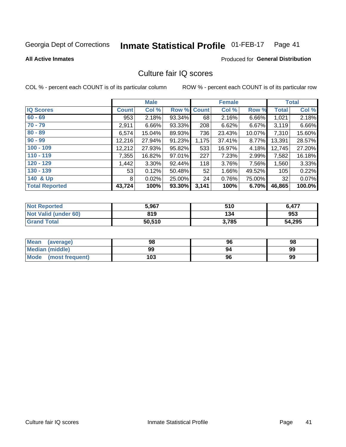### Inmate Statistical Profile 01-FEB-17 Page 41

**All Active Inmates** 

## **Produced for General Distribution**

# Culture fair IQ scores

COL % - percent each COUNT is of its particular column

|                       |              | <b>Male</b> |             |       | <b>Female</b> |        |              | <b>Total</b> |
|-----------------------|--------------|-------------|-------------|-------|---------------|--------|--------------|--------------|
| <b>IQ Scores</b>      | <b>Count</b> | Col %       | Row % Count |       | Col %         | Row %  | <b>Total</b> | Col %        |
| $60 - 69$             | 953          | 2.18%       | 93.34%      | 68    | 2.16%         | 6.66%  | 1,021        | 2.18%        |
| $70 - 79$             | 2,911        | 6.66%       | 93.33%      | 208   | 6.62%         | 6.67%  | 3,119        | 6.66%        |
| $80 - 89$             | 6,574        | 15.04%      | 89.93%      | 736   | 23.43%        | 10.07% | 7,310        | 15.60%       |
| $90 - 99$             | 12,216       | 27.94%      | 91.23%      | 1,175 | 37.41%        | 8.77%  | 13,391       | 28.57%       |
| $100 - 109$           | 12,212       | 27.93%      | 95.82%      | 533   | 16.97%        | 4.18%  | 12,745       | 27.20%       |
| $110 - 119$           | 7,355        | 16.82%      | 97.01%      | 227   | 7.23%         | 2.99%  | 7,582        | 16.18%       |
| $120 - 129$           | ,442         | 3.30%       | 92.44%      | 118   | 3.76%         | 7.56%  | 1,560        | 3.33%        |
| $130 - 139$           | 53           | 0.12%       | 50.48%      | 52    | 1.66%         | 49.52% | 105          | 0.22%        |
| 140 & Up              | 8            | 0.02%       | 25.00%      | 24    | 0.76%         | 75.00% | 32           | 0.07%        |
| <b>Total Reported</b> | 43,724       | 100%        | 93.30%      | 3,141 | 100%          | 6.70%  | 46,865       | 100.0%       |

| <b>Not Reported</b>  | 5,967  | 510   | 6,477  |
|----------------------|--------|-------|--------|
| Not Valid (under 60) | 819    | 134   | 953    |
| <b>Grand Total</b>   | 50,510 | 3,785 | 54,295 |

| <b>Mean</b><br>(average) | 98  | 96 | 98 |
|--------------------------|-----|----|----|
| Median (middle)          | 99  | 94 | 99 |
| Mode<br>(most frequent)  | 103 | 96 | 99 |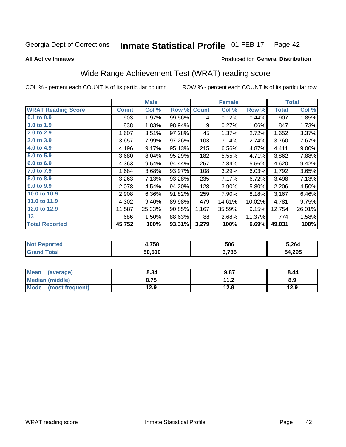### **Inmate Statistical Profile 01-FEB-17** Page 42

**All Active Inmates** 

## Produced for General Distribution

# Wide Range Achievement Test (WRAT) reading score

COL % - percent each COUNT is of its particular column

|                           |              | <b>Male</b> |        |              | <b>Female</b> |        |              | <b>Total</b> |
|---------------------------|--------------|-------------|--------|--------------|---------------|--------|--------------|--------------|
| <b>WRAT Reading Score</b> | <b>Count</b> | Col %       | Row %  | <b>Count</b> | Col %         | Row %  | <b>Total</b> | Col %        |
| 0.1 to 0.9                | 903          | 1.97%       | 99.56% | 4            | 0.12%         | 0.44%  | 907          | 1.85%        |
| 1.0 to 1.9                | 838          | 1.83%       | 98.94% | 9            | 0.27%         | 1.06%  | 847          | 1.73%        |
| 2.0 to 2.9                | 1,607        | 3.51%       | 97.28% | 45           | 1.37%         | 2.72%  | 1,652        | 3.37%        |
| 3.0 to 3.9                | 3,657        | 7.99%       | 97.26% | 103          | 3.14%         | 2.74%  | 3,760        | 7.67%        |
| 4.0 to 4.9                | 4,196        | 9.17%       | 95.13% | 215          | 6.56%         | 4.87%  | 4,411        | $9.00\%$     |
| 5.0 to 5.9                | 3,680        | 8.04%       | 95.29% | 182          | 5.55%         | 4.71%  | 3,862        | 7.88%        |
| 6.0 to 6.9                | 4,363        | 9.54%       | 94.44% | 257          | 7.84%         | 5.56%  | 4,620        | 9.42%        |
| 7.0 to 7.9                | 1,684        | 3.68%       | 93.97% | 108          | 3.29%         | 6.03%  | 1,792        | 3.65%        |
| 8.0 to 8.9                | 3,263        | 7.13%       | 93.28% | 235          | 7.17%         | 6.72%  | 3,498        | 7.13%        |
| 9.0 to 9.9                | 2,078        | 4.54%       | 94.20% | 128          | 3.90%         | 5.80%  | 2,206        | 4.50%        |
| 10.0 to 10.9              | 2,908        | 6.36%       | 91.82% | 259          | 7.90%         | 8.18%  | 3,167        | 6.46%        |
| 11.0 to 11.9              | 4,302        | 9.40%       | 89.98% | 479          | 14.61%        | 10.02% | 4,781        | 9.75%        |
| 12.0 to 12.9              | 11,587       | 25.33%      | 90.85% | 1,167        | 35.59%        | 9.15%  | 12,754       | 26.01%       |
| 13                        | 686          | 1.50%       | 88.63% | 88           | 2.68%         | 11.37% | 774          | 1.58%        |
| <b>Total Reported</b>     | 45,752       | 100%        | 93.31% | 3,279        | 100%          | 6.69%  | 49,031       | 100%         |

| rteo<br>NO | 4,758  | 506   | 5.264  |
|------------|--------|-------|--------|
|            | 50,510 | 3,785 | 54,295 |

| <b>Mean</b><br>(average) | 8.34 | 9.87                     | 8.44 |
|--------------------------|------|--------------------------|------|
| Median (middle)          | 8.75 | 11 <sub>2</sub><br>. . Z | 8.9  |
| Mode (most frequent)     | 12.9 | 12.9                     | 12.9 |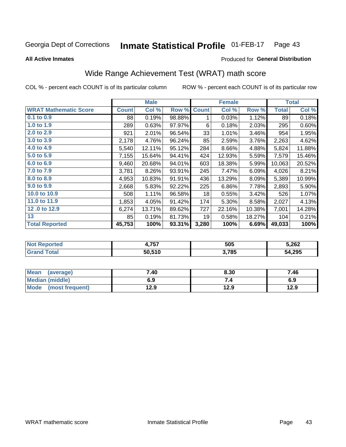### Inmate Statistical Profile 01-FEB-17 Page 43

**All Active Inmates** 

### Produced for General Distribution

# Wide Range Achievement Test (WRAT) math score

COL % - percent each COUNT is of its particular column

|                              |              | <b>Male</b> |        |              | <b>Female</b> |        |              | <b>Total</b> |
|------------------------------|--------------|-------------|--------|--------------|---------------|--------|--------------|--------------|
| <b>WRAT Mathematic Score</b> | <b>Count</b> | Col %       | Row %  | <b>Count</b> | Col %         | Row %  | <b>Total</b> | Col %        |
| $0.1$ to $0.9$               | 88           | 0.19%       | 98.88% | 1            | 0.03%         | 1.12%  | 89           | 0.18%        |
| 1.0 to 1.9                   | 289          | 0.63%       | 97.97% | 6            | 0.18%         | 2.03%  | 295          | 0.60%        |
| 2.0 to 2.9                   | 921          | 2.01%       | 96.54% | 33           | 1.01%         | 3.46%  | 954          | 1.95%        |
| 3.0 to 3.9                   | 2,178        | 4.76%       | 96.24% | 85           | 2.59%         | 3.76%  | 2,263        | 4.62%        |
| 4.0 to 4.9                   | 5,540        | 12.11%      | 95.12% | 284          | 8.66%         | 4.88%  | 5,824        | 11.88%       |
| 5.0 to 5.9                   | 7,155        | 15.64%      | 94.41% | 424          | 12.93%        | 5.59%  | 7,579        | 15.46%       |
| 6.0 to 6.9                   | 9,460        | 20.68%      | 94.01% | 603          | 18.38%        | 5.99%  | 10,063       | 20.52%       |
| 7.0 to 7.9                   | 3,781        | 8.26%       | 93.91% | 245          | 7.47%         | 6.09%  | 4,026        | 8.21%        |
| 8.0 to 8.9                   | 4,953        | 10.83%      | 91.91% | 436          | 13.29%        | 8.09%  | 5,389        | 10.99%       |
| 9.0 to 9.9                   | 2,668        | 5.83%       | 92.22% | 225          | 6.86%         | 7.78%  | 2,893        | 5.90%        |
| 10.0 to 10.9                 | 508          | 1.11%       | 96.58% | 18           | 0.55%         | 3.42%  | 526          | 1.07%        |
| 11.0 to 11.9                 | 1,853        | 4.05%       | 91.42% | 174          | 5.30%         | 8.58%  | 2,027        | 4.13%        |
| 12.0 to 12.9                 | 6,274        | 13.71%      | 89.62% | 727          | 22.16%        | 10.38% | 7,001        | 14.28%       |
| 13                           | 85           | 0.19%       | 81.73% | 19           | 0.58%         | 18.27% | 104          | 0.21%        |
| <b>Total Reported</b>        | 45,753       | 100%        | 93.31% | 3,280        | 100%          | 6.69%  | 49,033       | 100%         |

| тео | フドフ<br>4. I J I | 505   | 5,262  |
|-----|-----------------|-------|--------|
|     | 50.510          | 3,785 | 54,295 |

| Mean (average)       | 7.40 | 8.30 | 7.46 |
|----------------------|------|------|------|
| Median (middle)      | 6.9  | 7.4  | 6.9  |
| Mode (most frequent) | 12.9 | 12.9 | 12.9 |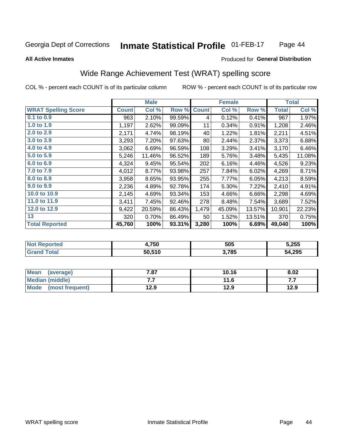### Inmate Statistical Profile 01-FEB-17 Page 44

### **All Active Inmates**

### Produced for General Distribution

# Wide Range Achievement Test (WRAT) spelling score

COL % - percent each COUNT is of its particular column

|                            |              | <b>Male</b> |        |              | <b>Female</b> |        |              | <b>Total</b> |
|----------------------------|--------------|-------------|--------|--------------|---------------|--------|--------------|--------------|
| <b>WRAT Spelling Score</b> | <b>Count</b> | Col %       | Row %  | <b>Count</b> | Col %         | Row %  | <b>Total</b> | Col %        |
| $0.1$ to $0.9$             | 963          | 2.10%       | 99.59% | 4            | 0.12%         | 0.41%  | 967          | 1.97%        |
| 1.0 to 1.9                 | 1,197        | 2.62%       | 99.09% | 11           | 0.34%         | 0.91%  | 1,208        | 2.46%        |
| 2.0 to 2.9                 | 2,171        | 4.74%       | 98.19% | 40           | 1.22%         | 1.81%  | 2,211        | 4.51%        |
| 3.0 to 3.9                 | 3,293        | 7.20%       | 97.63% | 80           | 2.44%         | 2.37%  | 3,373        | 6.88%        |
| 4.0 to 4.9                 | 3,062        | 6.69%       | 96.59% | 108          | 3.29%         | 3.41%  | 3,170        | 6.46%        |
| 5.0 to 5.9                 | 5,246        | 11.46%      | 96.52% | 189          | 5.76%         | 3.48%  | 5,435        | 11.08%       |
| 6.0 to 6.9                 | 4,324        | 9.45%       | 95.54% | 202          | 6.16%         | 4.46%  | 4,526        | 9.23%        |
| 7.0 to 7.9                 | 4,012        | 8.77%       | 93.98% | 257          | 7.84%         | 6.02%  | 4,269        | 8.71%        |
| 8.0 to 8.9                 | 3,958        | 8.65%       | 93.95% | 255          | 7.77%         | 6.05%  | 4,213        | 8.59%        |
| 9.0 to 9.9                 | 2,236        | 4.89%       | 92.78% | 174          | 5.30%         | 7.22%  | 2,410        | 4.91%        |
| 10.0 to 10.9               | 2,145        | 4.69%       | 93.34% | 153          | 4.66%         | 6.66%  | 2,298        | 4.69%        |
| 11.0 to 11.9               | 3,411        | 7.45%       | 92.46% | 278          | 8.48%         | 7.54%  | 3,689        | 7.52%        |
| 12.0 to 12.9               | 9,422        | 20.59%      | 86.43% | 1,479        | 45.09%        | 13.57% | 10,901       | 22.23%       |
| 13                         | 320          | 0.70%       | 86.49% | 50           | 1.52%         | 13.51% | 370          | 0.75%        |
| <b>Total Reported</b>      | 45,760       | 100%        | 93.31% | 3,280        | 100%          | 6.69%  | 49,040       | 100%         |

| w. | 4,750  | 505   | 5,255        |
|----|--------|-------|--------------|
|    | 50.510 | 3,785 | 54,295<br>54 |

| <b>Mean</b><br>(average) | 7.87 | 10.16 | 8.02 |
|--------------------------|------|-------|------|
| Median (middle)          | .    | 11.6  | .    |
| Mode (most frequent)     | 12.9 | 12.9  | 12.9 |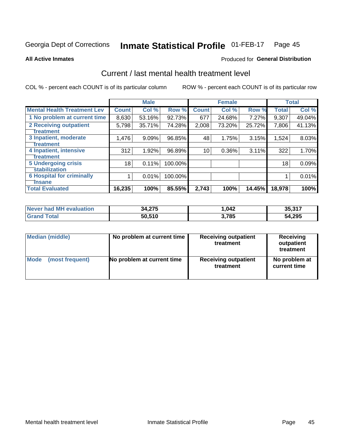### Inmate Statistical Profile 01-FEB-17 Page 45

**All Active Inmates** 

## **Produced for General Distribution**

# Current / last mental health treatment level

COL % - percent each COUNT is of its particular column

|                                    |              | <b>Male</b> |         |              | <b>Female</b> |        |              | <b>Total</b> |
|------------------------------------|--------------|-------------|---------|--------------|---------------|--------|--------------|--------------|
| <b>Mental Health Treatment Lev</b> | <b>Count</b> | Col %       | Row %   | <b>Count</b> | Col %         | Row %  | <b>Total</b> | Col %        |
| 1 No problem at current time       | 8,630        | 53.16%      | 92.73%  | 677          | 24.68%        | 7.27%  | 9,307        | 49.04%       |
| 2 Receiving outpatient             | 5,798        | 35.71%      | 74.28%  | 2,008        | 73.20%        | 25.72% | 7,806        | 41.13%       |
| <b>Treatment</b>                   |              |             |         |              |               |        |              |              |
| 3 Inpatient, moderate              | 1,476        | 9.09%       | 96.85%  | 48           | 1.75%         | 3.15%  | 1,524        | 8.03%        |
| <b>Treatment</b>                   |              |             |         |              |               |        |              |              |
| 4 Inpatient, intensive             | 312          | 1.92%       | 96.89%  | 10           | 0.36%         | 3.11%  | 322          | 1.70%        |
| Treatment                          |              |             |         |              |               |        |              |              |
| <b>5 Undergoing crisis</b>         | 18           | 0.11%       | 100.00% |              |               |        | 18           | 0.09%        |
| <b>Stabilization</b>               |              |             |         |              |               |        |              |              |
| <b>6 Hospital for criminally</b>   |              | 0.01%       | 100.00% |              |               |        |              | 0.01%        |
| <b>Tinsane</b>                     |              |             |         |              |               |        |              |              |
| <b>Total Evaluated</b>             | 16,235       | 100%        | 85.55%  | 2,743        | 100%          | 14.45% | 18,978       | 100%         |

| Never had MH evaluation | 34,275 | 042. ا | 35,317 |
|-------------------------|--------|--------|--------|
| <b>Grand Total</b>      | 50,510 | 3,785  | 54,295 |

| Median (middle) | No problem at current time | <b>Receiving outpatient</b><br>treatment | <b>Receiving</b><br>outpatient<br>treatment |
|-----------------|----------------------------|------------------------------------------|---------------------------------------------|
| <b>Mode</b>     | No problem at current time | <b>Receiving outpatient</b>              | No problem at                               |
| (most frequent) |                            | treatment                                | current time                                |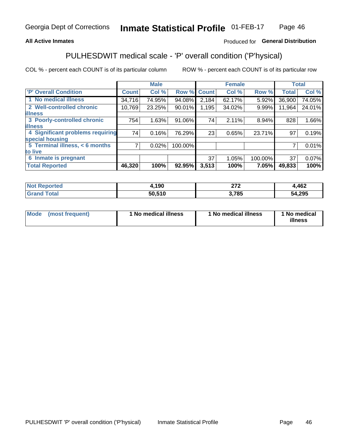## **All Active Inmates**

## Produced for General Distribution

# PULHESDWIT medical scale - 'P' overall condition ('P'hysical)

COL % - percent each COUNT is of its particular column

|                                  |              | <b>Male</b> |         |              | <b>Female</b> |         |              | <b>Total</b> |
|----------------------------------|--------------|-------------|---------|--------------|---------------|---------|--------------|--------------|
| 'P' Overall Condition            | <b>Count</b> | Col %       | Row %   | <b>Count</b> | Col %         | Row %   | <b>Total</b> | Col %        |
| 1 No medical illness             | 34,716       | 74.95%      | 94.08%  | 2,184        | 62.17%        | 5.92%   | 36,900       | 74.05%       |
| 2 Well-controlled chronic        | 10,769       | 23.25%      | 90.01%  | 1,195        | 34.02%        | 9.99%   | 11,964       | 24.01%       |
| <b>illness</b>                   |              |             |         |              |               |         |              |              |
| 3 Poorly-controlled chronic      | 754          | 1.63%       | 91.06%  | 74           | 2.11%         | 8.94%   | 828          | 1.66%        |
| <b>illness</b>                   |              |             |         |              |               |         |              |              |
| 4 Significant problems requiring | 74           | 0.16%       | 76.29%  | 23           | 0.65%         | 23.71%  | 97           | 0.19%        |
| special housing                  |              |             |         |              |               |         |              |              |
| 5 Terminal illness, < 6 months   | 7            | 0.02%       | 100.00% |              |               |         | 7            | 0.01%        |
| to live                          |              |             |         |              |               |         |              |              |
| 6 Inmate is pregnant             |              |             |         | 37           | 1.05%         | 100.00% | 37           | 0.07%        |
| <b>Total Reported</b>            | 46,320       | 100%        | 92.95%  | 3,513        | 100%          | 7.05%   | 49,833       | 100%         |

| тео | .190   | ^7^  | 462        |
|-----|--------|------|------------|
|     | 50.510 | .785 | .295<br>54 |

| Mode | (most frequent) | 1 No medical illness | 1 No medical illness | 1 No medical<br>illness |
|------|-----------------|----------------------|----------------------|-------------------------|
|------|-----------------|----------------------|----------------------|-------------------------|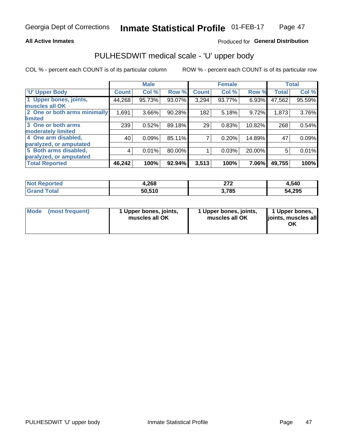### **All Active Inmates**

## Produced for General Distribution

# PULHESDWIT medical scale - 'U' upper body

COL % - percent each COUNT is of its particular column

|                              |              | <b>Male</b> |        |              | <b>Female</b> |        |              | <b>Total</b> |
|------------------------------|--------------|-------------|--------|--------------|---------------|--------|--------------|--------------|
| <b>U' Upper Body</b>         | <b>Count</b> | Col %       | Row %  | <b>Count</b> | Col %         | Row %  | <b>Total</b> | Col %        |
| 1 Upper bones, joints,       | 44,268       | 95.73%      | 93.07% | 3,294        | 93.77%        | 6.93%  | 47,562       | 95.59%       |
| muscles all OK               |              |             |        |              |               |        |              |              |
| 2 One or both arms minimally | 1,691        | 3.66%       | 90.28% | 182          | 5.18%         | 9.72%  | 1,873        | 3.76%        |
| limited                      |              |             |        |              |               |        |              |              |
| 3 One or both arms           | 239          | 0.52%       | 89.18% | 29           | 0.83%         | 10.82% | 268          | 0.54%        |
| <b>moderately limited</b>    |              |             |        |              |               |        |              |              |
| 4 One arm disabled,          | 40           | 0.09%       | 85.11% |              | 0.20%         | 14.89% | 47           | 0.09%        |
| paralyzed, or amputated      |              |             |        |              |               |        |              |              |
| 5 Both arms disabled,        | 4            | 0.01%       | 80.00% |              | 0.03%         | 20.00% | 5            | 0.01%        |
| paralyzed, or amputated      |              |             |        |              |               |        |              |              |
| <b>Total Reported</b>        | 46,242       | 100%        | 92.94% | 3,513        | 100%          | 7.06%  | 49,755       | 100%         |

| <b>Not Reported</b> | 4,268  | היה<br>41 L | 4,540  |
|---------------------|--------|-------------|--------|
| <b>Grand Total</b>  | 50,510 | 3,785       | 54,295 |

| Mode (most frequent) | 1 Upper bones, joints,<br>muscles all OK | 1 Upper bones, joints,<br>muscles all OK | 1 Upper bones,<br>joints, muscles all<br>ΟK |
|----------------------|------------------------------------------|------------------------------------------|---------------------------------------------|
|----------------------|------------------------------------------|------------------------------------------|---------------------------------------------|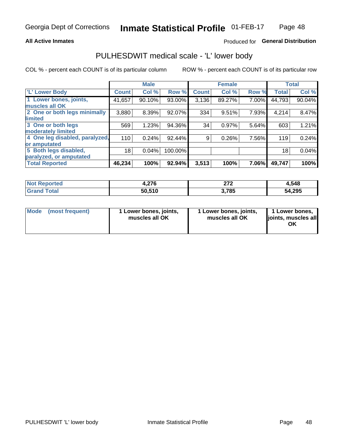### **All Active Inmates**

## Produced for General Distribution

# PULHESDWIT medical scale - 'L' lower body

COL % - percent each COUNT is of its particular column

|                                |              | <b>Male</b> |         |              | <b>Female</b> |       |                 | <b>Total</b> |
|--------------------------------|--------------|-------------|---------|--------------|---------------|-------|-----------------|--------------|
| 'L' Lower Body                 | <b>Count</b> | Col %       | Row %   | <b>Count</b> | Col %         | Row % | <b>Total</b>    | Col %        |
| 1 Lower bones, joints,         | 41,657       | 90.10%      | 93.00%  | 3,136        | 89.27%        | 7.00% | 44,793          | 90.04%       |
| muscles all OK                 |              |             |         |              |               |       |                 |              |
| 2 One or both legs minimally   | 3,880        | 8.39%       | 92.07%  | 334          | 9.51%         | 7.93% | 4,214           | 8.47%        |
| limited                        |              |             |         |              |               |       |                 |              |
| 3 One or both legs             | 569          | 1.23%       | 94.36%  | 34           | 0.97%         | 5.64% | 603             | 1.21%        |
| moderately limited             |              |             |         |              |               |       |                 |              |
| 4 One leg disabled, paralyzed, | 110          | 0.24%       | 92.44%  | 9            | 0.26%         | 7.56% | 119             | 0.24%        |
| or amputated                   |              |             |         |              |               |       |                 |              |
| 5 Both legs disabled,          | 18           | 0.04%       | 100.00% |              |               |       | 18 <sub>1</sub> | 0.04%        |
| paralyzed, or amputated        |              |             |         |              |               |       |                 |              |
| <b>Total Reported</b>          | 46,234       | 100%        | 92.94%  | 3,513        | 100%          | 7.06% | 49,747          | 100%         |

| <b>Not Reported</b>   | 07C<br>4,40 | $\sim$<br>. | 1,548  |
|-----------------------|-------------|-------------|--------|
| <b>Total</b><br>Grand | 50,510      | ,785        | 54,295 |

| Mode (most frequent) | 1 Lower bones, joints,<br>muscles all OK | 1 Lower bones, joints,<br>muscles all OK | 1 Lower bones,<br>joints, muscles all<br>ОK |
|----------------------|------------------------------------------|------------------------------------------|---------------------------------------------|
|----------------------|------------------------------------------|------------------------------------------|---------------------------------------------|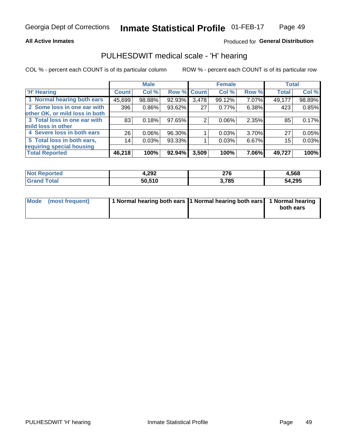### **All Active Inmates**

## Produced for General Distribution

## PULHESDWIT medical scale - 'H' hearing

COL % - percent each COUNT is of its particular column

|                                |              | <b>Male</b> |             |       | <b>Female</b> |       | <b>Total</b> |        |
|--------------------------------|--------------|-------------|-------------|-------|---------------|-------|--------------|--------|
| <b>'H' Hearing</b>             | <b>Count</b> | Col %       | Row % Count |       | Col %         | Row % | <b>Total</b> | Col %  |
| 1 Normal hearing both ears     | 45,699       | 98.88%      | 92.93%      | 3,478 | 99.12%        | 7.07% | 49,177       | 98.89% |
| 2 Some loss in one ear with    | 396          | 0.86%       | 93.62%      | 27    | 0.77%         | 6.38% | 423          | 0.85%  |
| other OK, or mild loss in both |              |             |             |       |               |       |              |        |
| 3 Total loss in one ear with   | 83           | 0.18%       | 97.65%      | 2     | $0.06\%$      | 2.35% | 85           | 0.17%  |
| mild loss in other             |              |             |             |       |               |       |              |        |
| 4 Severe loss in both ears     | 26           | 0.06%       | 96.30%      |       | 0.03%         | 3.70% | 27           | 0.05%  |
| 5 Total loss in both ears,     | 14           | 0.03%       | 93.33%      |       | 0.03%         | 6.67% | 15           | 0.03%  |
| requiring special housing      |              |             |             |       |               |       |              |        |
| <b>Total Reported</b>          | 46,218       | 100%        | 92.94%      | 3,509 | 100%          | 7.06% | 49,727       | 100%   |

| 'Not<br><b>orted</b> | 4,292  | $\sim$<br>21 V | .,568  |
|----------------------|--------|----------------|--------|
|                      | 50,510 | 3,785          | 54,295 |

| Mode (most frequent) | 1 Normal hearing both ears 1 Normal hearing both ears 1 Normal hearing | both ears |
|----------------------|------------------------------------------------------------------------|-----------|
|                      |                                                                        |           |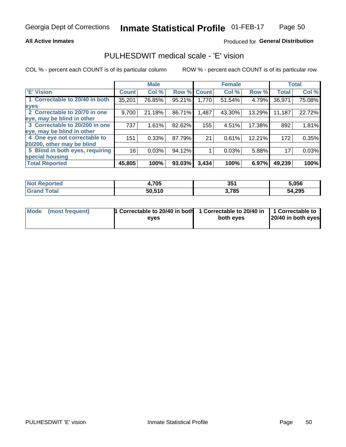## **All Active Inmates**

## Produced for General Distribution

# PULHESDWIT medical scale - 'E' vision

COL % - percent each COUNT is of its particular column

|                                 |              | <b>Male</b> |        |              | <b>Female</b> |        |              | <b>Total</b> |
|---------------------------------|--------------|-------------|--------|--------------|---------------|--------|--------------|--------------|
| <b>E' Vision</b>                | <b>Count</b> | Col %       | Row %  | <b>Count</b> | Col %         | Row %  | <b>Total</b> | Col %        |
| 1 Correctable to 20/40 in both  | 35,201       | 76.85%      | 95.21% | 1,770        | 51.54%        | 4.79%  | 36,971       | 75.08%       |
| eyes                            |              |             |        |              |               |        |              |              |
| 2 Correctable to 20/70 in one   | 9,700        | 21.18%      | 86.71% | 1,487        | 43.30%        | 13.29% | 11,187       | 22.72%       |
| eye, may be blind in other      |              |             |        |              |               |        |              |              |
| 3 Correctable to 20/200 in one  | 737          | 1.61%       | 82.62% | 155          | 4.51%         | 17.38% | 892          | 1.81%        |
| eye, may be blind in other      |              |             |        |              |               |        |              |              |
| 4 One eye not correctable to    | 151          | 0.33%       | 87.79% | 21           | 0.61%         | 12.21% | 172          | 0.35%        |
| 20/200, other may be blind      |              |             |        |              |               |        |              |              |
| 5 Blind in both eyes, requiring | 16           | 0.03%       | 94.12% |              | 0.03%         | 5.88%  | 17           | 0.03%        |
| special housing                 |              |             |        |              |               |        |              |              |
| <b>Total Reported</b>           | 45,805       | 100%        | 93.03% | 3,434        | 100%          | 6.97%  | 49,239       | 100%         |

| <b>Not Reported</b> | 4,705  | つらく<br>৩৩ | 5,056  |
|---------------------|--------|-----------|--------|
| <b>Total</b>        | 50,510 | 3,785     | 54,295 |

| Mode (most frequent) | 1 Correctable to 20/40 in both<br>eves | 1 Correctable to 20/40 in   1 Correctable to  <br>both eves | 20/40 in both eyes |
|----------------------|----------------------------------------|-------------------------------------------------------------|--------------------|
|                      |                                        |                                                             |                    |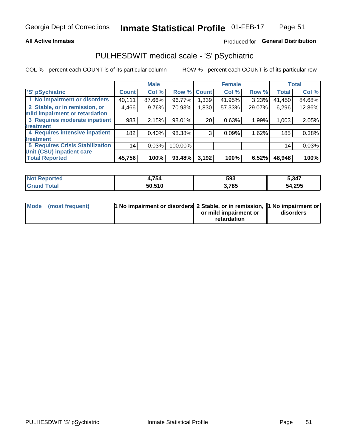## **All Active Inmates**

## Produced for General Distribution

# PULHESDWIT medical scale - 'S' pSychiatric

COL % - percent each COUNT is of its particular column

|                                        |              | <b>Male</b> |         |              | <b>Female</b> |        |              | <b>Total</b> |
|----------------------------------------|--------------|-------------|---------|--------------|---------------|--------|--------------|--------------|
| 'S' pSychiatric                        | <b>Count</b> | Col %       | Row %   | <b>Count</b> | Col %         | Row %  | <b>Total</b> | Col %        |
| 1 No impairment or disorders           | 40,111       | 87.66%      | 96.77%  | .339         | 41.95%        | 3.23%  | 41,450       | 84.68%       |
| 2 Stable, or in remission, or          | 4,466        | 9.76%       | 70.93%  | 1,830        | 57.33%        | 29.07% | 6,296        | 12.86%       |
| mild impairment or retardation         |              |             |         |              |               |        |              |              |
| 3 Requires moderate inpatient          | 983          | 2.15%       | 98.01%  | 20           | 0.63%         | 1.99%  | 1,003        | 2.05%        |
| treatment                              |              |             |         |              |               |        |              |              |
| 4 Requires intensive inpatient         | 182          | 0.40%       | 98.38%  | 3            | 0.09%         | 1.62%  | 185          | 0.38%        |
| treatment                              |              |             |         |              |               |        |              |              |
| <b>5 Requires Crisis Stabilization</b> | 14           | 0.03%       | 100.00% |              |               |        | 14           | 0.03%        |
| Unit (CSU) inpatient care              |              |             |         |              |               |        |              |              |
| <b>Total Reported</b>                  | 45,756       | 100%        | 93.48%  | 3,192        | 100%          | 6.52%  | 48,948       | 100%         |

| <b>Not Reported</b> | 1,754  | 593   | 5,347  |
|---------------------|--------|-------|--------|
| Total<br>.Gran∘     | 50,510 | 3,785 | 54,295 |

| Mode (most frequent) | <b>1 No impairment or disorders 2 Stable, or in remission, 1 No impairment or</b> |                       |           |
|----------------------|-----------------------------------------------------------------------------------|-----------------------|-----------|
|                      |                                                                                   | or mild impairment or | disorders |
|                      |                                                                                   | retardation           |           |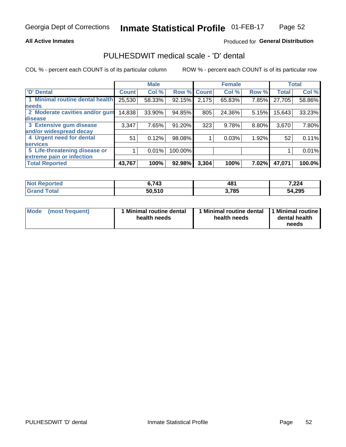## **All Active Inmates**

## Produced for General Distribution

# PULHESDWIT medical scale - 'D' dental

COL % - percent each COUNT is of its particular column

|                                 |              | <b>Male</b> |         |              | <b>Female</b> |       |              | <b>Total</b> |
|---------------------------------|--------------|-------------|---------|--------------|---------------|-------|--------------|--------------|
| <b>D'</b> Dental                | <b>Count</b> | Col %       | Row %   | <b>Count</b> | Col %         | Row % | <b>Total</b> | Col %        |
| 1 Minimal routine dental health | 25,530       | 58.33%      | 92.15%  | 2,175        | 65.83%        | 7.85% | 27,705       | 58.86%       |
| <b>needs</b>                    |              |             |         |              |               |       |              |              |
| 2 Moderate cavities and/or gum  | 14,838       | 33.90%      | 94.85%  | 805          | 24.36%        | 5.15% | 15,643       | 33.23%       |
| disease                         |              |             |         |              |               |       |              |              |
| 3 Extensive gum disease         | 3,347        | 7.65%       | 91.20%  | 323          | 9.78%         | 8.80% | 3,670        | 7.80%        |
| and/or widespread decay         |              |             |         |              |               |       |              |              |
| 4 Urgent need for dental        | 51           | 0.12%       | 98.08%  |              | 0.03%         | 1.92% | 52           | 0.11%        |
| <b>services</b>                 |              |             |         |              |               |       |              |              |
| 5 Life-threatening disease or   |              | 0.01%       | 100.00% |              |               |       |              | 0.01%        |
| extreme pain or infection       |              |             |         |              |               |       |              |              |
| <b>Total Reported</b>           | 43,767       | 100%        | 92.98%  | 3,304        | 100%          | 7.02% | 47,071       | 100.0%       |

| <b>Not Reported</b>     | 6,743  | 481   | 7,224  |
|-------------------------|--------|-------|--------|
| <b>Total</b><br>' Grand | 50,510 | 3,785 | 54,295 |

| 1 Minimal routine dental<br>Mode<br>(most frequent)<br>health needs | 1 Minimal routine dental 1 Minimal routine<br>health needs | dental health<br>needs |
|---------------------------------------------------------------------|------------------------------------------------------------|------------------------|
|---------------------------------------------------------------------|------------------------------------------------------------|------------------------|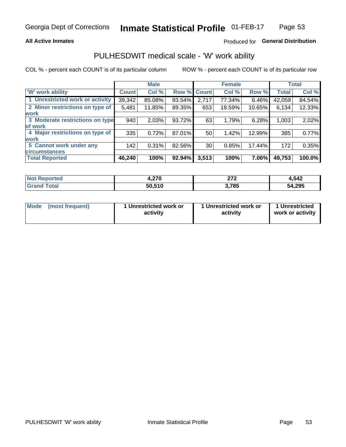## **All Active Inmates**

## Produced for General Distribution

# PULHESDWIT medical scale - 'W' work ability

COL % - percent each COUNT is of its particular column

|                                 |              | <b>Male</b> |        |             | <b>Female</b> |        |              | <b>Total</b> |
|---------------------------------|--------------|-------------|--------|-------------|---------------|--------|--------------|--------------|
| 'W' work ability                | <b>Count</b> | Col %       |        | Row % Count | Col %         | Row %  | <b>Total</b> | Col %        |
| 1 Unrestricted work or activity | 39,342       | 85.08%      | 93.54% | 2,717       | 77.34%        | 6.46%  | 42,059       | 84.54%       |
| 2 Minor restrictions on type of | 5,481        | 11.85%      | 89.35% | 653         | 18.59%        | 10.65% | 6,134        | 12.33%       |
| <b>work</b>                     |              |             |        |             |               |        |              |              |
| 3 Moderate restrictions on type | 940          | 2.03%       | 93.72% | 63          | 1.79%         | 6.28%  | 1,003        | 2.02%        |
| lof work                        |              |             |        |             |               |        |              |              |
| 4 Major restrictions on type of | 335          | 0.72%       | 87.01% | 50          | 1.42%         | 12.99% | 385          | 0.77%        |
| <b>work</b>                     |              |             |        |             |               |        |              |              |
| 5 Cannot work under any         | 142          | 0.31%       | 82.56% | 30          | 0.85%         | 17.44% | 172          | 0.35%        |
| <b>circumstances</b>            |              |             |        |             |               |        |              |              |
| <b>Total Reported</b>           | 46,240       | 100%        | 92.94% | 3,513       | 100%          | 7.06%  | 49,753       | 100.0%       |

| <b>Not Reported</b> | חדר<br>4.Z I V | היה<br><u>_</u> | 4,542  |
|---------------------|----------------|-----------------|--------|
| Total               | 50,510         | 3,785           | 54,295 |

| Mode            | 1 Unrestricted work or | 1 Unrestricted work or | 1 Unrestricted   |
|-----------------|------------------------|------------------------|------------------|
| (most frequent) | activity               | activity               | work or activity |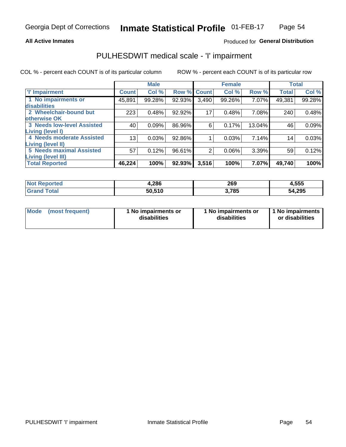## **All Active Inmates**

## Produced for General Distribution

# PULHESDWIT medical scale - 'I' impairment

COL % - percent each COUNT is of its particular column

|                                                              |              | <b>Male</b> |        |             | <b>Female</b> |        |              | <b>Total</b> |
|--------------------------------------------------------------|--------------|-------------|--------|-------------|---------------|--------|--------------|--------------|
| <b>T' Impairment</b>                                         | <b>Count</b> | Col %       |        | Row % Count | Col %         | Row %  | <b>Total</b> | Col %        |
| 1 No impairments or<br>disabilities                          | 45,891       | 99.28%      | 92.93% | 3,490       | 99.26%        | 7.07%  | 49,381       | 99.28%       |
| 2 Wheelchair-bound but<br>otherwise OK                       | 223          | 0.48%       | 92.92% | 17          | 0.48%         | 7.08%  | 240          | 0.48%        |
| <b>3 Needs low-level Assisted</b><br>Living (level I)        | 40           | 0.09%       | 86.96% | 6           | 0.17%         | 13.04% | 46           | 0.09%        |
| 4 Needs moderate Assisted<br>Living (level II)               | 13           | 0.03%       | 92.86% |             | 0.03%         | 7.14%  | 14           | 0.03%        |
| <b>5 Needs maximal Assisted</b><br><b>Living (level III)</b> | 57           | 0.12%       | 96.61% | 2           | 0.06%         | 3.39%  | 59           | 0.12%        |
| <b>Total Reported</b>                                        | 46,224       | 100%        | 92.93% | 3,516       | 100%          | 7.07%  | 49,740       | 100%         |

| <b>Not</b><br>Reported | 4,286  | 269  | 4,555  |
|------------------------|--------|------|--------|
| Total                  | 50,510 | ,785 | 54,295 |

| Mode | (most frequent) | 1 No impairments or<br>disabilities | 1 No impairments or<br>disabilities | 1 No impairments<br>or disabilities |
|------|-----------------|-------------------------------------|-------------------------------------|-------------------------------------|
|------|-----------------|-------------------------------------|-------------------------------------|-------------------------------------|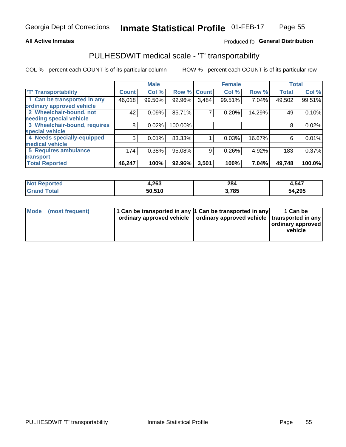## **All Active Inmates**

## Produced fo General Distribution

# PULHESDWIT medical scale - 'T' transportability

COL % - percent each COUNT is of its particular column

|                              |              | <b>Male</b> |         |              | <b>Female</b> |        |              | <b>Total</b> |
|------------------------------|--------------|-------------|---------|--------------|---------------|--------|--------------|--------------|
| <b>T' Transportability</b>   | <b>Count</b> | Col %       | Row %   | <b>Count</b> | Col %         | Row %  | <b>Total</b> | Col %        |
| 1 Can be transported in any  | 46,018       | 99.50%      | 92.96%  | 3,484        | 99.51%        | 7.04%  | 49,502       | 99.51%       |
| ordinary approved vehicle    |              |             |         |              |               |        |              |              |
| 2 Wheelchair-bound, not      | 42           | 0.09%       | 85.71%  | 7            | 0.20%         | 14.29% | 49           | 0.10%        |
| needing special vehicle      |              |             |         |              |               |        |              |              |
| 3 Wheelchair-bound, requires | 8            | 0.02%       | 100.00% |              |               |        | 8            | 0.02%        |
| special vehicle              |              |             |         |              |               |        |              |              |
| 4 Needs specially-equipped   | 5            | 0.01%       | 83.33%  |              | 0.03%         | 16.67% | 6            | 0.01%        |
| medical vehicle              |              |             |         |              |               |        |              |              |
| <b>5 Requires ambulance</b>  | 174          | 0.38%       | 95.08%  | 9            | 0.26%         | 4.92%  | 183          | 0.37%        |
| transport                    |              |             |         |              |               |        |              |              |
| <b>Total Reported</b>        | 46,247       | 100%        | 92.96%  | 3,501        | 100%          | 7.04%  | 49,748       | 100.0%       |

| orted | 4,263  | 284<br>$\sim$ $\sim$ | 4,547  |
|-------|--------|----------------------|--------|
|       | 50.510 | ,785                 | 54,295 |

|  | Mode (most frequent) | 1 Can be transported in any 1 Can be transported in any<br>ordinary approved vehicle   ordinary approved vehicle   transported in any |  | 1 Can be<br>  ordinary approved  <br>vehicle |
|--|----------------------|---------------------------------------------------------------------------------------------------------------------------------------|--|----------------------------------------------|
|--|----------------------|---------------------------------------------------------------------------------------------------------------------------------------|--|----------------------------------------------|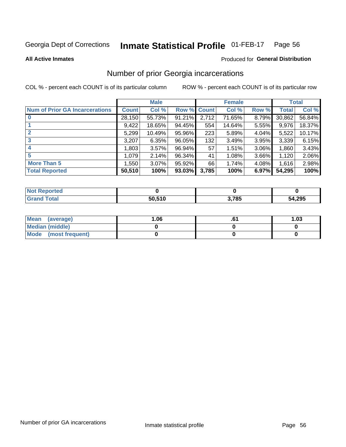#### Inmate Statistical Profile 01-FEB-17 Page 56

**All Active Inmates** 

### Produced for General Distribution

# Number of prior Georgia incarcerations

COL % - percent each COUNT is of its particular column

|                                       |              | <b>Male</b> |             |       | <b>Female</b> |       |        | <b>Total</b> |
|---------------------------------------|--------------|-------------|-------------|-------|---------------|-------|--------|--------------|
| <b>Num of Prior GA Incarcerations</b> | <b>Count</b> | Col %       | Row % Count |       | Col %         | Row % | Total  | Col %        |
|                                       | 28,150       | 55.73%      | 91.21%      | 2,712 | 71.65%        | 8.79% | 30,862 | 56.84%       |
|                                       | 9,422        | 18.65%      | 94.45%      | 554   | 14.64%        | 5.55% | 9,976  | 18.37%       |
| $\overline{2}$                        | 5,299        | 10.49%      | 95.96%      | 223   | 5.89%         | 4.04% | 5,522  | 10.17%       |
| 3                                     | 3,207        | 6.35%       | 96.05%      | 132   | 3.49%         | 3.95% | 3,339  | 6.15%        |
| $\boldsymbol{4}$                      | 1,803        | $3.57\%$    | 96.94%      | 57    | 1.51%         | 3.06% | 1,860  | 3.43%        |
| 5                                     | 1,079        | 2.14%       | 96.34%      | 41    | 1.08%         | 3.66% | 1,120  | 2.06%        |
| <b>More Than 5</b>                    | 1.550        | 3.07%       | 95.92%      | 66    | 1.74%         | 4.08% | 1,616  | 2.98%        |
| <b>Total Reported</b>                 | 50,510       | 100%        | 93.03%      | 3,785 | 100%          | 6.97% | 54,295 | 100%         |

| <b>Not Reported</b> |        |       |        |
|---------------------|--------|-------|--------|
| Total<br>.Grar      | 50,510 | 3,785 | 54,295 |

| Mean (average)       | 1.06 | .v | 1.03 |
|----------------------|------|----|------|
| Median (middle)      |      |    |      |
| Mode (most frequent) |      |    |      |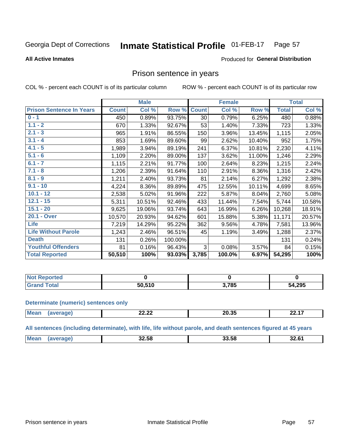#### Inmate Statistical Profile 01-FEB-17 Page 57

### **All Active Inmates**

### Produced for General Distribution

## Prison sentence in years

COL % - percent each COUNT is of its particular column

ROW % - percent each COUNT is of its particular row

|                                 |              | <b>Male</b> |         |                 | <b>Female</b> |        |              | <b>Total</b> |
|---------------------------------|--------------|-------------|---------|-----------------|---------------|--------|--------------|--------------|
| <b>Prison Sentence In Years</b> | <b>Count</b> | Col %       | Row %   | <b>Count</b>    | Col %         | Row %  | <b>Total</b> | Col %        |
| $0 - 1$                         | 450          | 0.89%       | 93.75%  | 30 <sup>°</sup> | 0.79%         | 6.25%  | 480          | 0.88%        |
| $1.1 - 2$                       | 670          | 1.33%       | 92.67%  | 53              | 1.40%         | 7.33%  | 723          | 1.33%        |
| $2.1 - 3$                       | 965          | 1.91%       | 86.55%  | 150             | 3.96%         | 13.45% | 1,115        | 2.05%        |
| $3.1 - 4$                       | 853          | 1.69%       | 89.60%  | 99              | 2.62%         | 10.40% | 952          | 1.75%        |
| $4.1 - 5$                       | 1,989        | 3.94%       | 89.19%  | 241             | 6.37%         | 10.81% | 2,230        | 4.11%        |
| $5.1 - 6$                       | 1,109        | 2.20%       | 89.00%  | 137             | 3.62%         | 11.00% | 1,246        | 2.29%        |
| $6.1 - 7$                       | 1,115        | 2.21%       | 91.77%  | 100             | 2.64%         | 8.23%  | 1,215        | 2.24%        |
| $7.1 - 8$                       | 1,206        | 2.39%       | 91.64%  | 110             | 2.91%         | 8.36%  | 1,316        | 2.42%        |
| $8.1 - 9$                       | 1,211        | 2.40%       | 93.73%  | 81              | 2.14%         | 6.27%  | 1,292        | 2.38%        |
| $9.1 - 10$                      | 4,224        | 8.36%       | 89.89%  | 475             | 12.55%        | 10.11% | 4,699        | 8.65%        |
| $10.1 - 12$                     | 2,538        | 5.02%       | 91.96%  | 222             | 5.87%         | 8.04%  | 2,760        | 5.08%        |
| $12.1 - 15$                     | 5,311        | 10.51%      | 92.46%  | 433             | 11.44%        | 7.54%  | 5,744        | 10.58%       |
| $15.1 - 20$                     | 9,625        | 19.06%      | 93.74%  | 643             | 16.99%        | 6.26%  | 10,268       | 18.91%       |
| 20.1 - Over                     | 10,570       | 20.93%      | 94.62%  | 601             | 15.88%        | 5.38%  | 11,171       | 20.57%       |
| <b>Life</b>                     | 7,219        | 14.29%      | 95.22%  | 362             | 9.56%         | 4.78%  | 7,581        | 13.96%       |
| <b>Life Without Parole</b>      | 1,243        | 2.46%       | 96.51%  | 45              | 1.19%         | 3.49%  | 1,288        | 2.37%        |
| <b>Death</b>                    | 131          | 0.26%       | 100.00% |                 |               |        | 131          | 0.24%        |
| <b>Youthful Offenders</b>       | 81           | 0.16%       | 96.43%  | 3               | 0.08%         | 3.57%  | 84           | 0.15%        |
| <b>Total Reported</b>           | 50,510       | 100%        | 93.03%  | 3,785           | 100.0%        | 6.97%  | 54,295       | 100%         |

| ported<br>I NOT |                   |      |        |
|-----------------|-------------------|------|--------|
|                 | <b>FA0</b><br>יור | .785 | 54,295 |

### **Determinate (numeric) sentences only**

| <b>Mes</b> | <u>__</u><br>LL.LL | $\sim$ $\sim$ $\sim$<br>ZU.JJ | --- |
|------------|--------------------|-------------------------------|-----|
|            |                    |                               |     |

All sentences (including determinate), with life, life without parole, and death sentences figured at 45 years

| <b>Mean</b><br><br>-- --<br>32.61<br>32.Jö<br>יכ<br>.<br>____ |  |  |  |
|---------------------------------------------------------------|--|--|--|
|                                                               |  |  |  |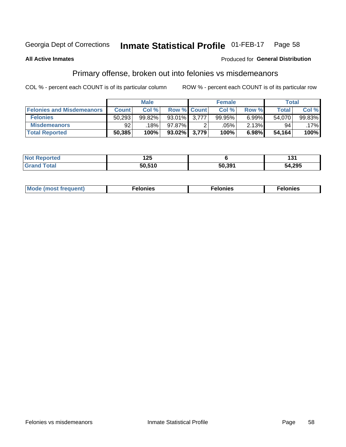#### **Inmate Statistical Profile 01-FEB-17** Page 58

### **All Active Inmates**

### **Produced for General Distribution**

# Primary offense, broken out into felonies vs misdemeanors

COL % - percent each COUNT is of its particular column

|                                  |              | <b>Male</b> |                    |       | <b>Female</b> |       | Total        |         |
|----------------------------------|--------------|-------------|--------------------|-------|---------------|-------|--------------|---------|
| <b>Felonies and Misdemeanors</b> | <b>Count</b> | Col %       | <b>Row % Count</b> |       | Col %         | Row % | <b>Total</b> | Col %   |
| <b>Felonies</b>                  | 50,293       | 99.82%      | 93.01%             | 3.777 | 99.95%        | 6.99% | 54.070       | 99.83%  |
| <b>Misdemeanors</b>              | 92           | 18%         | 97.87%             |       | .05%          | 2.13% | 94           | $.17\%$ |
| <b>Total Reported</b>            | 50,385       | 100%        | 93.02% 3,779       |       | 100%          | 6.98% | 54,164       | 100%    |

| <b>Not Reported</b> | .<br>14J |        | וטו    |
|---------------------|----------|--------|--------|
| Grano<br>™otal      | 50.51C   | 50,391 | 54,295 |

| <b>Mo</b><br>requent)<br>$\sim$ | nıes | າເes | elonies |
|---------------------------------|------|------|---------|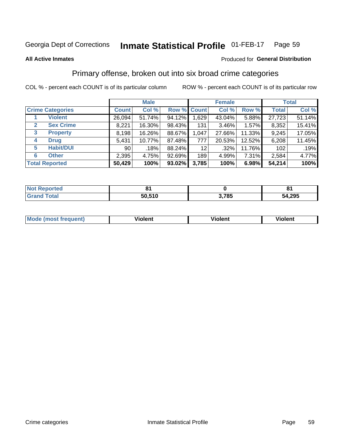#### **Inmate Statistical Profile 01-FEB-17** Page 59

### **All Active Inmates**

## **Produced for General Distribution**

# Primary offense, broken out into six broad crime categories

COL % - percent each COUNT is of its particular column

|                                  | <b>Male</b>     |        |           |             | <b>Female</b> |        | <b>Total</b> |        |  |
|----------------------------------|-----------------|--------|-----------|-------------|---------------|--------|--------------|--------|--|
| <b>Crime Categories</b>          | <b>Count</b>    | Col %  |           | Row % Count | Col %         | Row %  | <b>Total</b> | Col %  |  |
| <b>Violent</b>                   | 26,094          | 51.74% | 94.12%    | 1,629       | 43.04%        | 5.88%  | 27,723       | 51.14% |  |
| <b>Sex Crime</b><br>$\mathbf{2}$ | 8,221           | 16.30% | 98.43%    | 131         | $3.46\%$      | 1.57%  | 8,352        | 15.41% |  |
| 3<br><b>Property</b>             | 8,198           | 16.26% | 88.67%    | 1,047       | 27.66%        | 11.33% | 9,245        | 17.05% |  |
| <b>Drug</b><br>4                 | 5,431           | 10.77% | 87.48%    | 777         | 20.53%        | 12.52% | 6,208        | 11.45% |  |
| <b>Habit/DUI</b><br>5            | 90 <sub>1</sub> | .18%   | 88.24%    | 12          | $.32\%$       | 11.76% | 102          | .19%   |  |
| <b>Other</b><br>6                | 2,395           | 4.75%  | 92.69%    | 189         | 4.99%         | 7.31%  | 2,584        | 4.77%  |  |
| <b>Total Reported</b>            | 50,429          | 100%   | $93.02\%$ | 3,785       | 100%          | 6.98%  | 54,214       | 100%   |  |

| rtea<br>NO |              |           |        |
|------------|--------------|-----------|--------|
|            | .510<br>50.ಎ | 70E<br>o. | 54,295 |

| M | - --<br>100011 | .<br><b>VIOIGIIL</b> | 1.91311 |
|---|----------------|----------------------|---------|
|   |                |                      |         |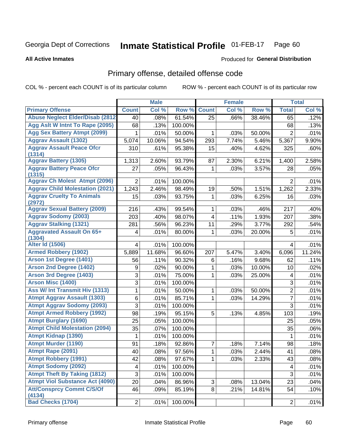### **Inmate Statistical Profile 01-FEB-17** Page 60

**All Active Inmates** 

### **Produced for General Distribution**

# Primary offense, detailed offense code

COL % - percent each COUNT is of its particular column

|                                            |                | <b>Male</b> |         |                | <b>Female</b> |        |                 | <b>Total</b> |
|--------------------------------------------|----------------|-------------|---------|----------------|---------------|--------|-----------------|--------------|
| <b>Primary Offense</b>                     | <b>Count</b>   | Col %       | Row %   | <b>Count</b>   | Col %         | Row %  | <b>Total</b>    | Col %        |
| <b>Abuse Neglect Elder/Disab (2812)</b>    | 40             | .08%        | 61.54%  | 25             | .66%          | 38.46% | 65              | .12%         |
| Agg Aslt W Intnt To Rape (2095)            | 68             | .13%        | 100.00% |                |               |        | 68              | .13%         |
| <b>Agg Sex Battery Atmpt (2099)</b>        | 1              | .01%        | 50.00%  | 1              | .03%          | 50.00% | $\overline{2}$  | .01%         |
| <b>Aggrav Assault (1302)</b>               | 5,074          | 10.06%      | 94.54%  | 293            | 7.74%         | 5.46%  | 5,367           | 9.90%        |
| <b>Aggrav Assault Peace Ofcr</b><br>(1314) | 310            | .61%        | 95.38%  | 15             | .40%          | 4.62%  | 325             | .60%         |
| <b>Aggrav Battery (1305)</b>               | 1,313          | 2.60%       | 93.79%  | 87             | 2.30%         | 6.21%  | 1,400           | 2.58%        |
| <b>Aggrav Battery Peace Ofcr</b><br>(1315) | 27             | .05%        | 96.43%  | 1              | .03%          | 3.57%  | 28              | .05%         |
| <b>Aggrav Ch Molest Atmpt (2096)</b>       | $\overline{2}$ | .01%        | 100.00% |                |               |        | $\overline{2}$  | .01%         |
| <b>Aggrav Child Molestation (2021)</b>     | 1,243          | 2.46%       | 98.49%  | 19             | .50%          | 1.51%  | 1,262           | 2.33%        |
| <b>Aggrav Cruelty To Animals</b><br>(2972) | 15             | .03%        | 93.75%  | 1              | .03%          | 6.25%  | 16              | .03%         |
| <b>Aggrav Sexual Battery (2009)</b>        | 216            | .43%        | 99.54%  | 1              | .03%          | .46%   | 217             | .40%         |
| <b>Aggrav Sodomy (2003)</b>                | 203            | .40%        | 98.07%  | 4              | .11%          | 1.93%  | 207             | .38%         |
| <b>Aggrav Stalking (1321)</b>              | 281            | .56%        | 96.23%  | 11             | .29%          | 3.77%  | 292             | .54%         |
| <b>Aggravated Assault On 65+</b><br>(1304) | 4              | .01%        | 80.00%  | 1              | .03%          | 20.00% | 5               | .01%         |
| <b>Alter Id (1506)</b>                     | 4              | .01%        | 100.00% |                |               |        | $\overline{4}$  | .01%         |
| <b>Armed Robbery (1902)</b>                | 5,889          | 11.68%      | 96.60%  | 207            | 5.47%         | 3.40%  | 6,096           | 11.24%       |
| Arson 1st Degree (1401)                    | 56             | .11%        | 90.32%  | 6              | .16%          | 9.68%  | 62              | .11%         |
| <b>Arson 2nd Degree (1402)</b>             | 9              | .02%        | 90.00%  | 1              | .03%          | 10.00% | 10              | .02%         |
| <b>Arson 3rd Degree (1403)</b>             | 3              | .01%        | 75.00%  | 1              | .03%          | 25.00% | 4               | .01%         |
| Arson Misc (1400)                          | 3              | .01%        | 100.00% |                |               |        | 3               | .01%         |
| <b>Ass W/ Int Transmit Hiv (1313)</b>      | 1              | .01%        | 50.00%  | 1              | .03%          | 50.00% | $\overline{2}$  | .01%         |
| <b>Atmpt Aggrav Assault (1303)</b>         | 6              | .01%        | 85.71%  | 1              | .03%          | 14.29% | $\overline{7}$  | .01%         |
| <b>Atmpt Aggrav Sodomy (2093)</b>          | 3              | .01%        | 100.00% |                |               |        | 3               | .01%         |
| <b>Atmpt Armed Robbery (1992)</b>          | 98             | .19%        | 95.15%  | 5              | .13%          | 4.85%  | 103             | .19%         |
| <b>Atmpt Burglary (1690)</b>               | 25             | .05%        | 100.00% |                |               |        | 25              | .05%         |
| <b>Atmpt Child Molestation (2094)</b>      | 35             | .07%        | 100.00% |                |               |        | 35              | .06%         |
| <b>Atmpt Kidnap (1390)</b>                 | 1              | .01%        | 100.00% |                |               |        | 1               | .01%         |
| <b>Atmpt Murder (1190)</b>                 | 91             | .18%        | 92.86%  | 7              | .18%          | 7.14%  | 98              | .18%         |
| Atmpt Rape (2091)                          | 40             | .08%        | 97.56%  | $\overline{1}$ | .03%          | 2.44%  | $\overline{41}$ | .08%         |
| <b>Atmpt Robbery (1991)</b>                | 42             | .08%        | 97.67%  | 1              | .03%          | 2.33%  | 43              | .08%         |
| <b>Atmpt Sodomy (2092)</b>                 | 4              | .01%        | 100.00% |                |               |        | $\overline{4}$  | .01%         |
| <b>Atmpt Theft By Taking (1812)</b>        | 3              | .01%        | 100.00% |                |               |        | 3               | .01%         |
| <b>Atmpt Viol Substance Act (4090)</b>     | 20             | .04%        | 86.96%  | 3              | .08%          | 13.04% | 23              | .04%         |
| <b>Att/Consprcy Commt C/S/Of</b><br>(4134) | 46             | .09%        | 85.19%  | 8              | .21%          | 14.81% | 54              | .10%         |
| Bad Checks (1704)                          | $\overline{2}$ | .01%        | 100.00% |                |               |        | $\overline{2}$  | $.01\%$      |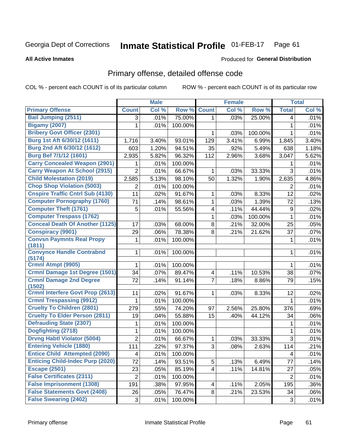### **Inmate Statistical Profile 01-FEB-17** Page 61

**All Active Inmates** 

### **Produced for General Distribution**

# Primary offense, detailed offense code

COL % - percent each COUNT is of its particular column

|                                            |                | <b>Male</b> |         |                         | Female |         |                | <b>Total</b> |
|--------------------------------------------|----------------|-------------|---------|-------------------------|--------|---------|----------------|--------------|
| <b>Primary Offense</b>                     | <b>Count</b>   | Col %       | Row %   | <b>Count</b>            | Col %  | Row %   | <b>Total</b>   | Col %        |
| <b>Bail Jumping (2511)</b>                 | 3              | .01%        | 75.00%  | 1 <sup>1</sup>          | .03%   | 25.00%  | 4              | .01%         |
| <b>Bigamy (2007)</b>                       | 1              | .01%        | 100.00% |                         |        |         | 1              | .01%         |
| <b>Bribery Govt Officer (2301)</b>         |                |             |         | 1                       | .03%   | 100.00% | 1              | .01%         |
| Burg 1st Aft 6/30/12 (1611)                | 1,716          | 3.40%       | 93.01%  | 129                     | 3.41%  | 6.99%   | 1,845          | 3.40%        |
| Burg 2nd Aft 6/30/12 (1612)                | 603            | 1.20%       | 94.51%  | 35                      | .92%   | 5.49%   | 638            | 1.18%        |
| Burg Bef 7/1/12 (1601)                     | 2,935          | 5.82%       | 96.32%  | 112                     | 2.96%  | 3.68%   | 3,047          | 5.62%        |
| <b>Carry Concealed Weapon (2901)</b>       | 1              | .01%        | 100.00% |                         |        |         | 1              | .01%         |
| <b>Carry Weapon At School (2915)</b>       | $\overline{2}$ | .01%        | 66.67%  | 1                       | .03%   | 33.33%  | 3              | .01%         |
| <b>Child Molestation (2019)</b>            | 2,585          | 5.13%       | 98.10%  | 50                      | 1.32%  | 1.90%   | 2,635          | 4.86%        |
| <b>Chop Shop Violation (5003)</b>          | 2              | .01%        | 100.00% |                         |        |         | 2              | .01%         |
| <b>Cnspire Traffic Cntrl Sub (4130)</b>    | 11             | .02%        | 91.67%  | 1                       | .03%   | 8.33%   | 12             | .02%         |
| <b>Computer Pornography (1760)</b>         | 71             | .14%        | 98.61%  | $\mathbf{1}$            | .03%   | 1.39%   | 72             | .13%         |
| <b>Computer Theft (1761)</b>               | 5              | .01%        | 55.56%  | 4                       | .11%   | 44.44%  | 9              | .02%         |
| <b>Computer Trespass (1762)</b>            |                |             |         | 1                       | .03%   | 100.00% | 1              | .01%         |
| <b>Conceal Death Of Another (1125)</b>     | 17             | .03%        | 68.00%  | 8                       | .21%   | 32.00%  | 25             | .05%         |
| <b>Conspiracy (9901)</b>                   | 29             | .06%        | 78.38%  | 8                       | .21%   | 21.62%  | 37             | .07%         |
| <b>Convsn Paymnts Real Propy</b><br>(1811) | 1              | .01%        | 100.00% |                         |        |         | 1              | .01%         |
| <b>Convynce Handle Contrabnd</b><br>(5174) | 1              | .01%        | 100.00% |                         |        |         | 1              | .01%         |
| Crmnl Atmpt (9905)                         | 1              | .01%        | 100.00% |                         |        |         | 1              | .01%         |
| <b>Crmnl Damage 1st Degree (1501)</b>      | 34             | .07%        | 89.47%  | $\overline{\mathbf{4}}$ | .11%   | 10.53%  | 38             | .07%         |
| <b>Crmnl Damage 2nd Degree</b><br>(1502)   | 72             | .14%        | 91.14%  | $\overline{7}$          | .18%   | 8.86%   | 79             | .15%         |
| <b>Crmnl Interfere Govt Prop (2613)</b>    | 11             | .02%        | 91.67%  | 1                       | .03%   | 8.33%   | 12             | .02%         |
| <b>Crmnl Trespassing (9912)</b>            | 1              | .01%        | 100.00% |                         |        |         | 1              | .01%         |
| <b>Cruelty To Children (2801)</b>          | 279            | .55%        | 74.20%  | 97                      | 2.56%  | 25.80%  | 376            | .69%         |
| <b>Cruelty To Elder Person (2811)</b>      | 19             | .04%        | 55.88%  | 15                      | .40%   | 44.12%  | 34             | .06%         |
| <b>Defrauding State (2307)</b>             | 1              | .01%        | 100.00% |                         |        |         | 1              | .01%         |
| Dogfighting (2718)                         | 1              | .01%        | 100.00% |                         |        |         | 1              | .01%         |
| <b>Drvng Habtl Violator (5004)</b>         | $\overline{2}$ | .01%        | 66.67%  | 1                       | .03%   | 33.33%  | $\overline{3}$ | .01%         |
| <b>Entering Vehicle (1880)</b>             | 111            | .22%        | 97.37%  | 3                       | .08%   | 2.63%   | 114            | .21%         |
| <b>Entice Child Attempted (2090)</b>       | 4              | .01%        | 100.00% |                         |        |         | 4              | .01%         |
| <b>Enticing Child-Indec Purp (2020)</b>    | 72             | .14%        | 93.51%  | 5 <sup>1</sup>          | .13%   | 6.49%   | 77             | .14%         |
| <b>Escape (2501)</b>                       | 23             | .05%        | 85.19%  | $\overline{\mathbf{4}}$ | .11%   | 14.81%  | 27             | .05%         |
| <b>False Certificates (2311)</b>           | $\overline{2}$ | .01%        | 100.00% |                         |        |         | 2              | .01%         |
| <b>False Imprisonment (1308)</b>           | 191            | .38%        | 97.95%  | 4                       | .11%   | 2.05%   | 195            | .36%         |
| <b>False Statements Govt (2408)</b>        | 26             | .05%        | 76.47%  | 8                       | .21%   | 23.53%  | 34             | .06%         |
| <b>False Swearing (2402)</b>               | 3              | .01%        | 100.00% |                         |        |         | 3              | .01%         |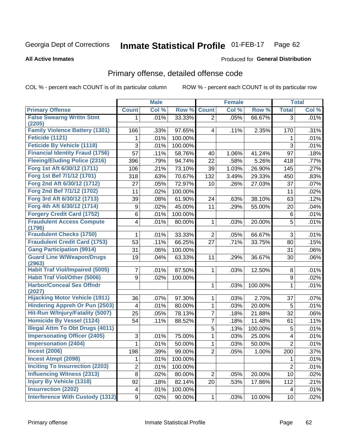### **Inmate Statistical Profile 01-FEB-17** Page 62

**All Active Inmates** 

## **Produced for General Distribution**

# Primary offense, detailed offense code

COL % - percent each COUNT is of its particular column

|                                            |              | <b>Male</b> |         |                  | <b>Female</b> |         |                | <b>Total</b> |
|--------------------------------------------|--------------|-------------|---------|------------------|---------------|---------|----------------|--------------|
| <b>Primary Offense</b>                     | <b>Count</b> | Col %       | Row %   | <b>Count</b>     | Col %         | Row %   | <b>Total</b>   | Col %        |
| <b>False Swearng Writtn Stmt</b>           | 1            | .01%        | 33.33%  | $\overline{2}$   | .05%          | 66.67%  | 3              | .01%         |
| (2205)                                     |              |             |         |                  |               |         |                |              |
| <b>Family Violence Battery (1301)</b>      | 166          | .33%        | 97.65%  | 4                | .11%          | 2.35%   | 170            | .31%         |
| Feticide (1121)                            | 1            | .01%        | 100.00% |                  |               |         | 1              | .01%         |
| <b>Feticide By Vehicle (1118)</b>          | 3            | .01%        | 100.00% |                  |               |         | 3              | .01%         |
| <b>Financial Identity Fraud (1756)</b>     | 57           | .11%        | 58.76%  | 40               | 1.06%         | 41.24%  | 97             | .18%         |
| <b>Fleeing/Eluding Police (2316)</b>       | 396          | .79%        | 94.74%  | 22               | .58%          | 5.26%   | 418            | .77%         |
| Forg 1st Aft 6/30/12 (1711)                | 106          | .21%        | 73.10%  | 39               | 1.03%         | 26.90%  | 145            | .27%         |
| Forg 1st Bef 7/1/12 (1701)                 | 318          | .63%        | 70.67%  | 132              | 3.49%         | 29.33%  | 450            | .83%         |
| Forg 2nd Aft 6/30/12 (1712)                | 27           | .05%        | 72.97%  | 10               | .26%          | 27.03%  | 37             | .07%         |
| Forg 2nd Bef 7/1/12 (1702)                 | 11           | .02%        | 100.00% |                  |               |         | 11             | .02%         |
| Forg 3rd Aft 6/30/12 (1713)                | 39           | .08%        | 61.90%  | 24               | .63%          | 38.10%  | 63             | .12%         |
| Forg 4th Aft 6/30/12 (1714)                | 9            | .02%        | 45.00%  | 11               | .29%          | 55.00%  | 20             | .04%         |
| <b>Forgery Credit Card (1752)</b>          | 6            | .01%        | 100.00% |                  |               |         | 6              | .01%         |
| <b>Fraudulent Access Compute</b><br>(1796) | 4            | .01%        | 80.00%  | $\mathbf 1$      | .03%          | 20.00%  | 5              | .01%         |
| <b>Fraudulent Checks (1750)</b>            | 1            | .01%        | 33.33%  | $\overline{2}$   | .05%          | 66.67%  | 3              | .01%         |
| <b>Fraudulent Credit Card (1753)</b>       | 53           | .11%        | 66.25%  | 27               | .71%          | 33.75%  | 80             | .15%         |
| <b>Gang Participation (9914)</b>           | 31           | .06%        | 100.00% |                  |               |         | 31             | .06%         |
| <b>Guard Line W/Weapon/Drugs</b>           | 19           | .04%        | 63.33%  | 11               | .29%          | 36.67%  | 30             | .06%         |
| (2963)                                     |              |             |         |                  |               |         |                |              |
| <b>Habit Traf Viol/Impaired (5005)</b>     | 7            | .01%        | 87.50%  | $\mathbf 1$      | .03%          | 12.50%  | 8              | .01%         |
| <b>Habit Traf Viol/Other (5006)</b>        | 9            | .02%        | 100.00% |                  |               |         | 9              | .02%         |
| <b>Harbor/Conceal Sex Offndr</b><br>(2027) |              |             |         | $\mathbf{1}$     | .03%          | 100.00% | 1              | .01%         |
| <b>Hijacking Motor Vehicle (1911)</b>      | 36           | .07%        | 97.30%  | $\mathbf 1$      | .03%          | 2.70%   | 37             | .07%         |
| <b>Hindering Appreh Or Pun (2503)</b>      | 4            | .01%        | 80.00%  | $\mathbf{1}$     | .03%          | 20.00%  | 5              | .01%         |
| Hit-Run W/Injury/Fatality (5007)           | 25           | .05%        | 78.13%  | $\overline{7}$   | .18%          | 21.88%  | 32             | .06%         |
| <b>Homicide By Vessel (1124)</b>           | 54           | .11%        | 88.52%  | $\overline{7}$   | .18%          | 11.48%  | 61             | .11%         |
| <b>Illegal Attm To Obt Drugs (4011)</b>    |              |             |         | 5                | .13%          | 100.00% | 5              | .01%         |
| <b>Impersonating Officer (2405)</b>        | 3            | .01%        | 75.00%  | 1                | .03%          | 25.00%  | 4              | .01%         |
| <b>Impersonation (2404)</b>                | 1            | .01%        | 50.00%  | 1                | .03%          | 50.00%  | $\overline{2}$ | .01%         |
| <b>Incest (2006)</b>                       | 198          | .39%        | 99.00%  | $\boldsymbol{2}$ | .05%          | 1.00%   | 200            | .37%         |
| <b>Incest Atmpt (2098)</b>                 | 1            | .01%        | 100.00% |                  |               |         | 1              | .01%         |
| <b>Inciting To Insurrection (2203)</b>     | 2            | .01%        | 100.00% |                  |               |         | $\overline{2}$ | .01%         |
| <b>Influencing Witness (2313)</b>          | 8            | .02%        | 80.00%  | 2 <sup>1</sup>   | .05%          | 20.00%  | 10             | .02%         |
| <b>Injury By Vehicle (1318)</b>            | 92           | .18%        | 82.14%  | 20 <sup>°</sup>  | .53%          | 17.86%  | 112            | .21%         |
| <b>Insurrection (2202)</b>                 | 4            | .01%        | 100.00% |                  |               |         | 4              | .01%         |
| <b>Interference With Custody (1312)</b>    | 9            | .02%        | 90.00%  | $\mathbf{1}$     | .03%          | 10.00%  | 10             | .02%         |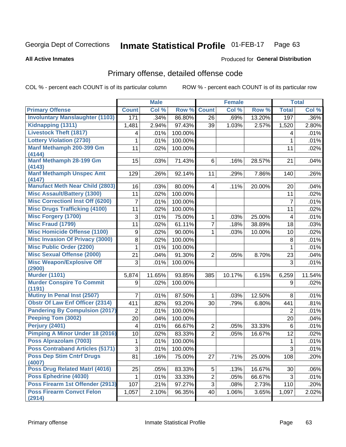### Inmate Statistical Profile 01-FEB-17 Page 63

### **All Active Inmates**

## **Produced for General Distribution**

# Primary offense, detailed offense code

COL % - percent each COUNT is of its particular column

|                                            |                | <b>Male</b> |         |                | <b>Female</b> |        |                         | <b>Total</b> |
|--------------------------------------------|----------------|-------------|---------|----------------|---------------|--------|-------------------------|--------------|
| <b>Primary Offense</b>                     | <b>Count</b>   | Col %       | Row %   | <b>Count</b>   | Col %         | Row %  | <b>Total</b>            | Col %        |
| <b>Involuntary Manslaughter (1103)</b>     | 171            | .34%        | 86.80%  | 26             | .69%          | 13.20% | 197                     | .36%         |
| Kidnapping (1311)                          | 1,481          | 2.94%       | 97.43%  | 39             | 1.03%         | 2.57%  | 1,520                   | 2.80%        |
| <b>Livestock Theft (1817)</b>              | 4              | .01%        | 100.00% |                |               |        | 4                       | .01%         |
| <b>Lottery Violation (2730)</b>            | 1              | .01%        | 100.00% |                |               |        | 1                       | .01%         |
| Manf Methamph 200-399 Gm                   | 11             | .02%        | 100.00% |                |               |        | 11                      | .02%         |
| (4144)                                     |                |             |         |                |               |        |                         |              |
| Manf Methamph 28-199 Gm                    | 15             | .03%        | 71.43%  | 6              | .16%          | 28.57% | 21                      | .04%         |
| (4143)<br><b>Manf Methamph Unspec Amt</b>  | 129            | .26%        | 92.14%  | 11             | .29%          | 7.86%  | 140                     | .26%         |
| (4147)                                     |                |             |         |                |               |        |                         |              |
| <b>Manufact Meth Near Child (2803)</b>     | 16             | .03%        | 80.00%  | 4              | .11%          | 20.00% | 20                      | .04%         |
| <b>Misc Assault/Battery (1300)</b>         | 11             | .02%        | 100.00% |                |               |        | 11                      | .02%         |
| <b>Misc Correctionl Inst Off (6200)</b>    | $\overline{7}$ | .01%        | 100.00% |                |               |        | $\overline{7}$          | .01%         |
| <b>Misc Drugs Trafficking (4100)</b>       | 11             | .02%        | 100.00% |                |               |        | 11                      | .02%         |
| <b>Misc Forgery (1700)</b>                 | 3              | .01%        | 75.00%  | 1              | .03%          | 25.00% | $\overline{\mathbf{4}}$ | .01%         |
| <b>Misc Fraud (1799)</b>                   | 11             | .02%        | 61.11%  | 7              | .18%          | 38.89% | 18                      | .03%         |
| <b>Misc Homicide Offense (1100)</b>        | 9              | .02%        | 90.00%  | 1              | .03%          | 10.00% | 10                      | .02%         |
| <b>Misc Invasion Of Privacy (3000)</b>     | 8              | .02%        | 100.00% |                |               |        | 8                       | .01%         |
| <b>Misc Public Order (2200)</b>            | 1              | .01%        | 100.00% |                |               |        | 1                       | .01%         |
| <b>Misc Sexual Offense (2000)</b>          | 21             | .04%        | 91.30%  | $\overline{2}$ | .05%          | 8.70%  | 23                      | .04%         |
| <b>Misc Weapon/Explosive Off</b>           | 3              | .01%        | 100.00% |                |               |        | 3                       | .01%         |
| (2900)                                     |                |             |         |                |               |        |                         |              |
| <b>Murder (1101)</b>                       | 5,874          | 11.65%      | 93.85%  | 385            | 10.17%        | 6.15%  | 6,259                   | 11.54%       |
| <b>Murder Conspire To Commit</b><br>(1191) | 9              | .02%        | 100.00% |                |               |        | 9                       | .02%         |
| Mutiny In Penal Inst (2507)                | 7              | .01%        | 87.50%  | 1              | .03%          | 12.50% | 8                       | .01%         |
| <b>Obstr Of Law Enf Officer (2314)</b>     | 411            | .82%        | 93.20%  | 30             | .79%          | 6.80%  | 441                     | .81%         |
| <b>Pandering By Compulsion (2017)</b>      | $\overline{2}$ | .01%        | 100.00% |                |               |        | 2                       | .01%         |
| Peeping Tom (3002)                         | 20             | .04%        | 100.00% |                |               |        | 20                      | .04%         |
| Perjury (2401)                             | $\overline{4}$ | .01%        | 66.67%  | $\overline{2}$ | .05%          | 33.33% | 6                       | .01%         |
| <b>Pimping A Minor Under 18 (2016)</b>     | 10             | .02%        | 83.33%  | $\overline{2}$ | .05%          | 16.67% | 12                      | .02%         |
| Poss Alprazolam (7003)                     | 1              | .01%        | 100.00% |                |               |        | 1                       | .01%         |
| <b>Poss Contraband Articles (5171)</b>     | 3              | .01%        | 100.00% |                |               |        | 3                       | .01%         |
| <b>Poss Dep Stim Cntrf Drugs</b><br>(4007) | 81             | .16%        | 75.00%  | 27             | .71%          | 25.00% | 108                     | .20%         |
| Poss Drug Related Matri (4016)             | 25             | .05%        | 83.33%  | 5              | .13%          | 16.67% | 30                      | .06%         |
| <b>Poss Ephedrine (4030)</b>               |                | .01%        | 33.33%  | $\overline{2}$ | .05%          | 66.67% | 3                       | .01%         |
| Poss Firearm 1st Offender (2913)           | 107            | .21%        | 97.27%  | 3              | .08%          | 2.73%  | 110                     | .20%         |
| <b>Poss Firearm Convct Felon</b><br>(2914) | 1,057          | 2.10%       | 96.35%  | 40             | 1.06%         | 3.65%  | 1,097                   | 2.02%        |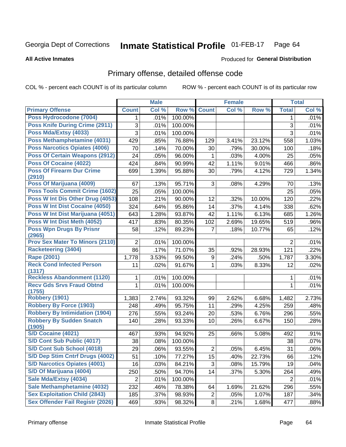### **Inmate Statistical Profile 01-FEB-17** Page 64

### **All Active Inmates**

# **Produced for General Distribution**

# Primary offense, detailed offense code

COL % - percent each COUNT is of its particular column

|                                            |                | <b>Male</b> |         |                | <b>Female</b> |        |                | <b>Total</b> |
|--------------------------------------------|----------------|-------------|---------|----------------|---------------|--------|----------------|--------------|
| <b>Primary Offense</b>                     | <b>Count</b>   | Col %       | Row %   | <b>Count</b>   | Col %         | Row %  | <b>Total</b>   | Col %        |
| Poss Hydrocodone (7004)                    | $\mathbf 1$    | .01%        | 100.00% |                |               |        | 1              | .01%         |
| <b>Poss Knife During Crime (2911)</b>      | 3              | .01%        | 100.00% |                |               |        | 3              | .01%         |
| Poss Mda/Extsy (4033)                      | $\overline{3}$ | .01%        | 100.00% |                |               |        | $\overline{3}$ | .01%         |
| Poss Methamphetamine (4031)                | 429            | .85%        | 76.88%  | 129            | 3.41%         | 23.12% | 558            | 1.03%        |
| <b>Poss Narcotics Opiates (4006)</b>       | 70             | .14%        | 70.00%  | 30             | .79%          | 30.00% | 100            | .18%         |
| <b>Poss Of Certain Weapons (2912)</b>      | 24             | .05%        | 96.00%  | 1              | .03%          | 4.00%  | 25             | .05%         |
| Poss Of Cocaine (4022)                     | 424            | .84%        | 90.99%  | 42             | 1.11%         | 9.01%  | 466            | .86%         |
| <b>Poss Of Firearm Dur Crime</b><br>(2910) | 699            | 1.39%       | 95.88%  | 30             | .79%          | 4.12%  | 729            | 1.34%        |
| Poss Of Marijuana (4009)                   | 67             | .13%        | 95.71%  | 3              | .08%          | 4.29%  | 70             | .13%         |
| <b>Poss Tools Commit Crime (1602)</b>      | 25             | .05%        | 100.00% |                |               |        | 25             | .05%         |
| Poss W Int Dis Other Drug (4053)           | 108            | .21%        | 90.00%  | 12             | .32%          | 10.00% | 120            | .22%         |
| <b>Poss W Int Dist Cocaine (4050)</b>      | 324            | .64%        | 95.86%  | 14             | .37%          | 4.14%  | 338            | .62%         |
| Poss W Int Dist Marijuana (4051)           | 643            | 1.28%       | 93.87%  | 42             | 1.11%         | 6.13%  | 685            | 1.26%        |
| Poss W Int Dist Meth (4052)                | 417            | .83%        | 80.35%  | 102            | 2.69%         | 19.65% | 519            | .96%         |
| <b>Poss Wpn Drugs By Prisnr</b><br>(2965)  | 58             | .12%        | 89.23%  | $\overline{7}$ | .18%          | 10.77% | 65             | .12%         |
| <b>Prov Sex Mater To Minors (2110)</b>     | $\overline{2}$ | .01%        | 100.00% |                |               |        | 2              | .01%         |
| <b>Racketeering (3404)</b>                 | 86             | .17%        | 71.07%  | 35             | .92%          | 28.93% | 121            | .22%         |
| <b>Rape (2001)</b>                         | 1,778          | 3.53%       | 99.50%  | 9              | .24%          | .50%   | 1,787          | 3.30%        |
| <b>Reck Cond Infected Person</b>           | 11             | .02%        | 91.67%  | 1              | .03%          | 8.33%  | 12             | .02%         |
| (1317)                                     |                |             |         |                |               |        |                |              |
| <b>Reckless Abandonment (1120)</b>         | 1              | .01%        | 100.00% |                |               |        | 1              | .01%         |
| <b>Recv Gds Srvs Fraud Obtnd</b><br>(1755) | 1              | .01%        | 100.00% |                |               |        | 1              | .01%         |
| <b>Robbery (1901)</b>                      | 1,383          | 2.74%       | 93.32%  | 99             | 2.62%         | 6.68%  | 1,482          | 2.73%        |
| <b>Robbery By Force (1903)</b>             | 248            | .49%        | 95.75%  | 11             | .29%          | 4.25%  | 259            | .48%         |
| <b>Robbery By Intimidation (1904)</b>      | 276            | .55%        | 93.24%  | 20             | .53%          | 6.76%  | 296            | .55%         |
| <b>Robbery By Sudden Snatch</b><br>(1905)  | 140            | .28%        | 93.33%  | 10             | .26%          | 6.67%  | 150            | .28%         |
| <b>S/D Cocaine (4021)</b>                  | 467            | .93%        | 94.92%  | 25             | .66%          | 5.08%  | 492            | .91%         |
| S/D Cont Sub Public (4017)                 | 38             | .08%        | 100.00% |                |               |        | 38             | .07%         |
| S/D Cont Sub School (4018)                 | 29             | .06%        | 93.55%  | $\overline{2}$ | .05%          | 6.45%  | 31             | .06%         |
| S/D Dep Stim Cntrf Drugs (4002)            | 51             | .10%        | 77.27%  | 15             | .40%          | 22.73% | 66             | .12%         |
| <b>S/D Narcotics Opiates (4001)</b>        | 16             | .03%        | 84.21%  | 3              | .08%          | 15.79% | 19             | .04%         |
| S/D Of Marijuana (4004)                    | 250            | .50%        | 94.70%  | 14             | .37%          | 5.30%  | 264            | .49%         |
| Sale Mda/Extsy (4034)                      | $\overline{2}$ | .01%        | 100.00% |                |               |        | $\overline{2}$ | .01%         |
| Sale Methamphetamine (4032)                | 232            | .46%        | 78.38%  | 64             | 1.69%         | 21.62% | 296            | .55%         |
| <b>Sex Exploitation Child (2843)</b>       | 185            | .37%        | 98.93%  | $\overline{2}$ | .05%          | 1.07%  | 187            | .34%         |
| <b>Sex Offender Fail Registr (2026)</b>    | 469            | .93%        | 98.32%  | 8 <sup>1</sup> | .21%          | 1.68%  | 477            | .88%         |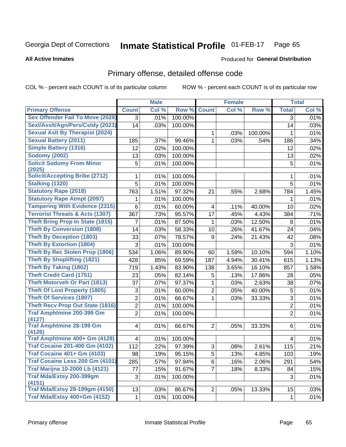### Inmate Statistical Profile 01-FEB-17 Page 65

**All Active Inmates** 

### **Produced for General Distribution**

# Primary offense, detailed offense code

COL % - percent each COUNT is of its particular column

|                                            |                | <b>Male</b> |         |                | <b>Female</b> |         |                | <b>Total</b> |
|--------------------------------------------|----------------|-------------|---------|----------------|---------------|---------|----------------|--------------|
| <b>Primary Offense</b>                     | <b>Count</b>   | Col %       | Row %   | <b>Count</b>   | Col %         | Row %   | <b>Total</b>   | Col %        |
| <b>Sex Offender Fail To Move (2028)</b>    | $\overline{3}$ | .01%        | 100.00% |                |               |         | 3              | .01%         |
| Sexl/Asslt/Agn/Pers/Cstdy (2023)           | 14             | .03%        | 100.00% |                |               |         | 14             | .03%         |
| <b>Sexual Aslt By Therapist (2024)</b>     |                |             |         | 1.             | .03%          | 100.00% | 1              | .01%         |
| <b>Sexual Battery (2011)</b>               | 185            | .37%        | 99.46%  | $\mathbf{1}$   | .03%          | .54%    | 186            | .34%         |
| <b>Simple Battery (1316)</b>               | 12             | .02%        | 100.00% |                |               |         | 12             | .02%         |
| <b>Sodomy (2002)</b>                       | 13             | .03%        | 100.00% |                |               |         | 13             | .02%         |
| <b>Solicit Sodomy From Minor</b><br>(2025) | 5              | .01%        | 100.00% |                |               |         | 5              | .01%         |
| <b>Solicit/Accepting Bribe (2712)</b>      | 1              | .01%        | 100.00% |                |               |         | 1              | .01%         |
| <b>Stalking (1320)</b>                     | 5              | .01%        | 100.00% |                |               |         | 5              | .01%         |
| <b>Statutory Rape (2018)</b>               | 763            | 1.51%       | 97.32%  | 21             | .55%          | 2.68%   | 784            | 1.45%        |
| <b>Statutory Rape Atmpt (2097)</b>         | 1              | .01%        | 100.00% |                |               |         | 1              | .01%         |
| <b>Tampering With Evidence (2315)</b>      | 6              | .01%        | 60.00%  | $\overline{4}$ | .11%          | 40.00%  | 10             | .02%         |
| <b>Terrorist Threats &amp; Acts (1307)</b> | 367            | .73%        | 95.57%  | 17             | .45%          | 4.43%   | 384            | .71%         |
| <b>Theft Bring Prop In State (1815)</b>    | 7              | .01%        | 87.50%  | 1              | .03%          | 12.50%  | 8              | .01%         |
| <b>Theft By Conversion (1808)</b>          | 14             | .03%        | 58.33%  | 10             | .26%          | 41.67%  | 24             | .04%         |
| <b>Theft By Deception (1803)</b>           | 33             | .07%        | 78.57%  | 9              | .24%          | 21.43%  | 42             | .08%         |
| <b>Theft By Extortion (1804)</b>           | 3              | .01%        | 100.00% |                |               |         | 3              | .01%         |
| Theft By Rec Stolen Prop (1806)            | 534            | 1.06%       | 89.90%  | 60             | 1.59%         | 10.10%  | 594            | 1.10%        |
| <b>Theft By Shoplifting (1821)</b>         | 428            | .85%        | 69.59%  | 187            | 4.94%         | 30.41%  | 615            | 1.13%        |
| <b>Theft By Taking (1802)</b>              | 719            | 1.43%       | 83.90%  | 138            | 3.65%         | 16.10%  | 857            | 1.58%        |
| <b>Theft Credit Card (1751)</b>            | 23             | .05%        | 82.14%  | 5              | .13%          | 17.86%  | 28             | .05%         |
| <b>Theft Motorveh Or Part (1813)</b>       | 37             | .07%        | 97.37%  | 1              | .03%          | 2.63%   | 38             | .07%         |
| <b>Theft Of Lost Property (1805)</b>       | 3              | .01%        | 60.00%  | $\overline{2}$ | .05%          | 40.00%  | 5              | .01%         |
| <b>Theft Of Services (1807)</b>            | $\overline{2}$ | .01%        | 66.67%  | $\mathbf{1}$   | .03%          | 33.33%  | 3              | .01%         |
| <b>Theft Recv Prop Out State (1816)</b>    | $\overline{c}$ | .01%        | 100.00% |                |               |         | $\overline{c}$ | .01%         |
| <b>Traf Amphtmine 200-399 Gm</b>           | $\overline{2}$ | .01%        | 100.00% |                |               |         | $\overline{2}$ | .01%         |
| (4127)<br><b>Traf Amphtmine 28-199 Gm</b>  |                |             | 66.67%  | $\overline{2}$ |               |         |                | .01%         |
| (4126)                                     | 4              | .01%        |         |                | .05%          | 33.33%  | 6              |              |
| Traf Amphtmine 400+ Gm (4128)              | 4              | .01%        | 100.00% |                |               |         | $\overline{4}$ | .01%         |
| <b>Traf Cocaine 201-400 Gm (4102)</b>      | 112            | .22%        | 97.39%  | 3              | .08%          | 2.61%   | 115            | .21%         |
| <b>Traf Cocaine 401+ Gm (4103)</b>         | 98             | .19%        | 95.15%  | 5              | .13%          | 4.85%   | 103            | .19%         |
| Traf Cocaine Less 200 Gm (4101)            | 285            | .57%        | 97.94%  | $6\phantom{1}$ | .16%          | 2.06%   | 291            | .54%         |
| <b>Traf Marijna 10-2000 Lb (4121)</b>      | 77             | .15%        | 91.67%  | $\overline{7}$ | .18%          | 8.33%   | 84             | .15%         |
| Traf Mda/Extsy 200-399gm                   | 3              | .01%        | 100.00% |                |               |         | 3              | .01%         |
| (4151)                                     |                |             |         |                |               |         |                |              |
| <b>Traf Mda/Extsy 28-199gm (4150)</b>      | 13             | .03%        | 86.67%  | $\overline{2}$ | .05%          | 13.33%  | 15             | .03%         |
| Traf Mda/Extsy 400+Gm (4152)               | 1              | .01%        | 100.00% |                |               |         | $\mathbf{1}$   | $.01\%$      |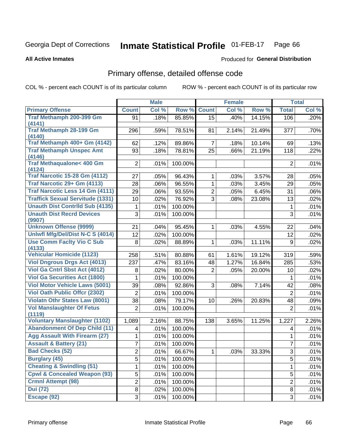### **Inmate Statistical Profile 01-FEB-17** Page 66

**All Active Inmates** 

### **Produced for General Distribution**

# Primary offense, detailed offense code

COL % - percent each COUNT is of its particular column

|                                         |                         | <b>Male</b> |         |                | <b>Female</b> |        |                | <b>Total</b> |
|-----------------------------------------|-------------------------|-------------|---------|----------------|---------------|--------|----------------|--------------|
| <b>Primary Offense</b>                  | <b>Count</b>            | Col %       | Row %   | <b>Count</b>   | Col %         | Row %  | <b>Total</b>   | Col %        |
| Traf Methamph 200-399 Gm                | 91                      | .18%        | 85.85%  | 15             | .40%          | 14.15% | 106            | .20%         |
| (4141)                                  |                         |             |         |                |               |        |                |              |
| <b>Traf Methamph 28-199 Gm</b>          | 296                     | .59%        | 78.51%  | 81             | 2.14%         | 21.49% | 377            | .70%         |
| (4140)<br>Traf Methamph 400+ Gm (4142)  | 62                      | .12%        | 89.86%  | $\overline{7}$ | .18%          | 10.14% | 69             | .13%         |
| <b>Traf Methamph Unspec Amt</b>         | 93                      | .18%        | 78.81%  | 25             | .66%          | 21.19% | 118            | .22%         |
| (4146)                                  |                         |             |         |                |               |        |                |              |
| Traf Methaqualone< 400 Gm               | $\overline{2}$          | .01%        | 100.00% |                |               |        | $\overline{2}$ | .01%         |
| (4124)                                  |                         |             |         |                |               |        |                |              |
| <b>Traf Narcotic 15-28 Gm (4112)</b>    | 27                      | .05%        | 96.43%  | $\mathbf{1}$   | .03%          | 3.57%  | 28             | .05%         |
| Traf Narcotic 29+ Gm (4113)             | 28                      | .06%        | 96.55%  | $\mathbf{1}$   | .03%          | 3.45%  | 29             | .05%         |
| Traf Narcotic Less 14 Gm (4111)         | 29                      | .06%        | 93.55%  | $\overline{2}$ | .05%          | 6.45%  | 31             | .06%         |
| <b>Traffick Sexual Servitude (1331)</b> | 10                      | .02%        | 76.92%  | 3              | .08%          | 23.08% | 13             | .02%         |
| <b>Unauth Dist Contrild Sub (4135)</b>  | 1                       | .01%        | 100.00% |                |               |        | 1              | .01%         |
| <b>Unauth Dist Recrd Devices</b>        | 3                       | .01%        | 100.00% |                |               |        | 3              | .01%         |
| (9907)<br><b>Unknown Offense (9999)</b> | 21                      | .04%        | 95.45%  | $\mathbf{1}$   | .03%          | 4.55%  | 22             | .04%         |
| Uniwfl Mfg/Del/Dist N-C S (4014)        | 12                      | .02%        | 100.00% |                |               |        | 12             | .02%         |
| <b>Use Comm Facity Vio C Sub</b>        | 8                       | .02%        | 88.89%  | $\mathbf 1$    | .03%          | 11.11% | 9              | .02%         |
| (4133)                                  |                         |             |         |                |               |        |                |              |
| <b>Vehicular Homicide (1123)</b>        | 258                     | .51%        | 80.88%  | 61             | 1.61%         | 19.12% | 319            | .59%         |
| <b>Viol Dngrous Drgs Act (4013)</b>     | 237                     | .47%        | 83.16%  | 48             | 1.27%         | 16.84% | 285            | .53%         |
| Viol Ga Cntrl Sbst Act (4012)           | 8                       | .02%        | 80.00%  | $\overline{2}$ | .05%          | 20.00% | 10             | .02%         |
| <b>Viol Ga Securities Act (1800)</b>    | 1                       | .01%        | 100.00% |                |               |        | 1              | .01%         |
| <b>Viol Motor Vehicle Laws (5001)</b>   | 39                      | .08%        | 92.86%  | 3              | .08%          | 7.14%  | 42             | .08%         |
| <b>Viol Oath Public Offcr (2302)</b>    | $\overline{2}$          | .01%        | 100.00% |                |               |        | $\overline{2}$ | .01%         |
| <b>Violatn Othr States Law (8001)</b>   | 38                      | .08%        | 79.17%  | 10             | .26%          | 20.83% | 48             | .09%         |
| <b>Vol Manslaughter Of Fetus</b>        | 2                       | .01%        | 100.00% |                |               |        | $\overline{2}$ | .01%         |
| (1119)                                  |                         |             |         |                |               |        |                |              |
| <b>Voluntary Manslaughter (1102)</b>    | 1,089                   | 2.16%       | 88.75%  | 138            | 3.65%         | 11.25% | 1,227          | 2.26%        |
| <b>Abandonment Of Dep Child (11)</b>    | 4                       | .01%        | 100.00% |                |               |        | 4              | .01%         |
| <b>Agg Assault With Firearm (27)</b>    | 1                       | .01%        | 100.00% |                |               |        | 1              | .01%         |
| <b>Assault &amp; Battery (21)</b>       | 7                       | .01%        | 100.00% |                |               |        | $\overline{7}$ | .01%         |
| <b>Bad Checks (52)</b>                  | $\overline{\mathbf{c}}$ | .01%        | 66.67%  | $\mathbf 1$    | .03%          | 33.33% | 3              | .01%         |
| <b>Burglary (45)</b>                    | 5                       | .01%        | 100.00% |                |               |        | $\overline{5}$ | .01%         |
| <b>Cheating &amp; Swindling (51)</b>    | 1                       | .01%        | 100.00% |                |               |        | 1              | .01%         |
| <b>Cpwl &amp; Concealed Weapon (93)</b> | 5                       | .01%        | 100.00% |                |               |        | 5              | .01%         |
| <b>Crmnl Attempt (98)</b>               | 2                       | .01%        | 100.00% |                |               |        | $\overline{2}$ | .01%         |
| <b>Dui</b> (72)                         | 8                       | .02%        | 100.00% |                |               |        | 8              | .01%         |
| Escape (92)                             | 3                       | .01%        | 100.00% |                |               |        | 3              | .01%         |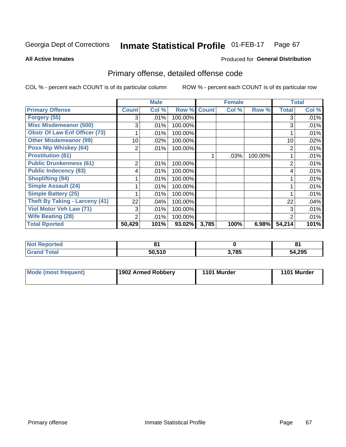### Inmate Statistical Profile 01-FEB-17 Page 67

**All Active Inmates** 

### **Produced for General Distribution**

# Primary offense, detailed offense code

COL % - percent each COUNT is of its particular column

|                                       |              | <b>Male</b> |         |              | <b>Female</b> |         |                | <b>Total</b> |
|---------------------------------------|--------------|-------------|---------|--------------|---------------|---------|----------------|--------------|
| <b>Primary Offense</b>                | <b>Count</b> | Col %       | Row %   | <b>Count</b> | Col %         | Row %   | <b>Total</b>   | Col %        |
| Forgery (55)                          | 3            | .01%        | 100.00% |              |               |         | 3              | .01%         |
| <b>Misc Misdemeanor (500)</b>         | 3            | .01%        | 100.00% |              |               |         | 3              | .01%         |
| <b>Obstr Of Law Enf Officer (73)</b>  |              | .01%        | 100.00% |              |               |         |                | .01%         |
| <b>Other Misdemeanor (99)</b>         | 10           | $.02\%$     | 100.00% |              |               |         | 10             | .02%         |
| <b>Poss Ntp Whiskey (64)</b>          | 2            | .01%        | 100.00% |              |               |         | $\overline{2}$ | .01%         |
| <b>Prostitution (81)</b>              |              |             |         |              | .03%          | 100.00% |                | .01%         |
| <b>Public Drunkenness (61)</b>        | 2            | .01%        | 100.00% |              |               |         | $\overline{2}$ | .01%         |
| <b>Public Indecency (83)</b>          | 4            | .01%        | 100.00% |              |               |         | 4              | .01%         |
| <b>Shoplifting (94)</b>               |              | .01%        | 100.00% |              |               |         |                | .01%         |
| <b>Simple Assault (24)</b>            |              | .01%        | 100.00% |              |               |         |                | .01%         |
| <b>Simple Battery (25)</b>            |              | .01%        | 100.00% |              |               |         |                | .01%         |
| <b>Theft By Taking - Larceny (41)</b> | 22           | .04%        | 100.00% |              |               |         | 22             | .04%         |
| Viol Motor Veh Law (71)               | 3            | .01%        | 100.00% |              |               |         | 3              | .01%         |
| <b>Wife Beating (28)</b>              | 2            | .01%        | 100.00% |              |               |         | 2              | .01%         |
| <b>Total Rported</b>                  | 50,429       | 101%        | 93.02%  | 3,785        | 100%          | 6.98%   | 54,214         | 101%         |

| тео |        |       | n.<br>$\mathbf{o}$ |
|-----|--------|-------|--------------------|
|     | 50.510 | 3,785 | 54,295             |

| Mode (most frequent) | 1902 Armed Robbery | 1101 Murder | 1101 Murder |
|----------------------|--------------------|-------------|-------------|
|----------------------|--------------------|-------------|-------------|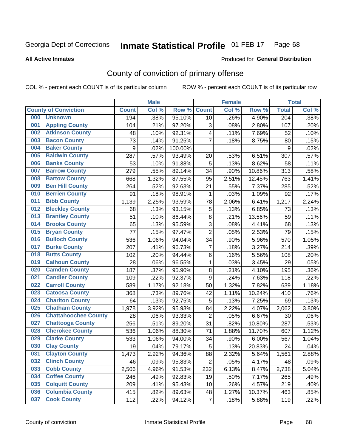### Inmate Statistical Profile 01-FEB-17 Page 68

**All Active Inmates** 

### Produced for General Distribution

# County of conviction of primary offense

COL % - percent each COUNT is of its particular column

|     |                             |              | <b>Male</b> |         |                | <b>Female</b> |        |                  | <b>Total</b> |
|-----|-----------------------------|--------------|-------------|---------|----------------|---------------|--------|------------------|--------------|
|     | <b>County of Conviction</b> | <b>Count</b> | Col %       | Row %   | <b>Count</b>   | Col %         | Row %  | <b>Total</b>     | Col %        |
| 000 | <b>Unknown</b>              | 194          | .38%        | 95.10%  | 10             | .26%          | 4.90%  | $\overline{204}$ | .38%         |
| 001 | <b>Appling County</b>       | 104          | .21%        | 97.20%  | 3              | .08%          | 2.80%  | 107              | .20%         |
| 002 | <b>Atkinson County</b>      | 48           | .10%        | 92.31%  | 4              | .11%          | 7.69%  | 52               | .10%         |
| 003 | <b>Bacon County</b>         | 73           | .14%        | 91.25%  | $\overline{7}$ | .18%          | 8.75%  | 80               | .15%         |
| 004 | <b>Baker County</b>         | 9            | .02%        | 100.00% |                |               |        | $\boldsymbol{9}$ | .02%         |
| 005 | <b>Baldwin County</b>       | 287          | .57%        | 93.49%  | 20             | .53%          | 6.51%  | 307              | .57%         |
| 006 | <b>Banks County</b>         | 53           | .10%        | 91.38%  | 5              | .13%          | 8.62%  | 58               | .11%         |
| 007 | <b>Barrow County</b>        | 279          | .55%        | 89.14%  | 34             | .90%          | 10.86% | 313              | .58%         |
| 008 | <b>Bartow County</b>        | 668          | 1.32%       | 87.55%  | 95             | 2.51%         | 12.45% | 763              | 1.41%        |
| 009 | <b>Ben Hill County</b>      | 264          | .52%        | 92.63%  | 21             | .55%          | 7.37%  | 285              | .52%         |
| 010 | <b>Berrien County</b>       | 91           | .18%        | 98.91%  | 1              | .03%          | 1.09%  | 92               | .17%         |
| 011 | <b>Bibb County</b>          | 1,139        | 2.25%       | 93.59%  | 78             | 2.06%         | 6.41%  | 1,217            | 2.24%        |
| 012 | <b>Bleckley County</b>      | 68           | .13%        | 93.15%  | 5              | .13%          | 6.85%  | 73               | .13%         |
| 013 | <b>Brantley County</b>      | 51           | .10%        | 86.44%  | 8              | .21%          | 13.56% | 59               | .11%         |
| 014 | <b>Brooks County</b>        | 65           | .13%        | 95.59%  | 3              | .08%          | 4.41%  | 68               | .13%         |
| 015 | <b>Bryan County</b>         | 77           | .15%        | 97.47%  | $\overline{2}$ | .05%          | 2.53%  | 79               | .15%         |
| 016 | <b>Bulloch County</b>       | 536          | 1.06%       | 94.04%  | 34             | .90%          | 5.96%  | 570              | 1.05%        |
| 017 | <b>Burke County</b>         | 207          | .41%        | 96.73%  | $\overline{7}$ | .18%          | 3.27%  | 214              | .39%         |
| 018 | <b>Butts County</b>         | 102          | .20%        | 94.44%  | 6              | .16%          | 5.56%  | 108              | .20%         |
| 019 | <b>Calhoun County</b>       | 28           | .06%        | 96.55%  | 1              | .03%          | 3.45%  | 29               | .05%         |
| 020 | <b>Camden County</b>        | 187          | .37%        | 95.90%  | 8              | .21%          | 4.10%  | 195              | .36%         |
| 021 | <b>Candler County</b>       | 109          | .22%        | 92.37%  | 9              | .24%          | 7.63%  | 118              | .22%         |
| 022 | <b>Carroll County</b>       | 589          | 1.17%       | 92.18%  | 50             | 1.32%         | 7.82%  | 639              | 1.18%        |
| 023 | <b>Catoosa County</b>       | 368          | .73%        | 89.76%  | 42             | 1.11%         | 10.24% | 410              | .76%         |
| 024 | <b>Charlton County</b>      | 64           | .13%        | 92.75%  | 5              | .13%          | 7.25%  | 69               | .13%         |
| 025 | <b>Chatham County</b>       | 1,978        | 3.92%       | 95.93%  | 84             | 2.22%         | 4.07%  | 2,062            | 3.80%        |
| 026 | <b>Chattahoochee County</b> | 28           | .06%        | 93.33%  | $\overline{2}$ | .05%          | 6.67%  | 30               | .06%         |
| 027 | <b>Chattooga County</b>     | 256          | .51%        | 89.20%  | 31             | .82%          | 10.80% | 287              | .53%         |
| 028 | <b>Cherokee County</b>      | 536          | 1.06%       | 88.30%  | 71             | 1.88%         | 11.70% | 607              | 1.12%        |
| 029 | <b>Clarke County</b>        | 533          | 1.06%       | 94.00%  | 34             | .90%          | 6.00%  | 567              | 1.04%        |
| 030 | <b>Clay County</b>          | 19           | .04%        | 79.17%  | 5              | .13%          | 20.83% | 24               | .04%         |
| 031 | <b>Clayton County</b>       | 1,473        | 2.92%       | 94.36%  | 88             | 2.32%         | 5.64%  | 1,561            | 2.88%        |
| 032 | <b>Clinch County</b>        | 46           | .09%        | 95.83%  | $\overline{2}$ | .05%          | 4.17%  | 48               | .09%         |
| 033 | <b>Cobb County</b>          | 2,506        | 4.96%       | 91.53%  | 232            | 6.13%         | 8.47%  | 2,738            | 5.04%        |
| 034 | <b>Coffee County</b>        | 246          | .49%        | 92.83%  | 19             | .50%          | 7.17%  | 265              | .49%         |
| 035 | <b>Colquitt County</b>      | 209          | .41%        | 95.43%  | 10             | .26%          | 4.57%  | 219              | .40%         |
| 036 | <b>Columbia County</b>      | 415          | .82%        | 89.63%  | 48             | 1.27%         | 10.37% | 463              | .85%         |
| 037 | <b>Cook County</b>          | 112          | .22%        | 94.12%  | $\overline{7}$ | .18%          | 5.88%  | 119              | .22%         |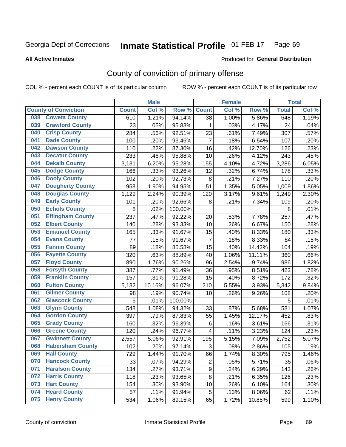### Inmate Statistical Profile 01-FEB-17 Page 69

**All Active Inmates** 

## **Produced for General Distribution**

# County of conviction of primary offense

COL % - percent each COUNT is of its particular column

|                                |              | <b>Male</b> |         |                | <b>Female</b> |        |              | <b>Total</b> |
|--------------------------------|--------------|-------------|---------|----------------|---------------|--------|--------------|--------------|
| <b>County of Conviction</b>    | <b>Count</b> | Col %       | Row %   | <b>Count</b>   | Col %         | Row %  | <b>Total</b> | Col %        |
| <b>Coweta County</b><br>038    | 610          | 1.21%       | 94.14%  | 38             | 1.00%         | 5.86%  | 648          | 1.19%        |
| <b>Crawford County</b><br>039  | 23           | .05%        | 95.83%  | 1              | .03%          | 4.17%  | 24           | .04%         |
| <b>Crisp County</b><br>040     | 284          | .56%        | 92.51%  | 23             | .61%          | 7.49%  | 307          | .57%         |
| <b>Dade County</b><br>041      | 100          | .20%        | 93.46%  | $\overline{7}$ | .18%          | 6.54%  | 107          | .20%         |
| <b>Dawson County</b><br>042    | 110          | .22%        | 87.30%  | 16             | .42%          | 12.70% | 126          | .23%         |
| 043<br><b>Decatur County</b>   | 233          | .46%        | 95.88%  | 10             | .26%          | 4.12%  | 243          | .45%         |
| <b>Dekalb County</b><br>044    | 3,131        | 6.20%       | 95.28%  | 155            | 4.10%         | 4.72%  | 3,286        | 6.05%        |
| <b>Dodge County</b><br>045     | 166          | .33%        | 93.26%  | 12             | .32%          | 6.74%  | 178          | .33%         |
| <b>Dooly County</b><br>046     | 102          | .20%        | 92.73%  | 8              | .21%          | 7.27%  | 110          | .20%         |
| 047<br><b>Dougherty County</b> | 958          | 1.90%       | 94.95%  | 51             | 1.35%         | 5.05%  | 1,009        | 1.86%        |
| <b>Douglas County</b><br>048   | 1,129        | 2.24%       | 90.39%  | 120            | 3.17%         | 9.61%  | 1,249        | 2.30%        |
| <b>Early County</b><br>049     | 101          | .20%        | 92.66%  | 8              | .21%          | 7.34%  | 109          | .20%         |
| <b>Echols County</b><br>050    | 8            | .02%        | 100.00% |                |               |        | 8            | .01%         |
| 051<br><b>Effingham County</b> | 237          | .47%        | 92.22%  | 20             | .53%          | 7.78%  | 257          | .47%         |
| <b>Elbert County</b><br>052    | 140          | .28%        | 93.33%  | 10             | .26%          | 6.67%  | 150          | .28%         |
| <b>Emanuel County</b><br>053   | 165          | .33%        | 91.67%  | 15             | .40%          | 8.33%  | 180          | .33%         |
| <b>Evans County</b><br>054     | 77           | .15%        | 91.67%  | $\overline{7}$ | .18%          | 8.33%  | 84           | .15%         |
| <b>Fannin County</b><br>055    | 89           | .18%        | 85.58%  | 15             | .40%          | 14.42% | 104          | .19%         |
| <b>Fayette County</b><br>056   | 320          | .63%        | 88.89%  | 40             | 1.06%         | 11.11% | 360          | .66%         |
| <b>Floyd County</b><br>057     | 890          | 1.76%       | 90.26%  | 96             | 2.54%         | 9.74%  | 986          | 1.82%        |
| <b>Forsyth County</b><br>058   | 387          | .77%        | 91.49%  | 36             | .95%          | 8.51%  | 423          | .78%         |
| <b>Franklin County</b><br>059  | 157          | .31%        | 91.28%  | 15             | .40%          | 8.72%  | 172          | .32%         |
| <b>Fulton County</b><br>060    | 5,132        | 10.16%      | 96.07%  | 210            | 5.55%         | 3.93%  | 5,342        | 9.84%        |
| <b>Gilmer County</b><br>061    | 98           | .19%        | 90.74%  | 10             | .26%          | 9.26%  | 108          | .20%         |
| <b>Glascock County</b><br>062  | 5            | .01%        | 100.00% |                |               |        | 5            | .01%         |
| 063<br><b>Glynn County</b>     | 548          | 1.08%       | 94.32%  | 33             | .87%          | 5.68%  | 581          | 1.07%        |
| <b>Gordon County</b><br>064    | 397          | .79%        | 87.83%  | 55             | 1.45%         | 12.17% | 452          | .83%         |
| <b>Grady County</b><br>065     | 160          | .32%        | 96.39%  | 6              | .16%          | 3.61%  | 166          | .31%         |
| <b>Greene County</b><br>066    | 120          | .24%        | 96.77%  | 4              | .11%          | 3.23%  | 124          | .23%         |
| <b>Gwinnett County</b><br>067  | 2,557        | 5.06%       | 92.91%  | 195            | 5.15%         | 7.09%  | 2,752        | 5.07%        |
| <b>Habersham County</b><br>068 | 102          | .20%        | 97.14%  | 3              | .08%          | 2.86%  | 105          | .19%         |
| 069<br><b>Hall County</b>      | 729          | 1.44%       | 91.70%  | 66             | 1.74%         | 8.30%  | 795          | 1.46%        |
| <b>Hancock County</b><br>070   | 33           | .07%        | 94.29%  | $\overline{2}$ | .05%          | 5.71%  | 35           | .06%         |
| <b>Haralson County</b><br>071  | 134          | .27%        | 93.71%  | 9              | .24%          | 6.29%  | 143          | .26%         |
| 072<br><b>Harris County</b>    | 118          | .23%        | 93.65%  | 8              | .21%          | 6.35%  | 126          | .23%         |
| <b>Hart County</b><br>073      | 154          | .30%        | 93.90%  | 10             | .26%          | 6.10%  | 164          | .30%         |
| <b>Heard County</b><br>074     | 57           | .11%        | 91.94%  | 5              | .13%          | 8.06%  | 62           | .11%         |
| <b>Henry County</b><br>075     | 534          | 1.06%       | 89.15%  | 65             | 1.72%         | 10.85% | 599          | 1.10%        |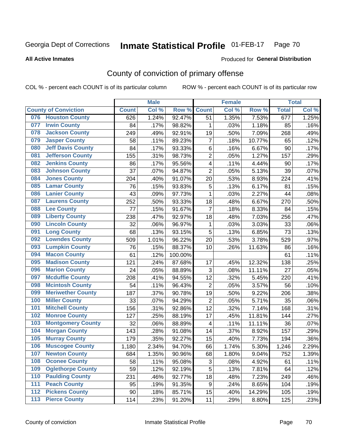### Inmate Statistical Profile 01-FEB-17 Page 70

### **All Active Inmates**

# Produced for General Distribution

# County of conviction of primary offense

COL % - percent each COUNT is of its particular column

|                                 |              | <b>Male</b> |         |                         | <b>Female</b> |        |              | <b>Total</b> |
|---------------------------------|--------------|-------------|---------|-------------------------|---------------|--------|--------------|--------------|
| <b>County of Conviction</b>     | <b>Count</b> | Col %       | Row %   | <b>Count</b>            | Col %         | Row %  | <b>Total</b> | Col%         |
| <b>Houston County</b><br>076    | 626          | 1.24%       | 92.47%  | 51                      | 1.35%         | 7.53%  | 677          | 1.25%        |
| <b>Irwin County</b><br>077      | 84           | .17%        | 98.82%  | 1                       | .03%          | 1.18%  | 85           | .16%         |
| <b>Jackson County</b><br>078    | 249          | .49%        | 92.91%  | 19                      | .50%          | 7.09%  | 268          | .49%         |
| <b>Jasper County</b><br>079     | 58           | .11%        | 89.23%  | $\overline{7}$          | .18%          | 10.77% | 65           | .12%         |
| <b>Jeff Davis County</b><br>080 | 84           | .17%        | 93.33%  | 6                       | .16%          | 6.67%  | 90           | .17%         |
| 081<br><b>Jefferson County</b>  | 155          | .31%        | 98.73%  | $\overline{2}$          | .05%          | 1.27%  | 157          | .29%         |
| <b>Jenkins County</b><br>082    | 86           | .17%        | 95.56%  | 4                       | .11%          | 4.44%  | 90           | .17%         |
| <b>Johnson County</b><br>083    | 37           | .07%        | 94.87%  | $\overline{2}$          | .05%          | 5.13%  | 39           | .07%         |
| <b>Jones County</b><br>084      | 204          | .40%        | 91.07%  | 20                      | .53%          | 8.93%  | 224          | .41%         |
| <b>Lamar County</b><br>085      | 76           | .15%        | 93.83%  | 5                       | .13%          | 6.17%  | 81           | .15%         |
| <b>Lanier County</b><br>086     | 43           | .09%        | 97.73%  | 1                       | .03%          | 2.27%  | 44           | .08%         |
| <b>Laurens County</b><br>087    | 252          | .50%        | 93.33%  | 18                      | .48%          | 6.67%  | 270          | .50%         |
| <b>Lee County</b><br>088        | 77           | .15%        | 91.67%  | $\overline{7}$          | .18%          | 8.33%  | 84           | .15%         |
| <b>Liberty County</b><br>089    | 238          | .47%        | 92.97%  | 18                      | .48%          | 7.03%  | 256          | .47%         |
| <b>Lincoln County</b><br>090    | 32           | .06%        | 96.97%  | 1                       | .03%          | 3.03%  | 33           | .06%         |
| <b>Long County</b><br>091       | 68           | .13%        | 93.15%  | 5                       | .13%          | 6.85%  | 73           | .13%         |
| <b>Lowndes County</b><br>092    | 509          | 1.01%       | 96.22%  | 20                      | .53%          | 3.78%  | 529          | .97%         |
| <b>Lumpkin County</b><br>093    | 76           | .15%        | 88.37%  | 10                      | .26%          | 11.63% | 86           | .16%         |
| <b>Macon County</b><br>094      | 61           | .12%        | 100.00% |                         |               |        | 61           | .11%         |
| <b>Madison County</b><br>095    | 121          | .24%        | 87.68%  | 17                      | .45%          | 12.32% | 138          | .25%         |
| <b>Marion County</b><br>096     | 24           | .05%        | 88.89%  | 3                       | .08%          | 11.11% | 27           | .05%         |
| <b>Mcduffie County</b><br>097   | 208          | .41%        | 94.55%  | 12                      | .32%          | 5.45%  | 220          | .41%         |
| <b>Mcintosh County</b><br>098   | 54           | .11%        | 96.43%  | $\overline{2}$          | .05%          | 3.57%  | 56           | .10%         |
| <b>Meriwether County</b><br>099 | 187          | .37%        | 90.78%  | 19                      | .50%          | 9.22%  | 206          | .38%         |
| <b>Miller County</b><br>100     | 33           | .07%        | 94.29%  | $\overline{2}$          | .05%          | 5.71%  | 35           | .06%         |
| <b>Mitchell County</b><br>101   | 156          | .31%        | 92.86%  | 12                      | .32%          | 7.14%  | 168          | .31%         |
| <b>Monroe County</b><br>102     | 127          | .25%        | 88.19%  | 17                      | .45%          | 11.81% | 144          | .27%         |
| <b>Montgomery County</b><br>103 | 32           | .06%        | 88.89%  | $\overline{\mathbf{4}}$ | .11%          | 11.11% | 36           | .07%         |
| <b>Morgan County</b><br>104     | 143          | .28%        | 91.08%  | 14                      | .37%          | 8.92%  | 157          | .29%         |
| <b>Murray County</b><br>105     | 179          | .35%        | 92.27%  | 15                      | .40%          | 7.73%  | 194          | .36%         |
| <b>Muscogee County</b><br>106   | 1,180        | 2.34%       | 94.70%  | 66                      | 1.74%         | 5.30%  | 1,246        | 2.29%        |
| 107<br><b>Newton County</b>     | 684          | 1.35%       | 90.96%  | 68                      | 1.80%         | 9.04%  | 752          | 1.39%        |
| <b>Oconee County</b><br>108     | 58           | .11%        | 95.08%  | 3                       | .08%          | 4.92%  | 61           | .11%         |
| <b>Oglethorpe County</b><br>109 | 59           | .12%        | 92.19%  | 5                       | .13%          | 7.81%  | 64           | .12%         |
| <b>Paulding County</b><br>110   | 231          | .46%        | 92.77%  | 18                      | .48%          | 7.23%  | 249          | .46%         |
| <b>Peach County</b><br>111      | 95           | .19%        | 91.35%  | 9                       | .24%          | 8.65%  | 104          | .19%         |
| <b>Pickens County</b><br>112    | 90           | .18%        | 85.71%  | 15                      | .40%          | 14.29% | 105          | .19%         |
| <b>Pierce County</b><br>113     | 114          | .23%        | 91.20%  | 11                      | .29%          | 8.80%  | 125          | .23%         |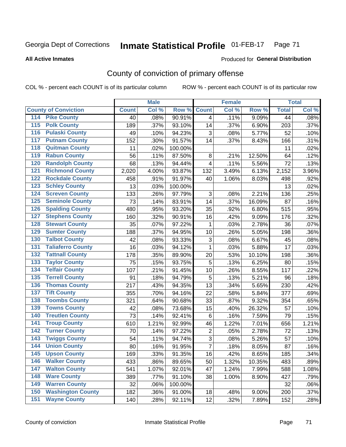### Inmate Statistical Profile 01-FEB-17 Page 71

### **All Active Inmates**

## Produced for General Distribution

# County of conviction of primary offense

COL % - percent each COUNT is of its particular column

|                                          |              | <b>Male</b> |         |                | <b>Female</b> |                    |              | <b>Total</b> |
|------------------------------------------|--------------|-------------|---------|----------------|---------------|--------------------|--------------|--------------|
| <b>County of Conviction</b>              | <b>Count</b> | Col %       | Row %   | <b>Count</b>   | Col %         | Row %              | <b>Total</b> | Col %        |
| <b>Pike County</b><br>114                | 40           | .08%        | 90.91%  | 4              | .11%          | 9.09%              | 44           | .08%         |
| <b>Polk County</b><br>$\overline{115}$   | 189          | .37%        | 93.10%  | 14             | .37%          | 6.90%              | 203          | .37%         |
| <b>Pulaski County</b><br>116             | 49           | .10%        | 94.23%  | 3              | .08%          | 5.77%              | 52           | .10%         |
| <b>Putnam County</b><br>117              | 152          | .30%        | 91.57%  | 14             | .37%          | 8.43%              | 166          | .31%         |
| <b>Quitman County</b><br>118             | 11           | .02%        | 100.00% |                |               |                    | 11           | .02%         |
| <b>Rabun County</b><br>119               | 56           | .11%        | 87.50%  | 8              | .21%          | 12.50%             | 64           | .12%         |
| <b>Randolph County</b><br>120            | 68           | .13%        | 94.44%  | 4              | .11%          | 5.56%              | 72           | .13%         |
| <b>Richmond County</b><br>121            | 2,020        | 4.00%       | 93.87%  | 132            | 3.49%         | 6.13%              | 2,152        | 3.96%        |
| <b>Rockdale County</b><br>122            | 458          | .91%        | 91.97%  | 40             | 1.06%         | 8.03%              | 498          | .92%         |
| 123<br><b>Schley County</b>              | 13           | .03%        | 100.00% |                |               |                    | 13           | .02%         |
| <b>Screven County</b><br>124             | 133          | .26%        | 97.79%  | 3              | .08%          | 2.21%              | 136          | .25%         |
| <b>Seminole County</b><br>125            | 73           | .14%        | 83.91%  | 14             | .37%          | 16.09%             | 87           | .16%         |
| <b>Spalding County</b><br>126            | 480          | .95%        | 93.20%  | 35             | .92%          | 6.80%              | 515          | .95%         |
| 127<br><b>Stephens County</b>            | 160          | .32%        | 90.91%  | 16             | .42%          | 9.09%              | 176          | .32%         |
| <b>Stewart County</b><br>128             | 35           | .07%        | 97.22%  | 1              | .03%          | 2.78%              | 36           | .07%         |
| <b>Sumter County</b><br>129              | 188          | .37%        | 94.95%  | 10             | .26%          | 5.05%              | 198          | .36%         |
| <b>Talbot County</b><br>130              | 42           | .08%        | 93.33%  | 3              | .08%          | 6.67%              | 45           | .08%         |
| <b>Taliaferro County</b><br>131          | 16           | .03%        | 94.12%  | $\mathbf{1}$   | .03%          | 5.88%              | 17           | .03%         |
| <b>Tattnall County</b><br>132            | 178          | .35%        | 89.90%  | 20             | .53%          | 10.10%             | 198          | .36%         |
| 133<br><b>Taylor County</b>              | 75           | .15%        | 93.75%  | 5              | .13%          | 6.25%              | 80           | .15%         |
| <b>Telfair County</b><br>134             | 107          | .21%        | 91.45%  | 10             | .26%          | 8.55%              | 117          | .22%         |
| <b>Terrell County</b><br>135             | 91           | .18%        | 94.79%  | 5              | .13%          | $\frac{1}{5.21\%}$ | 96           | .18%         |
| <b>Thomas County</b><br>136              | 217          | .43%        | 94.35%  | 13             | .34%          | 5.65%              | 230          | .42%         |
| <b>Tift County</b><br>137                | 355          | .70%        | 94.16%  | 22             | .58%          | 5.84%              | 377          | .69%         |
| <b>Toombs County</b><br>138              | 321          | .64%        | 90.68%  | 33             | .87%          | 9.32%              | 354          | .65%         |
| <b>Towns County</b><br>139               | 42           | .08%        | 73.68%  | 15             | .40%          | 26.32%             | 57           | .10%         |
| <b>Treutlen County</b><br>140            | 73           | .14%        | 92.41%  | 6              | .16%          | 7.59%              | 79           | .15%         |
| <b>Troup County</b><br>141               | 610          | 1.21%       | 92.99%  | 46             | 1.22%         | 7.01%              | 656          | 1.21%        |
| <b>Turner County</b><br>142              | 70           | .14%        | 97.22%  | $\mathbf 2$    | .05%          | 2.78%              | 72           | .13%         |
| $\overline{143}$<br><b>Twiggs County</b> | 54           | .11%        | 94.74%  | $\sqrt{3}$     | .08%          | 5.26%              | 57           | .10%         |
| <b>Union County</b><br>144               | 80           | .16%        | 91.95%  | $\overline{7}$ | .18%          | 8.05%              | 87           | .16%         |
| 145<br><b>Upson County</b>               | 169          | .33%        | 91.35%  | 16             | .42%          | 8.65%              | 185          | .34%         |
| <b>Walker County</b><br>146              | 433          | .86%        | 89.65%  | 50             | 1.32%         | 10.35%             | 483          | .89%         |
| $\overline{147}$<br><b>Walton County</b> | 541          | 1.07%       | 92.01%  | 47             | 1.24%         | 7.99%              | 588          | 1.08%        |
| <b>Ware County</b><br>148                | 389          | .77%        | 91.10%  | 38             | 1.00%         | 8.90%              | 427          | .79%         |
| <b>Warren County</b><br>149              | 32           | .06%        | 100.00% |                |               |                    | 32           | .06%         |
| <b>Washington County</b><br>150          | 182          | .36%        | 91.00%  | 18             | .48%          | 9.00%              | 200          | .37%         |
| <b>Wayne County</b><br>151               | 140          | .28%        | 92.11%  | 12             | .32%          | 7.89%              | 152          | .28%         |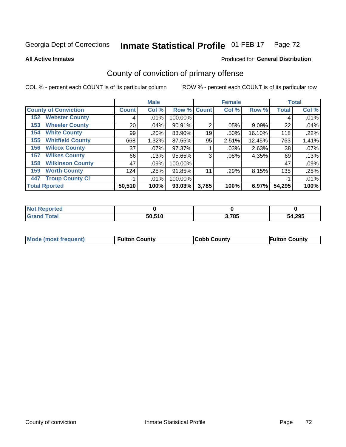### Inmate Statistical Profile 01-FEB-17 Page 72

**All Active Inmates** 

### Produced for General Distribution

# County of conviction of primary offense

COL % - percent each COUNT is of its particular column

|                                |              | <b>Male</b> |             |                | <b>Female</b> |          |              | <b>Total</b> |
|--------------------------------|--------------|-------------|-------------|----------------|---------------|----------|--------------|--------------|
| <b>County of Conviction</b>    | <b>Count</b> | Col %       | Row % Count |                | Col %         | Row %    | <b>Total</b> | Col %        |
| <b>Webster County</b><br>152   | 4            | .01%        | 100.00%     |                |               |          | 4            | .01%         |
| <b>Wheeler County</b><br>153   | 20           | .04%        | 90.91%      | $\overline{2}$ | .05%          | 9.09%    | 22           | .04%         |
| <b>White County</b><br>154     | 99           | .20%        | 83.90%      | 19             | .50%          | 16.10%   | 118          | .22%         |
| <b>Whitfield County</b><br>155 | 668          | 1.32%       | 87.55%      | 95             | 2.51%         | 12.45%   | 763          | 1.41%        |
| <b>Wilcox County</b><br>156    | 37           | $.07\%$     | 97.37%      |                | .03%          | 2.63%    | 38           | .07%         |
| <b>Wilkes County</b><br>157    | 66           | .13%        | 95.65%      | 3              | $.08\%$       | 4.35%    | 69           | .13%         |
| <b>Wilkinson County</b><br>158 | 47           | $.09\%$     | 100.00%     |                |               |          | 47           | .09%         |
| <b>Worth County</b><br>159     | 124          | .25%        | 91.85%      | 11             | .29%          | 8.15%    | 135          | .25%         |
| <b>Troup County Ci</b><br>447  |              | $.01\%$     | 100.00%     |                |               |          |              | .01%         |
| <b>Total Rported</b>           | 50,510       | 100%        | 93.03%      | 3,785          | 100%          | $6.97\%$ | 54,295       | 100%         |

| <b>Not</b><br>Reported |        |       |        |
|------------------------|--------|-------|--------|
| <b>otal</b>            | 50,510 | 3,785 | 54,295 |

|  | <b>Mode (most frequent)</b> | <b>Fulton County</b> | <b>Cobb County</b> | <b>Fulton County</b> |
|--|-----------------------------|----------------------|--------------------|----------------------|
|--|-----------------------------|----------------------|--------------------|----------------------|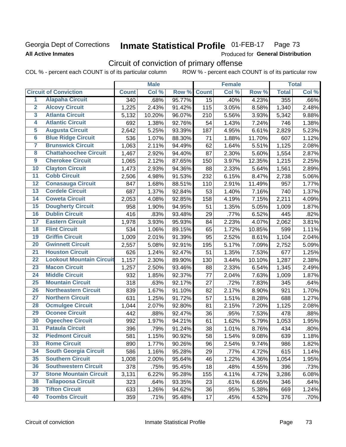# Georgia Dept of Corrections **All Active Inmates**

### **Inmate Statistical Profile 01-FEB-17** Page 73

Produced for General Distribution

# Circuit of conviction of primary offense

COL % - percent each COUNT is of its particular column ROW % - percent each COUNT is of its particular row

|                         |                                 |                  | <b>Male</b> |        |              | <b>Female</b> |        |              | <b>Total</b> |
|-------------------------|---------------------------------|------------------|-------------|--------|--------------|---------------|--------|--------------|--------------|
|                         | <b>Circuit of Conviction</b>    | <b>Count</b>     | Col %       | Row %  | <b>Count</b> | Col %         | Row %  | <b>Total</b> | Col %        |
| 1                       | <b>Alapaha Circuit</b>          | $\overline{340}$ | .68%        | 95.77% | 15           | .40%          | 4.23%  | 355          | .66%         |
| $\overline{2}$          | <b>Alcovy Circuit</b>           | 1,225            | 2.43%       | 91.42% | 115          | 3.05%         | 8.58%  | 1,340        | 2.48%        |
| $\overline{\mathbf{3}}$ | <b>Atlanta Circuit</b>          | 5,132            | 10.20%      | 96.07% | 210          | 5.56%         | 3.93%  | 5,342        | 9.88%        |
| 4                       | <b>Atlantic Circuit</b>         | 692              | 1.38%       | 92.76% | 54           | 1.43%         | 7.24%  | 746          | 1.38%        |
| 5                       | <b>Augusta Circuit</b>          | 2,642            | 5.25%       | 93.39% | 187          | 4.95%         | 6.61%  | 2,829        | 5.23%        |
| $\overline{6}$          | <b>Blue Ridge Circuit</b>       | 536              | 1.07%       | 88.30% | 71           | 1.88%         | 11.70% | 607          | 1.12%        |
| $\overline{\mathbf{7}}$ | <b>Brunswick Circuit</b>        | 1,063            | 2.11%       | 94.49% | 62           | 1.64%         | 5.51%  | 1,125        | 2.08%        |
| $\overline{\mathbf{8}}$ | <b>Chattahoochee Circuit</b>    | 1,467            | 2.92%       | 94.40% | 87           | 2.30%         | 5.60%  | 1,554        | 2.87%        |
| $\overline{9}$          | <b>Cherokee Circuit</b>         | 1,065            | 2.12%       | 87.65% | 150          | 3.97%         | 12.35% | 1,215        | 2.25%        |
| 10                      | <b>Clayton Circuit</b>          | 1,473            | 2.93%       | 94.36% | 88           | 2.33%         | 5.64%  | 1,561        | 2.89%        |
| $\overline{11}$         | <b>Cobb Circuit</b>             | 2,506            | 4.98%       | 91.53% | 232          | 6.15%         | 8.47%  | 2,738        | 5.06%        |
| $\overline{12}$         | <b>Conasauga Circuit</b>        | 847              | 1.68%       | 88.51% | 110          | 2.91%         | 11.49% | 957          | 1.77%        |
| 13                      | <b>Cordele Circuit</b>          | 687              | 1.37%       | 92.84% | 53           | 1.40%         | 7.16%  | 740          | 1.37%        |
| 14                      | <b>Coweta Circuit</b>           | 2,053            | 4.08%       | 92.85% | 158          | 4.19%         | 7.15%  | 2,211        | 4.09%        |
| 15                      | <b>Dougherty Circuit</b>        | 958              | 1.90%       | 94.95% | 51           | 1.35%         | 5.05%  | 1,009        | 1.87%        |
| 16                      | <b>Dublin Circuit</b>           | 416              | .83%        | 93.48% | 29           | .77%          | 6.52%  | 445          | .82%         |
| 17                      | <b>Eastern Circuit</b>          | 1,978            | 3.93%       | 95.93% | 84           | 2.23%         | 4.07%  | 2,062        | 3.81%        |
| 18                      | <b>Flint Circuit</b>            | 534              | 1.06%       | 89.15% | 65           | 1.72%         | 10.85% | 599          | 1.11%        |
| 19                      | <b>Griffin Circuit</b>          | 1,009            | 2.01%       | 91.39% | 95           | 2.52%         | 8.61%  | 1,104        | 2.04%        |
| $\overline{20}$         | <b>Gwinnett Circuit</b>         | 2,557            | 5.08%       | 92.91% | 195          | 5.17%         | 7.09%  | 2,752        | 5.09%        |
| $\overline{21}$         | <b>Houston Circuit</b>          | 626              | 1.24%       | 92.47% | 51           | 1.35%         | 7.53%  | 677          | 1.25%        |
| $\overline{22}$         | <b>Lookout Mountain Circuit</b> | 1,157            | 2.30%       | 89.90% | 130          | 3.44%         | 10.10% | 1,287        | 2.38%        |
| 23                      | <b>Macon Circuit</b>            | 1,257            | 2.50%       | 93.46% | 88           | 2.33%         | 6.54%  | 1,345        | 2.49%        |
| $\overline{24}$         | <b>Middle Circuit</b>           | 932              | 1.85%       | 92.37% | 77           | 2.04%         | 7.63%  | 1,009        | 1.87%        |
| 25                      | <b>Mountain Circuit</b>         | 318              | .63%        | 92.17% | 27           | .72%          | 7.83%  | 345          | .64%         |
| 26                      | <b>Northeastern Circuit</b>     | 839              | 1.67%       | 91.10% | 82           | 2.17%         | 8.90%  | 921          | 1.70%        |
| $\overline{27}$         | <b>Northern Circuit</b>         | 631              | 1.25%       | 91.72% | 57           | 1.51%         | 8.28%  | 688          | 1.27%        |
| 28                      | <b>Ocmulgee Circuit</b>         | 1,044            | 2.07%       | 92.80% | 81           | 2.15%         | 7.20%  | 1,125        | 2.08%        |
| 29                      | <b>Oconee Circuit</b>           | 442              | .88%        | 92.47% | 36           | .95%          | 7.53%  | 478          | .88%         |
| 30                      | <b>Ogeechee Circuit</b>         | 992              | 1.97%       | 94.21% | 61           | 1.62%         | 5.79%  | 1,053        | 1.95%        |
| $\overline{31}$         | <b>Pataula Circuit</b>          | 396              | .79%        | 91.24% | 38           | 1.01%         | 8.76%  | 434          | .80%         |
| 32                      | <b>Piedmont Circuit</b>         | 581              | 1.15%       | 90.92% | 58           | 1.54%         | 9.08%  | 639          | 1.18%        |
| 33                      | <b>Rome Circuit</b>             | 890              | 1.77%       | 90.26% | 96           | 2.54%         | 9.74%  | 986          | 1.82%        |
| 34                      | <b>South Georgia Circuit</b>    | 586              | 1.16%       | 95.28% | 29           | .77%          | 4.72%  | 615          | 1.14%        |
| 35                      | <b>Southern Circuit</b>         | 1,008            | 2.00%       | 95.64% | 46           | 1.22%         | 4.36%  | 1,054        | 1.95%        |
| 36                      | <b>Southwestern Circuit</b>     | 378              | .75%        | 95.45% | 18           | .48%          | 4.55%  | 396          | .73%         |
| 37                      | <b>Stone Mountain Circuit</b>   | 3,131            | 6.22%       | 95.28% | 155          | 4.11%         | 4.72%  | 3,286        | 6.08%        |
| 38                      | <b>Tallapoosa Circuit</b>       | 323              | .64%        | 93.35% | 23           | .61%          | 6.65%  | 346          | .64%         |
| 39                      | <b>Tifton Circuit</b>           | 633              | 1.26%       | 94.62% | 36           | .95%          | 5.38%  | 669          | 1.24%        |
| 40                      | <b>Toombs Circuit</b>           | 359              | .71%        | 95.48% | 17           | .45%          | 4.52%  | 376          | .70%         |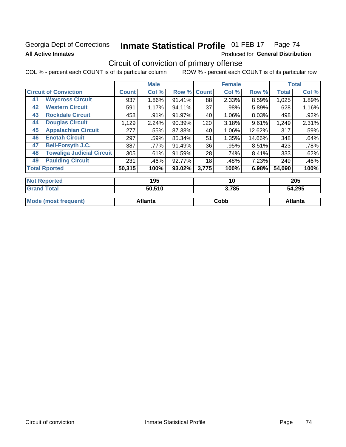# Georgia Dept of Corrections **All Active Inmates**

### Inmate Statistical Profile 01-FEB-17 Page 74

Produced for General Distribution

# Circuit of conviction of primary offense

COL % - percent each COUNT is of its particular column ROW % - percent each COUNT is of its particular row

|                                        |              | <b>Male</b> |           |              | <b>Female</b> |        |              | <b>Total</b> |
|----------------------------------------|--------------|-------------|-----------|--------------|---------------|--------|--------------|--------------|
| <b>Circuit of Conviction</b>           | <b>Count</b> | Col %       | Row %     | <b>Count</b> | Col %         | Row %  | <b>Total</b> | Col %        |
| <b>Waycross Circuit</b><br>41          | 937          | 1.86%       | 91.41%    | 88           | 2.33%         | 8.59%  | 1,025        | 1.89%        |
| <b>Western Circuit</b><br>42           | 591          | 1.17%       | 94.11%    | 37           | .98%          | 5.89%  | 628          | 1.16%        |
| <b>Rockdale Circuit</b><br>43          | 458          | $.91\%$     | $91.97\%$ | 40           | 1.06%         | 8.03%  | 498          | $.92\%$      |
| <b>Douglas Circuit</b><br>44           | 1,129        | 2.24%       | 90.39%    | 120          | 3.18%         | 9.61%  | 1,249        | 2.31%        |
| <b>Appalachian Circuit</b><br>45       | 277          | .55%        | 87.38%    | 40           | 1.06%         | 12.62% | 317          | .59%         |
| <b>Enotah Circuit</b><br>46            | 297          | .59%        | 85.34%    | 51           | 1.35%         | 14.66% | 348          | .64%         |
| <b>Bell-Forsyth J.C.</b><br>47         | 387          | .77%        | 91.49%    | 36           | .95%          | 8.51%  | 423          | .78%         |
| <b>Towaliga Judicial Circuit</b><br>48 | 305          | .61%        | 91.59%    | 28           | .74%          | 8.41%  | 333          | .62%         |
| <b>Paulding Circuit</b><br>49          | 231          | .46%        | 92.77%    | 18           | .48%          | 7.23%  | 249          | .46%         |
| <b>Total Rported</b>                   | 50,315       | 100%        | $93.02\%$ | 3,775        | 100%          | 6.98%  | 54,090       | 100%         |
| <b>Not Reported</b>                    |              | 195         |           |              | 10            |        |              | 205          |

| <b>Grand Total</b>          | 50,510  | 3,785 | 54,295  |  |  |
|-----------------------------|---------|-------|---------|--|--|
| <b>Mode (most frequent)</b> | Atlanta | Cobb  | Atlanta |  |  |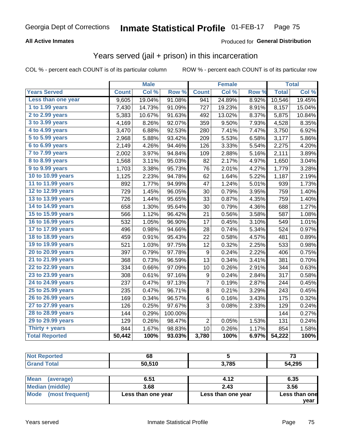#### **All Active Inmates**

#### Produced for **General Distribution**

### Years served (jail + prison) in this incarceration

COL % - percent each COUNT is of its particular column ROW % - percent each COUNT is of its particular row

|                              |              | <b>Male</b> |         |                | <b>Female</b> |                  |              | <b>Total</b> |
|------------------------------|--------------|-------------|---------|----------------|---------------|------------------|--------------|--------------|
| <b>Years Served</b>          | <b>Count</b> | Col %       | Row %   | <b>Count</b>   | Col %         | Row <sub>%</sub> | <b>Total</b> | Col %        |
| Less than one year           | 9,605        | 19.04%      | 91.08%  | 941            | 24.89%        | 8.92%            | 10,546       | 19.45%       |
| 1 to 1.99 years              | 7,430        | 14.73%      | 91.09%  | 727            | 19.23%        | 8.91%            | 8,157        | 15.04%       |
| 2 to 2.99 years              | 5,383        | 10.67%      | 91.63%  | 492            | 13.02%        | 8.37%            | 5,875        | 10.84%       |
| $3$ to $3.99$ years          | 4,169        | 8.26%       | 92.07%  | 359            | 9.50%         | 7.93%            | 4,528        | 8.35%        |
| $\overline{4}$ to 4.99 years | 3,470        | 6.88%       | 92.53%  | 280            | 7.41%         | 7.47%            | 3,750        | 6.92%        |
| $\overline{5}$ to 5.99 years | 2,968        | 5.88%       | 93.42%  | 209            | 5.53%         | 6.58%            | 3,177        | 5.86%        |
| $6$ to $6.99$ years          | 2,149        | 4.26%       | 94.46%  | 126            | 3.33%         | 5.54%            | 2,275        | 4.20%        |
| 7 to 7.99 years              | 2,002        | 3.97%       | 94.84%  | 109            | 2.88%         | 5.16%            | 2,111        | 3.89%        |
| 8 to 8.99 years              | 1,568        | 3.11%       | 95.03%  | 82             | 2.17%         | 4.97%            | 1,650        | 3.04%        |
| 9 to 9.99 years              | 1,703        | 3.38%       | 95.73%  | 76             | 2.01%         | 4.27%            | 1,779        | 3.28%        |
| 10 to 10.99 years            | 1,125        | 2.23%       | 94.78%  | 62             | 1.64%         | 5.22%            | 1,187        | 2.19%        |
| 11 to 11.99 years            | 892          | 1.77%       | 94.99%  | 47             | 1.24%         | 5.01%            | 939          | 1.73%        |
| 12 to 12.99 years            | 729          | 1.45%       | 96.05%  | 30             | 0.79%         | 3.95%            | 759          | 1.40%        |
| 13 to 13.99 years            | 726          | 1.44%       | 95.65%  | 33             | 0.87%         | 4.35%            | 759          | 1.40%        |
| 14 to 14.99 years            | 658          | 1.30%       | 95.64%  | 30             | 0.79%         | 4.36%            | 688          | 1.27%        |
| 15 to 15.99 years            | 566          | 1.12%       | 96.42%  | 21             | 0.56%         | 3.58%            | 587          | 1.08%        |
| 16 to 16.99 years            | 532          | 1.05%       | 96.90%  | 17             | 0.45%         | 3.10%            | 549          | 1.01%        |
| 17 to 17.99 years            | 496          | 0.98%       | 94.66%  | 28             | 0.74%         | 5.34%            | 524          | 0.97%        |
| 18 to 18.99 years            | 459          | 0.91%       | 95.43%  | 22             | 0.58%         | 4.57%            | 481          | 0.89%        |
| 19 to 19.99 years            | 521          | 1.03%       | 97.75%  | 12             | 0.32%         | 2.25%            | 533          | 0.98%        |
| 20 to 20.99 years            | 397          | 0.79%       | 97.78%  | 9              | 0.24%         | 2.22%            | 406          | 0.75%        |
| 21 to 21.99 years            | 368          | 0.73%       | 96.59%  | 13             | 0.34%         | 3.41%            | 381          | 0.70%        |
| 22 to 22.99 years            | 334          | 0.66%       | 97.09%  | 10             | 0.26%         | 2.91%            | 344          | 0.63%        |
| 23 to 23.99 years            | 308          | 0.61%       | 97.16%  | 9              | 0.24%         | 2.84%            | 317          | 0.58%        |
| 24 to 24.99 years            | 237          | 0.47%       | 97.13%  | 7              | 0.19%         | 2.87%            | 244          | 0.45%        |
| 25 to 25.99 years            | 235          | 0.47%       | 96.71%  | 8              | 0.21%         | 3.29%            | 243          | 0.45%        |
| 26 to 26.99 years            | 169          | 0.34%       | 96.57%  | 6              | 0.16%         | 3.43%            | 175          | 0.32%        |
| 27 to 27.99 years            | 126          | 0.25%       | 97.67%  | 3              | 0.08%         | 2.33%            | 129          | 0.24%        |
| 28 to 28.99 years            | 144          | 0.29%       | 100.00% |                |               |                  | 144          | 0.27%        |
| 29 to 29.99 years            | 129          | 0.26%       | 98.47%  | $\overline{2}$ | 0.05%         | 1.53%            | 131          | 0.24%        |
| Thirty + years               | 844          | 1.67%       | 98.83%  | 10             | 0.26%         | 1.17%            | 854          | 1.58%        |
| <b>Total Reported</b>        | 50,442       | 100%        | 93.03%  | 3,780          | 100%          | 6.97%            | 54,222       | 100%         |

| <b>Not Reported</b>    | 68                 |                    | 73            |
|------------------------|--------------------|--------------------|---------------|
| <b>Grand Total</b>     | 50,510             | 3,785              | 54,295        |
|                        |                    |                    |               |
| Mean<br>(average)      | 6.51               | 4.12               | 6.35          |
| <b>Median (middle)</b> | 3.68               | 2.43               | 3.56          |
| Mode (most frequent)   | Less than one year | Less than one year | Less than one |
|                        |                    |                    | vear I        |

**year**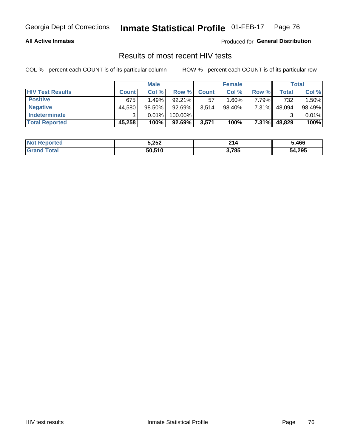#### **All Active Inmates**

Produced for **General Distribution**

### Results of most recent HIV tests

|                         | <b>Male</b>  |        |           | <b>Female</b> |          |          | Total  |        |
|-------------------------|--------------|--------|-----------|---------------|----------|----------|--------|--------|
| <b>HIV Test Results</b> | <b>Count</b> | Col %  | Row %I    | <b>Count</b>  | Col %    | Row %    | Total  | Col %  |
| <b>Positive</b>         | 675          | 1.49%  | $92.21\%$ | 57            | $1.60\%$ | 7.79%    | 732    | 1.50%  |
| <b>Negative</b>         | 44,580       | 98.50% | 92.69%    | 3,514         | 98.40%   | 7.31%    | 48,094 | 98.49% |
| Indeterminate           | າ            | 0.01%  | 100.00%   |               |          |          |        | 0.01%  |
| <b>Total Reported</b>   | 45,258       | 100%   | 92.69%    | 3,571         | 100%     | $7.31\%$ | 48,829 | 100%   |

| <b>Not Reported</b> | 5,252  | 214   | ,466   |
|---------------------|--------|-------|--------|
| Total               | 50,510 | 3,785 | 54,295 |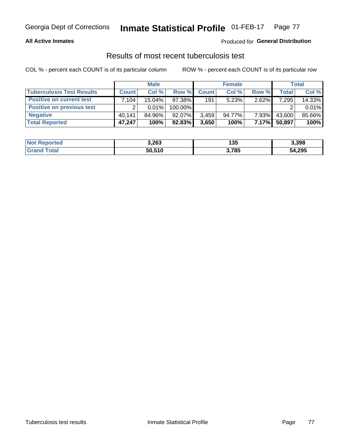#### **All Active Inmates**

#### Produced for **General Distribution**

### Results of most recent tuberculosis test

|                                  | <b>Male</b>  |           |           | <b>Female</b> |        |          | Total  |        |
|----------------------------------|--------------|-----------|-----------|---------------|--------|----------|--------|--------|
| <b>Tuberculosis Test Results</b> | <b>Count</b> | Col%      | Row %     | <b>Count</b>  | Col %  | Row %    | Total  | Col %  |
| <b>Positive on current test</b>  | .104         | $15.04\%$ | 97.38%    | 191           | 5.23%  | 2.62%    | 7,295  | 14.33% |
| <b>Positive on previous test</b> | ົ            | $0.01\%$  | 100.00%   |               |        |          |        | 0.01%  |
| <b>Negative</b>                  | 40.141       | 84.96%    | $92.07\%$ | 3,459         | 94.77% | 7.93%    | 43,600 | 85.66% |
| <b>Total Reported</b>            | 47,247       | 100%      | $92.83\%$ | 3,650         | 100%   | $7.17\%$ | 50,897 | 100%   |

| <b>Not Reported</b> | 3,263  | ו פו<br>၊ ၁၁ | 3,398  |
|---------------------|--------|--------------|--------|
| Total               | 50,510 | 3,785        | 54,295 |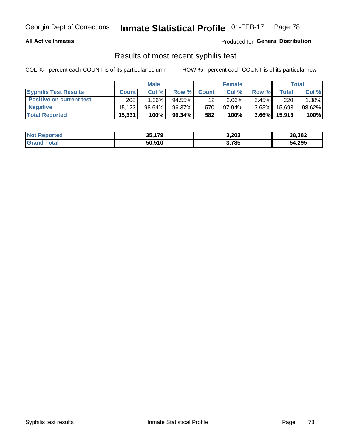#### **All Active Inmates**

Produced for **General Distribution**

### Results of most recent syphilis test

|                                 | <b>Male</b>  |           |           | <b>Female</b>   |           |          | Total   |        |
|---------------------------------|--------------|-----------|-----------|-----------------|-----------|----------|---------|--------|
| <b>Syphilis Test Results</b>    | <b>Count</b> | Col%      | Row %     | <b>Count</b>    | Col %     | Row %    | Total I | Col %  |
| <b>Positive on current test</b> | 208          | $1.36\%$  | $94.55\%$ | 12 <sub>1</sub> | $2.06\%$  | $5.45\%$ | 220     | 1.38%  |
| <b>Negative</b>                 | 15.123       | $98.64\%$ | 96.37%    | 570             | $97.94\%$ | $3.63\%$ | 15,693  | 98.62% |
| <b>Total Reported</b>           | 15,331       | 100%      | 96.34%    | 582             | 100%      | $3.66\%$ | 15,913  | 100%   |

| <b>Not Reported</b> | 35,179 | 3,203 | 38,382 |
|---------------------|--------|-------|--------|
| <b>Grand Total</b>  | 50,510 | 3,785 | 54,295 |